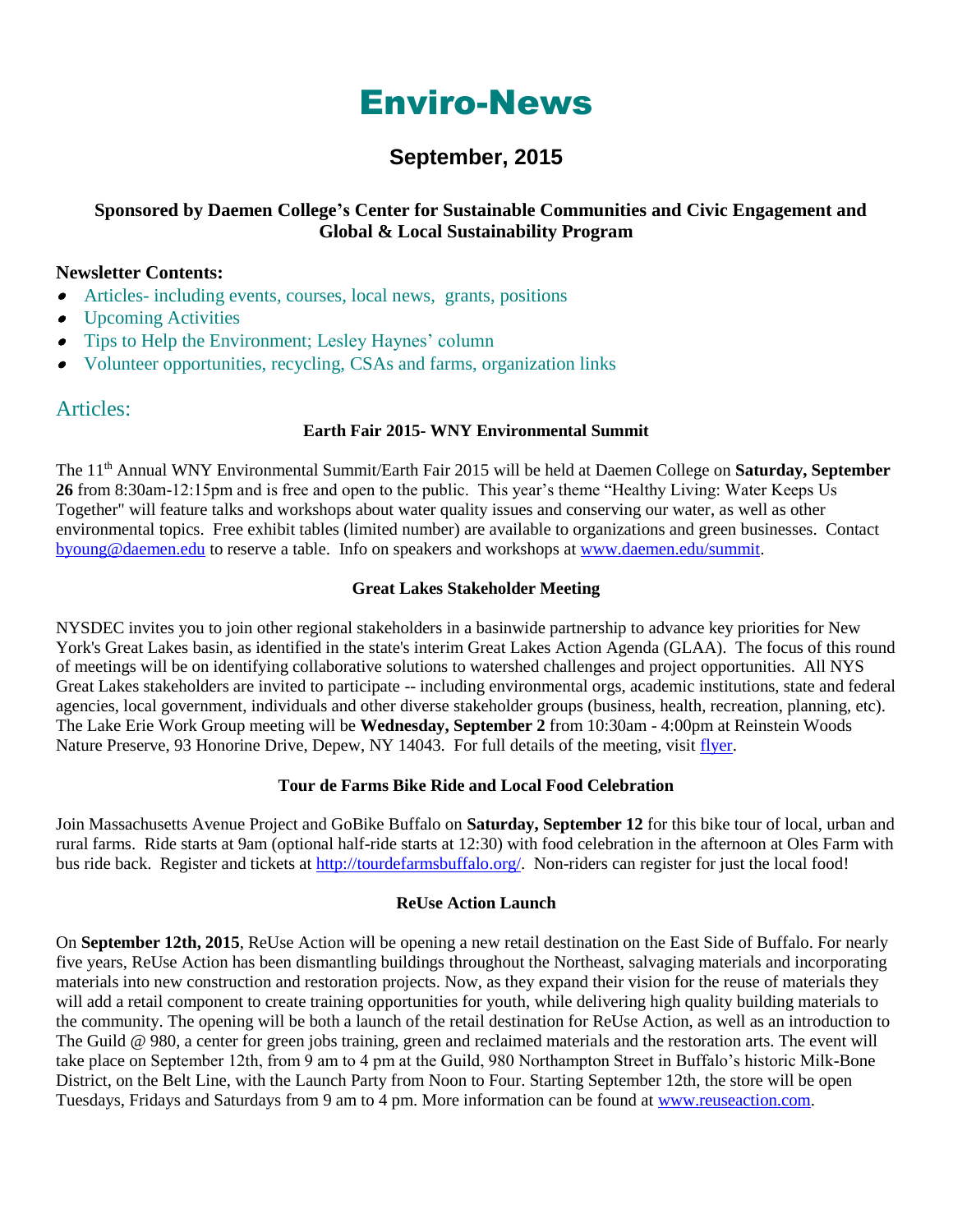# Enviro-News

# **September, 2015**

# **Sponsored by Daemen College's Center for Sustainable Communities and Civic Engagement and Global & Local Sustainability Program**

# **Newsletter Contents:**

- Articles- including events, courses, local news, grants, positions
- $\bullet$ Upcoming Activities
- $\bullet$ Tips to Help the Environment; Lesley Haynes' column
- Volunteer opportunities, recycling, CSAs and farms, organization links

# Articles:

# **Earth Fair 2015- WNY Environmental Summit**

The 11th Annual WNY Environmental Summit/Earth Fair 2015 will be held at Daemen College on **Saturday, September 26** from 8:30am-12:15pm and is free and open to the public. This year's theme "Healthy Living: Water Keeps Us Together" will feature talks and workshops about water quality issues and conserving our water, as well as other environmental topics. Free exhibit tables (limited number) are available to organizations and green businesses. Contact [byoung@daemen.edu](mailto:byoung@daemen.edu) to reserve a table. Info on speakers and workshops at [www.daemen.edu/summit.](http://www.daemen.edu/summit)

# **Great Lakes Stakeholder Meeting**

NYSDEC invites you to join other regional stakeholders in a basinwide partnership to advance key priorities for New York's Great Lakes basin, as identified in the state's interim Great Lakes Action Agenda (GLAA). The focus of this round of meetings will be on identifying collaborative solutions to watershed challenges and project opportunities. All NYS Great Lakes stakeholders are invited to participate -- including environmental orgs, academic institutions, state and federal agencies, local government, individuals and other diverse stakeholder groups (business, health, recreation, planning, etc). The Lake Erie Work Group meeting will be **Wednesday, September 2** from 10:30am - 4:00pm at Reinstein Woods Nature Preserve, 93 Honorine Drive, Depew, NY 14043. For full details of the meeting, visit [flyer.](http://links.govdelivery.com/track?type=click&enid=ZWFzPTEmbWFpbGluZ2lkPTIwMTUwODA1LjQ3ODYyMzUxJm1lc3NhZ2VpZD1NREItUFJELUJVTC0yMDE1MDgwNS40Nzg2MjM1MSZkYXRhYmFzZWlkPTEwMDEmc2VyaWFsPTE2ODc4NjA4JmVtYWlsaWQ9YnlvdW5nQGRhZW1lbi5lZHUmdXNlcmlkPWJ5b3VuZ0BkYWVtZW4uZWR1JmZsPSZleHRyYT1NdWx0aXZhcmlhdGVJZD0mJiY=&&&102&&&http://content.govdelivery.com/attachments/NYSDEC/2015/08/05/file_attachments/414319/GLAA%2Bwork%2Bgroup%2Bmtg%2Bflyer%2BSept%2B2015.pdf)

# **Tour de Farms Bike Ride and Local Food Celebration**

Join Massachusetts Avenue Project and GoBike Buffalo on **Saturday, September 12** for this bike tour of local, urban and rural farms. Ride starts at 9am (optional half-ride starts at 12:30) with food celebration in the afternoon at Oles Farm with bus ride back. Register and tickets at [http://tourdefarmsbuffalo.org/.](http://tourdefarmsbuffalo.org/) Non-riders can register for just the local food!

# **ReUse Action Launch**

On **September 12th, 2015**, ReUse Action will be opening a new retail destination on the East Side of Buffalo. For nearly five years, ReUse Action has been dismantling buildings throughout the Northeast, salvaging materials and incorporating materials into new construction and restoration projects. Now, as they expand their vision for the reuse of materials they will add a retail component to create training opportunities for youth, while delivering high quality building materials to the community. The opening will be both a launch of the retail destination for ReUse Action, as well as an introduction to The Guild @ 980, a center for green jobs training, green and reclaimed materials and the restoration arts. The event will take place on September 12th, from 9 am to 4 pm at the Guild, 980 Northampton Street in Buffalo's historic Milk-Bone District, on the Belt Line, with the Launch Party from Noon to Four. Starting September 12th, the store will be open Tuesdays, Fridays and Saturdays from 9 am to 4 pm. More information can be found a[t www.reuseaction.com.](http://reuseaction.nationbuilder.com/r?u=http%3A%2F%2Fwww.reuseaction.com&e=840bc4ef18ef21a766f4071f8f3ec02d&utm_source=reuseaction&utm_medium=email&utm_campaign=grand_opening_2&n=1)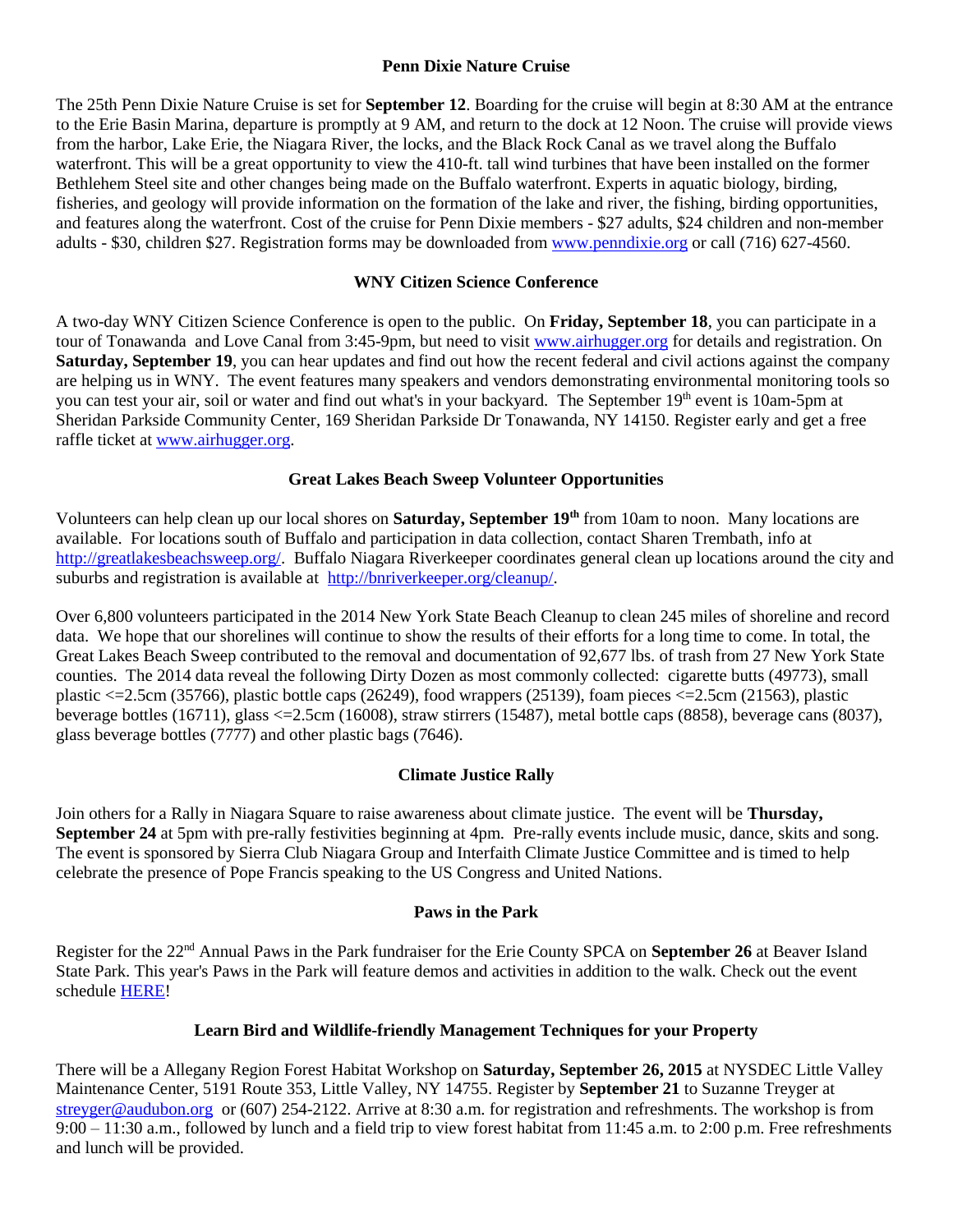#### **Penn Dixie Nature Cruise**

The 25th Penn Dixie Nature Cruise is set for **September 12**. Boarding for the cruise will begin at 8:30 AM at the entrance to the Erie Basin Marina, departure is promptly at 9 AM, and return to the dock at 12 Noon. The cruise will provide views from the harbor, Lake Erie, the Niagara River, the locks, and the Black Rock Canal as we travel along the Buffalo waterfront. This will be a great opportunity to view the 410-ft. tall wind turbines that have been installed on the former Bethlehem Steel site and other changes being made on the Buffalo waterfront. Experts in aquatic biology, birding, fisheries, and geology will provide information on the formation of the lake and river, the fishing, birding opportunities, and features along the waterfront. Cost of the cruise for Penn Dixie members - \$27 adults, \$24 children and non-member adults - \$30, children \$27. Registration forms may be downloaded from [www.penndixie.org](http://www.penndixie.org/) or call (716) 627-4560.

# **WNY Citizen Science Conference**

A two-day WNY Citizen Science Conference is open to the public. On **Friday, September 18**, you can participate in a tour of Tonawanda and Love Canal from 3:45-9pm, but need to visit [www.airhugger.org](http://www.airhugger.org/) for details and registration. On **Saturday, September 19**, you can hear updates and find out how the recent federal and civil actions against the company are helping us in WNY. The event features many speakers and vendors demonstrating environmental monitoring tools so you can test your air, soil or water and find out what's in your backyard. The September 19th event is 10am-5pm at Sheridan Parkside Community Center, 169 Sheridan Parkside Dr Tonawanda, NY 14150. Register early and get a free raffle ticket at [www.airhugger.org.](http://www.airhugger.org/)

# **Great Lakes Beach Sweep Volunteer Opportunities**

Volunteers can help clean up our local shores on **Saturday, September 19th** from 10am to noon. Many locations are available. For locations south of Buffalo and participation in data collection, contact Sharen Trembath, info at [http://greatlakesbeachsweep.org/.](http://greatlakesbeachsweep.org/) Buffalo Niagara Riverkeeper coordinates general clean up locations around the city and suburbs and registration is available at [http://bnriverkeeper.org/cleanup/.](http://bnriverkeeper.org/cleanup/)

Over 6,800 volunteers participated in the 2014 New York State Beach Cleanup to clean 245 miles of shoreline and record data. We hope that our shorelines will continue to show the results of their efforts for a long time to come. In total, the Great Lakes Beach Sweep contributed to the removal and documentation of 92,677 lbs. of trash from 27 New York State counties. The 2014 data reveal the following Dirty Dozen as most commonly collected: cigarette butts (49773), small plastic  $\langle 2526 \rangle$ , plastic bottle caps (26249), food wrappers (25139), foam pieces  $\langle 2513 \rangle$ , plastic plastic beverage bottles (16711), glass <=2.5cm (16008), straw stirrers (15487), metal bottle caps (8858), beverage cans (8037), glass beverage bottles (7777) and other plastic bags (7646).

# **Climate Justice Rally**

Join others for a Rally in Niagara Square to raise awareness about climate justice. The event will be **Thursday, September 24** at 5pm with pre-rally festivities beginning at 4pm. Pre-rally events include music, dance, skits and song. The event is sponsored by Sierra Club Niagara Group and Interfaith Climate Justice Committee and is timed to help celebrate the presence of Pope Francis speaking to the US Congress and United Nations.

# **Paws in the Park**

Register for the 22nd Annual Paws in the Park fundraiser for the Erie County SPCA on **September 26** at Beaver Island State Park. This year's Paws in the Park will feature demos and activities in addition to the walk. Check out the event schedule [HERE!](http://www.yourspca.org/page.redir?target=http%3a%2f%2fwww.kintera.org%2ffaf%2fhelp%2fhelpEventInfo.asp%3fievent%3d1138422&srcid=19281&srctid=1&erid=4297978&trid=6c904835-43f1-41d1-bec1-6146d40e755a)

# **Learn Bird and Wildlife-friendly Management Techniques for your Property**

There will be a Allegany Region Forest Habitat Workshop on **Saturday, September 26, 2015** at NYSDEC Little Valley Maintenance Center, 5191 Route 353, Little Valley, NY 14755. Register by **September 21** to Suzanne Treyger at [streyger@audubon.org](mailto:streyger@audubon.org) or (607) 254-2122. Arrive at 8:30 a.m. for registration and refreshments. The workshop is from  $9:00 - 11:30$  a.m., followed by lunch and a field trip to view forest habitat from 11:45 a.m. to 2:00 p.m. Free refreshments and lunch will be provided.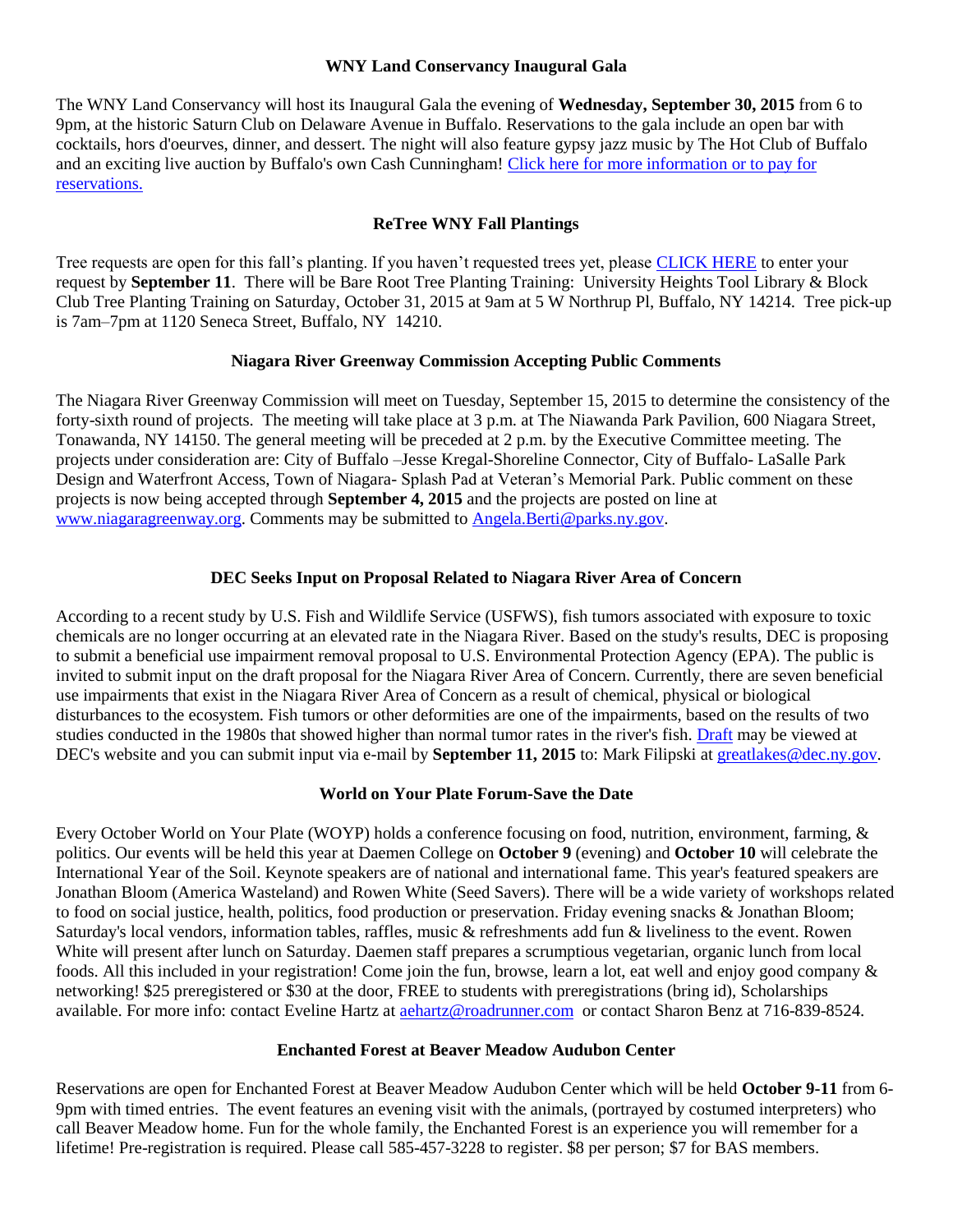#### **WNY Land Conservancy Inaugural Gala**

The WNY Land Conservancy will host its Inaugural Gala the evening of **Wednesday, September 30, 2015** from 6 to 9pm, at the historic Saturn Club on Delaware Avenue in Buffalo. Reservations to the gala include an open bar with cocktails, hors d'oeurves, dinner, and dessert. The night will also feature gypsy jazz music by The Hot Club of Buffalo and an exciting live auction by Buffalo's own Cash Cunningham! [Click here for more information or to pay for](http://r20.rs6.net/tn.jsp?f=001rDrJWEX52jmzY4zOEgvKY5sq_p39pzjrqiY5F0do7VBEO0bFp7qPwanksPr2by-IdMR9h3CYaMiB7UOcad0jq6uN5dwkiL1GDiPoNTjK_OxniFwFzid_b6DVP5GdB0gjDISiPsPJnbOdrzDlqf81IX0GTj8ACtv58xKf0IRNXpwG0Wayn9SSrSDmpsaBygLz8v-xFamehDgWWB9v-GAqo1KUbWhIGqNWUPc5bDueUWFDwtRJ61aKkUoMawqFjzKiBcUbMiqUZeoLrYVF6Dpk6J7INhpYCT4b20rhXkm93gpBWIEz9Nsv64ybhkTOl1ky&c=LJcLv9FazaYkCXBpGOEXMiBF3NP3xqEqrQMZNQc1DPJA8Sn-aSQ4nw==&ch=6q7UWMW-MmayiC2YlkPgE5CxotCuma3S0Jw6jrzs2j5A8_l_7AWx0A==)  [reservations.](http://r20.rs6.net/tn.jsp?f=001rDrJWEX52jmzY4zOEgvKY5sq_p39pzjrqiY5F0do7VBEO0bFp7qPwanksPr2by-IdMR9h3CYaMiB7UOcad0jq6uN5dwkiL1GDiPoNTjK_OxniFwFzid_b6DVP5GdB0gjDISiPsPJnbOdrzDlqf81IX0GTj8ACtv58xKf0IRNXpwG0Wayn9SSrSDmpsaBygLz8v-xFamehDgWWB9v-GAqo1KUbWhIGqNWUPc5bDueUWFDwtRJ61aKkUoMawqFjzKiBcUbMiqUZeoLrYVF6Dpk6J7INhpYCT4b20rhXkm93gpBWIEz9Nsv64ybhkTOl1ky&c=LJcLv9FazaYkCXBpGOEXMiBF3NP3xqEqrQMZNQc1DPJA8Sn-aSQ4nw==&ch=6q7UWMW-MmayiC2YlkPgE5CxotCuma3S0Jw6jrzs2j5A8_l_7AWx0A==)

### **ReTree WNY Fall Plantings**

Tree requests are open for this fall's planting. If you haven't requested trees yet, please [CLICK HERE](http://www6.wd-gis.com/COBTREE/UserForms/CommunityOutreachSignUp.aspx) to enter your request by **September 11**. There will be Bare Root Tree Planting Training: University Heights Tool Library & Block Club Tree Planting Training on Saturday, October 31, 2015 at 9am at 5 W Northrup Pl, Buffalo, NY 14214. Tree pick-up is 7am–7pm at 1120 Seneca Street, Buffalo, NY 14210.

#### **Niagara River Greenway Commission Accepting Public Comments**

The Niagara River Greenway Commission will meet on Tuesday, September 15, 2015 to determine the consistency of the forty-sixth round of projects. The meeting will take place at 3 p.m. at The Niawanda Park Pavilion, 600 Niagara Street, Tonawanda, NY 14150. The general meeting will be preceded at 2 p.m. by the Executive Committee meeting. The projects under consideration are: City of Buffalo –Jesse Kregal-Shoreline Connector, City of Buffalo- LaSalle Park Design and Waterfront Access, Town of Niagara- Splash Pad at Veteran's Memorial Park. Public comment on these projects is now being accepted through **September 4, 2015** and the projects are posted on line at [www.niagaragreenway.org.](http://www.niagaragreenway.org/) Comments may be submitted to [Angela.Berti@parks.ny.gov.](mailto:Angela.Berti@parks.ny.gov)

#### **DEC Seeks Input on Proposal Related to Niagara River Area of Concern**

According to a recent study by U.S. Fish and Wildlife Service (USFWS), fish tumors associated with exposure to toxic chemicals are no longer occurring at an elevated rate in the Niagara River. Based on the study's results, DEC is proposing to submit a beneficial use impairment removal proposal to U.S. Environmental Protection Agency (EPA). The public is invited to submit input on the draft proposal for the Niagara River Area of Concern. Currently, there are seven beneficial use impairments that exist in the Niagara River Area of Concern as a result of chemical, physical or biological disturbances to the ecosystem. Fish tumors or other deformities are one of the impairments, based on the results of two studies conducted in the 1980s that showed higher than normal tumor rates in the river's fish. [Draft](http://links.govdelivery.com/track?type=click&enid=ZWFzPTEmbWFpbGluZ2lkPTIwMTUwODE5LjQ4MjMwMDExJm1lc3NhZ2VpZD1NREItUFJELUJVTC0yMDE1MDgxOS40ODIzMDAxMSZkYXRhYmFzZWlkPTEwMDEmc2VyaWFsPTE2ODg2MTQwJmVtYWlsaWQ9YnlvdW5nQGRhZW1lbi5lZHUmdXNlcmlkPWJ5b3VuZ0BkYWVtZW4uZWR1JmZsPSZleHRyYT1NdWx0aXZhcmlhdGVJZD0mJiY=&&&103&&&http://www.dec.ny.gov/lands/102819.html) may be viewed at DEC's website and you can submit input via e-mail by **September 11, 2015** to: Mark Filipski at [greatlakes@dec.ny.gov.](mailto:greatlakes@dec.ny.gov)

#### **World on Your Plate Forum-Save the Date**

Every October World on Your Plate (WOYP) holds a conference focusing on food, nutrition, environment, farming, & politics. Our events will be held this year at Daemen College on **October 9** (evening) and **October 10** will celebrate the International Year of the Soil. Keynote speakers are of national and international fame. This year's featured speakers are Jonathan Bloom (America Wasteland) and Rowen White (Seed Savers). There will be a wide variety of workshops related to food on social justice, health, politics, food production or preservation. Friday evening snacks & Jonathan Bloom; Saturday's local vendors, information tables, raffles, music & refreshments add fun & liveliness to the event. Rowen White will present after lunch on Saturday. Daemen staff prepares a scrumptious vegetarian, organic lunch from local foods. All this included in your registration! Come join the fun, browse, learn a lot, eat well and enjoy good company & networking! \$25 preregistered or \$30 at the door, FREE to students with preregistrations (bring id), Scholarships available. For more info: contact Eveline Hartz at [aehartz@roadrunner.com](mailto:aehartz@roadrunner.com) or contact Sharon Benz at 716-839-8524.

#### **Enchanted Forest at Beaver Meadow Audubon Center**

Reservations are open for Enchanted Forest at Beaver Meadow Audubon Center which will be held **October 9-11** from 6- 9pm with timed entries. The event features an evening visit with the animals, (portrayed by costumed interpreters) who call Beaver Meadow home. Fun for the whole family, the Enchanted Forest is an experience you will remember for a lifetime! Pre-registration is required. Please call 585-457-3228 to register. \$8 per person; \$7 for BAS members.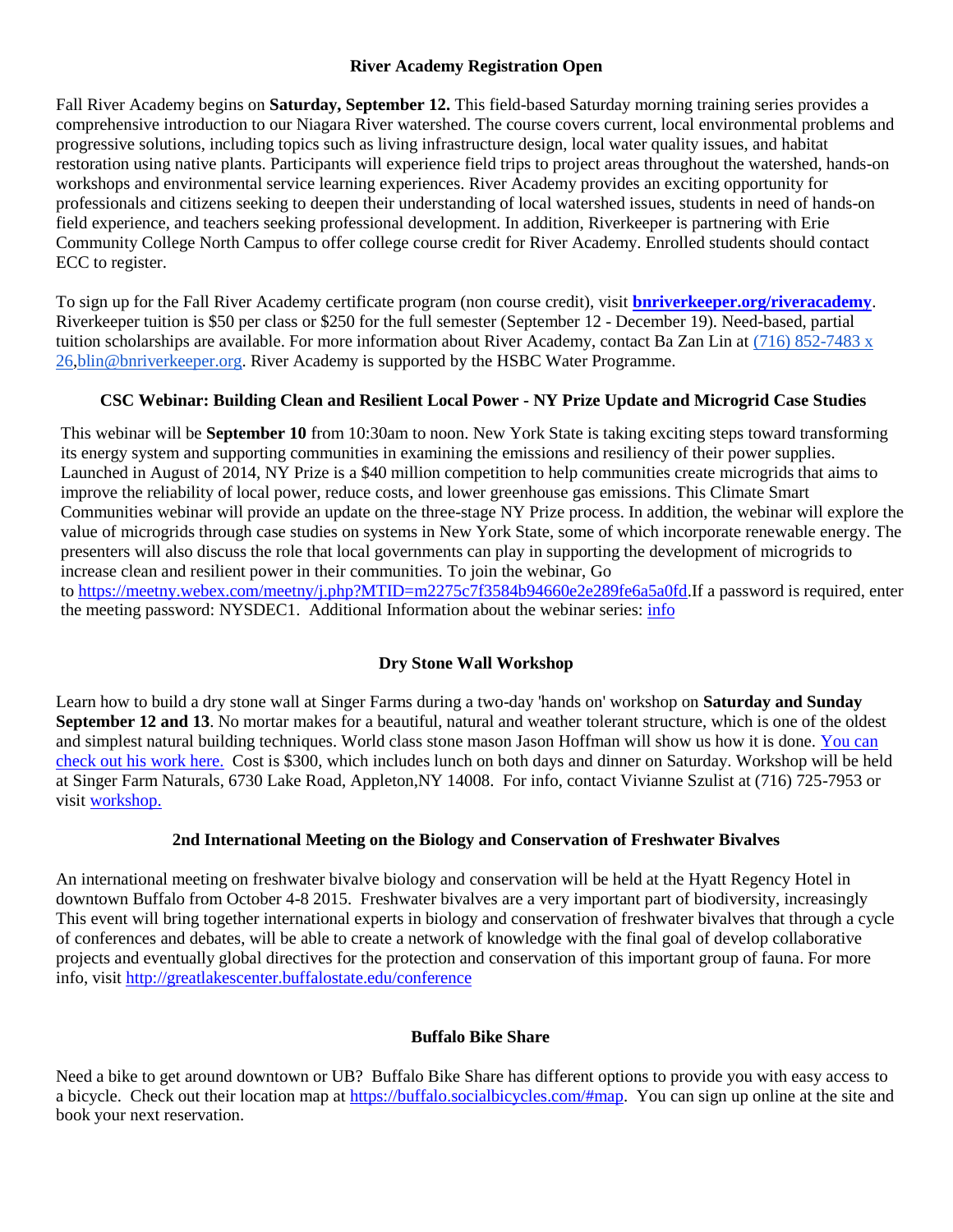#### **River Academy Registration Open**

Fall River Academy begins on **Saturday, September 12.** This field-based Saturday morning training series provides a comprehensive introduction to our Niagara River watershed. The course covers current, local environmental problems and progressive solutions, including topics such as living infrastructure design, local water quality issues, and habitat restoration using native plants. Participants will experience field trips to project areas throughout the watershed, hands-on workshops and environmental service learning experiences. River Academy provides an exciting opportunity for professionals and citizens seeking to deepen their understanding of local watershed issues, students in need of hands-on field experience, and teachers seeking professional development. In addition, Riverkeeper is partnering with Erie Community College North Campus to offer college course credit for River Academy. Enrolled students should contact ECC to register.

To sign up for the Fall River Academy certificate program (non course credit), visit **[bnriverkeeper.org/riveracademy](http://r20.rs6.net/tn.jsp?f=001Tr2n-yz_CXacYEJ0oq5hQFQ2OykAmRRac9OW68n9RzDlhtocAT3dUTGpWsbtPDSFmVHott2NcErX3eos1BGk-ytcqEY2pB_mBeWja61wF7pO7VBKHVXREZj1jrBTOI2fId6neTKTzxwgWOYx7JGf2fFxqbPk2rbJTj-BphZp0iTWv-JRGCrjR0takkcDy_nW&c=4ivxcE0JkRRcuMNhSwswB0mXrNFuZwSTVGJSFUyFw5V8NqQ_V_5LrA==&ch=1P4CCuV9XF9nB5qHXDgHO0UbYX6Lr8StfEIxOVeo-SqbFxCPIP77dA==)**. Riverkeeper tuition is \$50 per class or \$250 for the full semester (September 12 - December 19). Need-based, partial tuition scholarships are available. For more information about River Academy, contact Ba Zan Lin at [\(716\) 852-7483 x](tel:%28716%29%20852-7483%20x%2026)  [26,](tel:%28716%29%20852-7483%20x%2026)[blin@bnriverkeeper.org.](mailto:blin@bnriverkeeper.org) River Academy is supported by the HSBC Water Programme.

# **CSC Webinar: Building Clean and Resilient Local Power - NY Prize Update and Microgrid Case Studies**

This webinar will be **September 10** from 10:30am to noon. New York State is taking exciting steps toward transforming its energy system and supporting communities in examining the emissions and resiliency of their power supplies. Launched in August of 2014, NY Prize is a \$40 million competition to help communities create microgrids that aims to improve the reliability of local power, reduce costs, and lower greenhouse gas emissions. This Climate Smart Communities webinar will provide an update on the three-stage NY Prize process. In addition, the webinar will explore the value of microgrids through case studies on systems in New York State, some of which incorporate renewable energy. The presenters will also discuss the role that local governments can play in supporting the development of microgrids to increase clean and resilient power in their communities. To join the webinar, Go to [https://meetny.webex.com/meetny/j.php?MTID=m2275c7f3584b94660e2e289fe6a5a0fd.](https://meetny.webex.com/meetny/j.php?MTID=m2275c7f3584b94660e2e289fe6a5a0fd)If a password is required, enter the meeting password: NYSDEC1. Additional Information about the webinar series: [info](http://www.dec.ny.gov/energy/76910.html)

# **Dry Stone Wall Workshop**

Learn how to build a dry stone wall at Singer Farms during a two-day 'hands on' workshop on **Saturday and Sunday September 12 and 13**. No mortar makes for a beautiful, natural and weather tolerant structure, which is one of the oldest and simplest natural building techniques. World class stone mason Jason Hoffman will show us how it is done. [You can](http://clicks.aweber.com/y/ct/?l=FT4Po&m=3n24szxZIKbVEfX&b=lobI4r1CgB4o.SZjwG6ATA)  check [out his work here.](http://clicks.aweber.com/y/ct/?l=FT4Po&m=3n24szxZIKbVEfX&b=lobI4r1CgB4o.SZjwG6ATA) Cost is \$300, which includes lunch on both days and dinner on Saturday. Workshop will be held at Singer Farm Naturals, 6730 Lake Road, Appleton,NY 14008. For info, contact Vivianne Szulist at (716) 725-7953 or visi[t workshop.](http://singerfarmnaturals.com/ai1ec_event/dry-stone-walling-a-two-day-workshop/?instance_id=6156)

# **2nd International Meeting on the Biology and Conservation of Freshwater Bivalves**

An international meeting on freshwater bivalve biology and conservation will be held at the Hyatt Regency Hotel in downtown Buffalo from October 4-8 2015. Freshwater bivalves are a very important part of biodiversity, increasingly This event will bring together international experts in biology and conservation of freshwater bivalves that through a cycle of conferences and debates, will be able to create a network of knowledge with the final goal of develop collaborative projects and eventually global directives for the protection and conservation of this important group of fauna. For more info, visit<http://greatlakescenter.buffalostate.edu/conference>

#### **Buffalo Bike Share**

Need a bike to get around downtown or UB? Buffalo Bike Share has different options to provide you with easy access to a bicycle. Check out their location map at [https://buffalo.socialbicycles.com/#map.](https://buffalo.socialbicycles.com/#map) You can sign up online at the site and book your next reservation.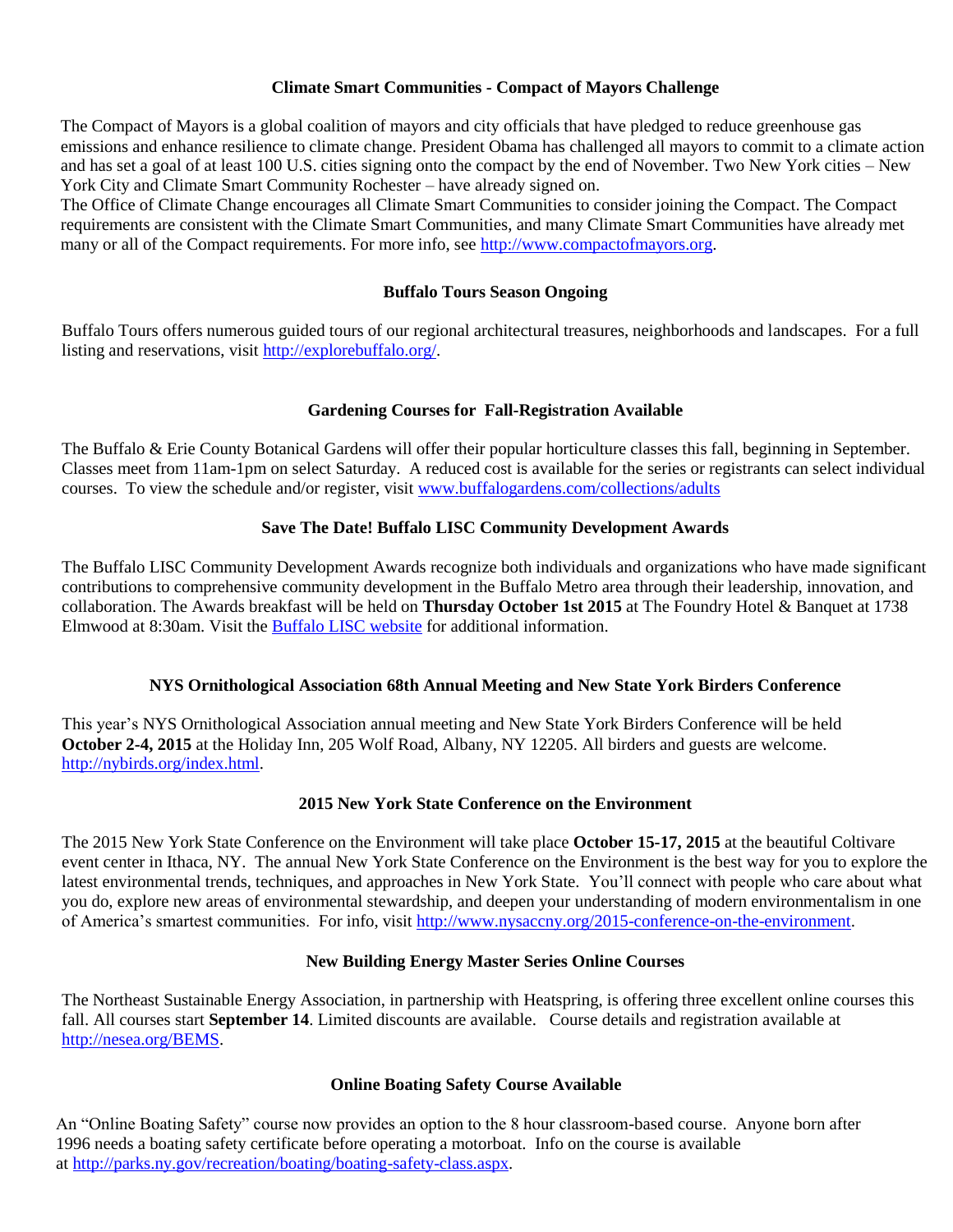#### **Climate Smart Communities - Compact of Mayors Challenge**

The Compact of Mayors is a global coalition of mayors and city officials that have pledged to reduce greenhouse gas emissions and enhance resilience to climate change. President Obama has challenged all mayors to commit to a climate action and has set a goal of at least 100 U.S. cities signing onto the compact by the end of November. Two New York cities – New York City and Climate Smart Community Rochester – have already signed on.

The Office of Climate Change encourages all Climate Smart Communities to consider joining the Compact. The Compact requirements are consistent with the Climate Smart Communities, and many Climate Smart Communities have already met many or all of the Compact requirements. For more info, see [http://www.compactofmayors.org.](http://links.govdelivery.com/track?type=click&enid=ZWFzPTEmbWFpbGluZ2lkPTIwMTUwOTAxLjQ4NjE0MzkxJm1lc3NhZ2VpZD1NREItUFJELUJVTC0yMDE1MDkwMS40ODYxNDM5MSZkYXRhYmFzZWlkPTEwMDEmc2VyaWFsPTE2ODkyNTc4JmVtYWlsaWQ9YnlvdW5nQGRhZW1lbi5lZHUmdXNlcmlkPWJ5b3VuZ0BkYWVtZW4uZWR1JmZsPSZleHRyYT1NdWx0aXZhcmlhdGVJZD0mJiY=&&&103&&&http://www.compactofmayors.org)

#### **Buffalo Tours Season Ongoing**

Buffalo Tours offers numerous guided tours of our regional architectural treasures, neighborhoods and landscapes. For a full listing and reservations, visit [http://explorebuffalo.org/.](http://explorebuffalo.org/)

### **Gardening Courses for Fall-Registration Available**

The Buffalo & Erie County Botanical Gardens will offer their popular horticulture classes this fall, beginning in September. Classes meet from 11am-1pm on select Saturday. A reduced cost is available for the series or registrants can select individual courses. To view the schedule and/or register, visit [www.buffalogardens.com/collections/adults](http://www.buffalogardens.com/collections/adults)

### **Save The Date! Buffalo LISC Community Development Awards**

The Buffalo LISC Community Development Awards recognize both individuals and organizations who have made significant contributions to comprehensive community development in the Buffalo Metro area through their leadership, innovation, and collaboration. The Awards breakfast will be held on **Thursday October 1st 2015** at The Foundry Hotel & Banquet at 1738 Elmwood at 8:30am. Visit the [Buffalo LISC website](http://buffalolisc.cmail20.com/t/r-l-fluyhik-ikodiltky-c/) for additional information.

#### **NYS Ornithological Association 68th Annual Meeting and New State York Birders Conference**

This year's NYS Ornithological Association annual meeting and New State York Birders Conference will be held **October 2-4, 2015** at the Holiday Inn, 205 Wolf Road, Albany, NY 12205. All birders and guests are welcome. [http://nybirds.org/index.html.](http://nybirds.org/index.html)

#### **2015 New York State Conference on the Environment**

The 2015 New York State Conference on the Environment will take place **October 15-17, 2015** at the beautiful Coltivare event center in Ithaca, NY. The annual New York State Conference on the Environment is the best way for you to explore the latest environmental trends, techniques, and approaches in New York State. You'll connect with people who care about what you do, explore new areas of environmental stewardship, and deepen your understanding of modern environmentalism in one of America's smartest communities. For info, visit [http://www.nysaccny.org/2015-conference-on-the-environment.](http://www.nysaccny.org/2015-conference-on-the-environment)

#### **New Building Energy Master Series Online Courses**

The Northeast Sustainable Energy Association, in partnership with Heatspring, is offering three excellent online courses this fall. All courses start **September 14**. Limited discounts are available. Course details and registration available at [http://nesea.org/BEMS.](http://nesea.org/BEMS)

#### **Online Boating Safety Course Available**

An "Online Boating Safety" course now provides an option to the 8 hour classroom-based course. Anyone born after 1996 needs a boating safety certificate before operating a motorboat. Info on the course is available at [http://parks.ny.gov/recreation/boating/boating-safety-class.aspx.](http://parks.ny.gov/recreation/boating/boating-safety-class.aspx)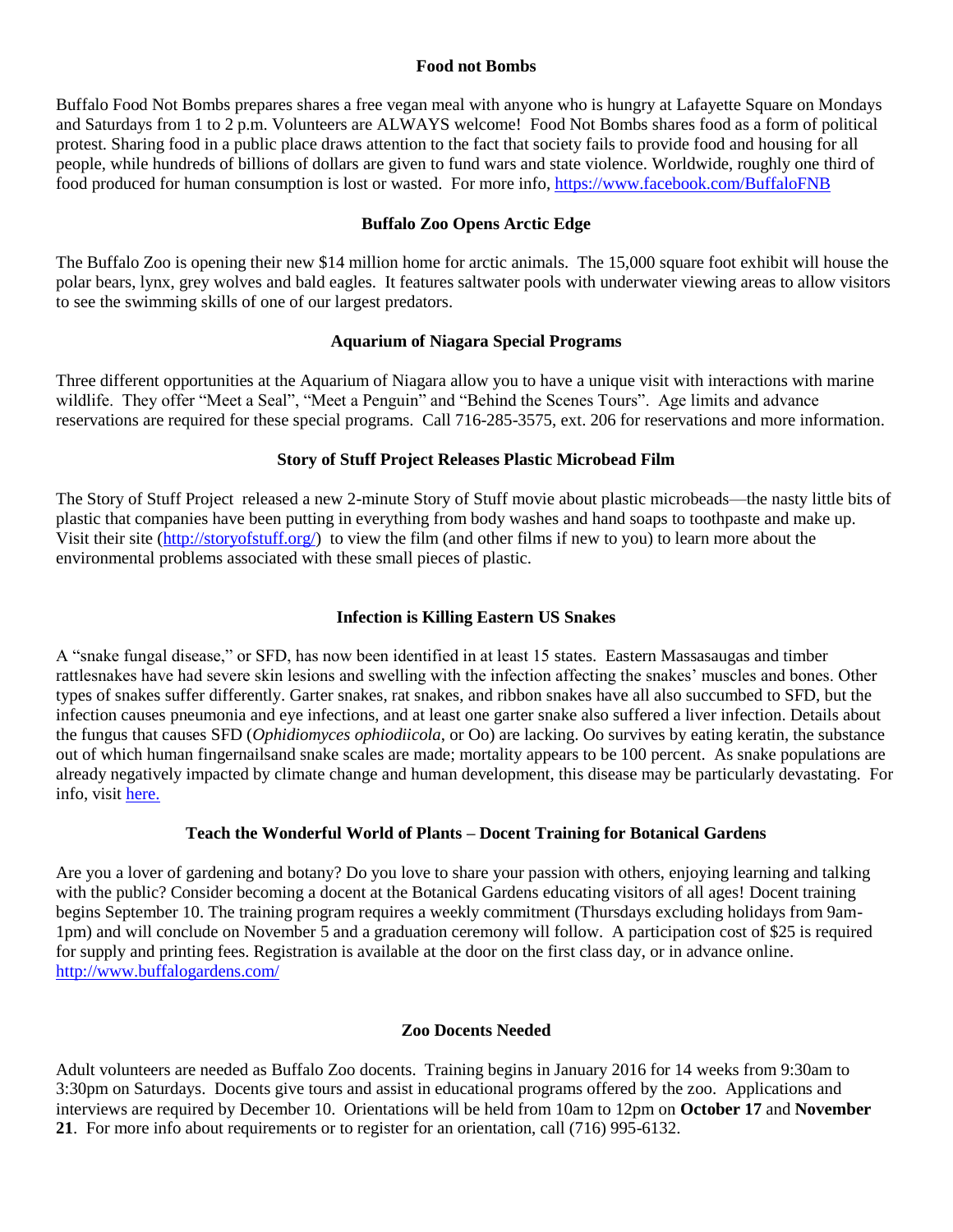#### **Food not Bombs**

Buffalo Food Not Bombs prepares shares a free vegan meal with anyone who is hungry at Lafayette Square on Mondays and Saturdays from 1 to 2 p.m. Volunteers are ALWAYS welcome! Food Not Bombs shares food as a form of political protest. Sharing food in a public place draws attention to the fact that society fails to provide food and housing for all people, while hundreds of billions of dollars are given to fund wars and state violence. Worldwide, roughly one third of food produced for human consumption is lost or wasted. For more info,<https://www.facebook.com/BuffaloFNB>

#### **Buffalo Zoo Opens Arctic Edge**

The Buffalo Zoo is opening their new \$14 million home for arctic animals. The 15,000 square foot exhibit will house the polar bears, lynx, grey wolves and bald eagles. It features saltwater pools with underwater viewing areas to allow visitors to see the swimming skills of one of our largest predators.

### **Aquarium of Niagara Special Programs**

Three different opportunities at the Aquarium of Niagara allow you to have a unique visit with interactions with marine wildlife. They offer "Meet a Seal", "Meet a Penguin" and "Behind the Scenes Tours". Age limits and advance reservations are required for these special programs. Call 716-285-3575, ext. 206 for reservations and more information.

### **Story of Stuff Project Releases Plastic Microbead Film**

The Story of Stuff Project released a new 2-minute Story of Stuff movie about plastic microbeads—the nasty little bits of plastic that companies have been putting in everything from body washes and hand soaps to toothpaste and make up. Visit their site [\(http://storyofstuff.org/\)](http://storyofstuff.org/) to view the film (and other films if new to you) to learn more about the environmental problems associated with these small pieces of plastic.

# **Infection is Killing Eastern US Snakes**

A "snake fungal disease," or SFD, has now been identified in at least 15 states. Eastern Massasaugas and timber rattlesnakes have had severe skin lesions and swelling with the infection affecting the snakes' muscles and bones. Other types of snakes suffer differently. Garter snakes, rat snakes, and ribbon snakes have all also succumbed to SFD, but the infection causes pneumonia and eye infections, and at least one garter snake also suffered a liver infection. Details about the fungus that causes SFD (*Ophidiomyces ophiodiicola*, or Oo) are lacking. Oo survives by eating keratin, the substance out of which human fingernailsand snake scales are made; mortality appears to be 100 percent. As snake populations are already negatively impacted by climate change and human development, this disease may be particularly devastating. For info, visit [here.](http://www.northeastparc.org/products/pdfs/NEPARC_SnakeFungalDiseaseFAQ.pdf)

#### **Teach the Wonderful World of Plants – Docent Training for Botanical Gardens**

Are you a lover of gardening and botany? Do you love to share your passion with others, enjoying learning and talking with the public? Consider becoming a docent at the Botanical Gardens educating visitors of all ages! Docent training begins September 10. The training program requires a weekly commitment (Thursdays excluding holidays from 9am-1pm) and will conclude on November 5 and a graduation ceremony will follow. A participation cost of \$25 is required for supply and printing fees. Registration is available at the door on the first class day, or in advance online. <http://www.buffalogardens.com/>

#### **Zoo Docents Needed**

Adult volunteers are needed as Buffalo Zoo docents. Training begins in January 2016 for 14 weeks from 9:30am to 3:30pm on Saturdays. Docents give tours and assist in educational programs offered by the zoo. Applications and interviews are required by December 10. Orientations will be held from 10am to 12pm on **October 17** and **November 21**. For more info about requirements or to register for an orientation, call (716) 995-6132.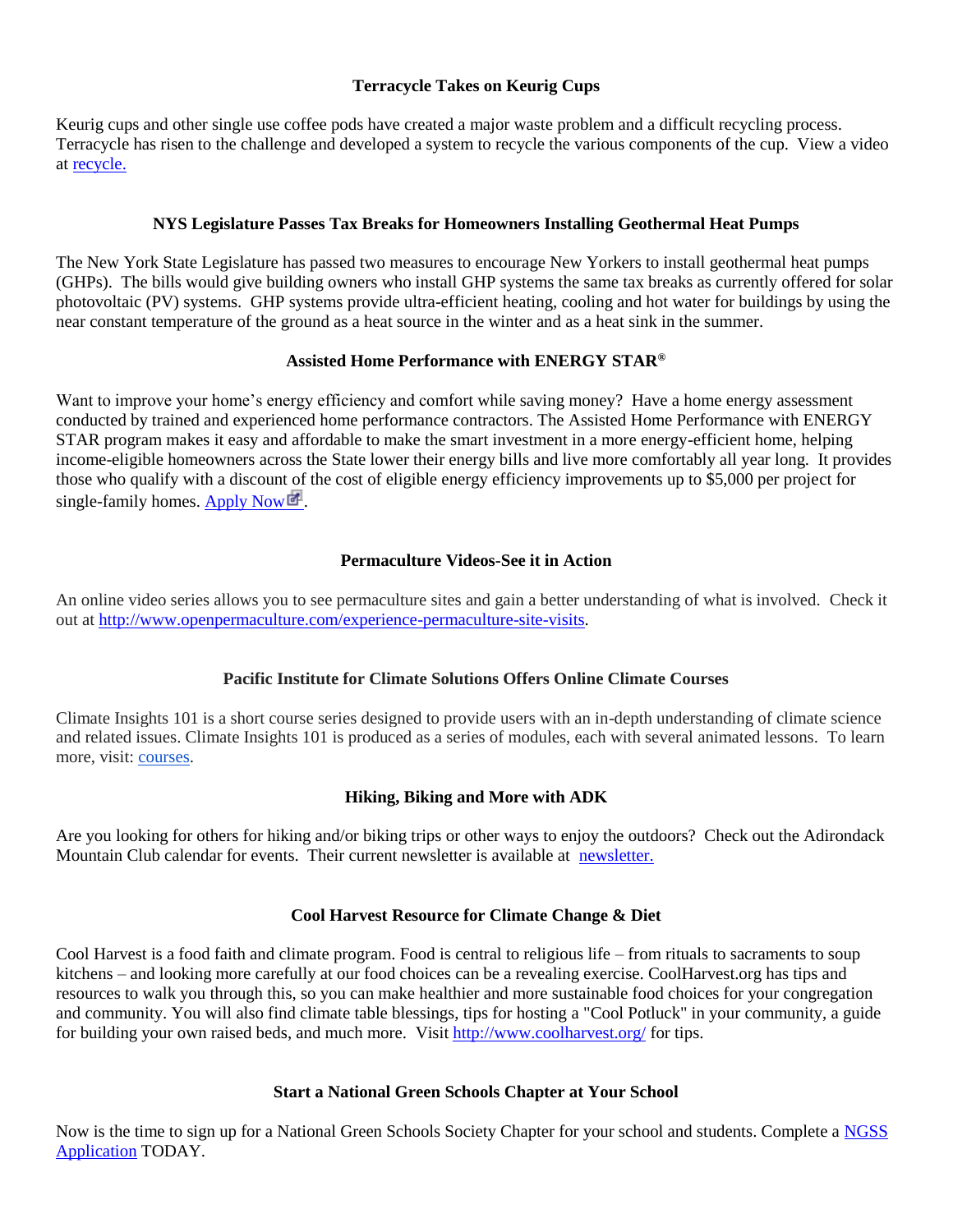# **Terracycle Takes on Keurig Cups**

Keurig cups and other single use coffee pods have created a major waste problem and a difficult recycling process. Terracycle has risen to the challenge and developed a system to recycle the various components of the cup. View a video at [recycle.](http://www.takepart.com/video/2015/07/29/ball-dan-harris?cmpid=tpenviro-eml-2015-08-01-germany)

### **NYS Legislature Passes Tax Breaks for Homeowners Installing Geothermal Heat Pumps**

The New York State Legislature has passed two measures to encourage New Yorkers to install geothermal heat pumps (GHPs). The bills would give building owners who install GHP systems the same tax breaks as currently offered for solar photovoltaic (PV) systems. GHP systems provide ultra-efficient heating, cooling and hot water for buildings by using the near constant temperature of the ground as a heat source in the winter and as a heat sink in the summer.

#### **Assisted Home Performance with ENERGY STAR®**

Want to improve your home's energy efficiency and comfort while saving money? Have a home energy assessment conducted by trained and experienced home performance contractors. The Assisted Home Performance with ENERGY STAR program makes it easy and affordable to make the smart investment in a more energy-efficient home, helping income-eligible homeowners across the State lower their energy bills and live more comfortably all year long. It provides those who qualify with a discount of the cost of eligible energy efficiency improvements up to \$5,000 per project for single-family homes. Apply  $Now$ 

### **Permaculture Videos-See it in Action**

An online video series allows you to see permaculture sites and gain a better understanding of what is involved. Check it out at [http://www.openpermaculture.com/experience-permaculture-site-visits.](http://www.openpermaculture.com/experience-permaculture-site-visits)

# **Pacific Institute for Climate Solutions Offers Online Climate Courses**

Climate Insights 101 is a short course series designed to provide users with an in-depth understanding of climate science and related issues. Climate Insights 101 is produced as a series of modules, each with several animated lessons. To learn more, visit: [courses.](http://pics.uvic.ca/education/climate-insights-101)

# **Hiking, Biking and More with ADK**

Are you looking for others for hiking and/or biking trips or other ways to enjoy the outdoors? Check out the Adirondack Mountain Club calendar for events. Their current newsletter is available at [newsletter.](http://adk-nfc.org/wp-content/uploads/2014/05/September-2015-ADIRONDACK-MOUNTAIN-CLUB.pdf)

#### **Cool Harvest Resource for Climate Change & Diet**

Cool Harvest is a food faith and climate program. Food is central to religious life – from rituals to sacraments to soup kitchens – and looking more carefully at our food choices can be a revealing exercise. CoolHarvest.org has tips and resources to walk you through this, so you can make healthier and more sustainable food choices for your congregation and community. You will also find climate table blessings, tips for hosting a "Cool Potluck" in your community, a guide for building your own raised beds, and much more. Visit<http://www.coolharvest.org/> for tips.

#### **Start a National Green Schools Chapter at Your School**

Now is the time to sign up for a National Green Schools Society Chapter for your school and students. Complete a [NGSS](http://r20.rs6.net/tn.jsp?f=001Vep-ufphYvE6PLPb2NQNB9hqQm2H36nBpJrSwLyLS8Z2njdMVNq9UtMHWLpkEO5_-VR0aIJHAmeOtgbkB8bx0MxyEvNR1nVLGSZ0jVsDs13J64FGaKX3DvunklSim8Z5WrLHGCh6HFf2yFS_znyGjVRmqbCLbB6dRHzxWLcTZc2M5fC-ayNNXnWTjFSPgCMEnLub3xdEq6nT-mi4STSJmg==&c=hcU-qn-oZli3GTjnMOL3wxiL3D5rtkL1qlMCdVhRoLtCR4nOSx1LGg==&ch=CBxiWmmXaFmA0i1XTRN391nrRuwqB48ln2q23q7YE2Lg-E235kWqvg==)  [Application](http://r20.rs6.net/tn.jsp?f=001Vep-ufphYvE6PLPb2NQNB9hqQm2H36nBpJrSwLyLS8Z2njdMVNq9UtMHWLpkEO5_-VR0aIJHAmeOtgbkB8bx0MxyEvNR1nVLGSZ0jVsDs13J64FGaKX3DvunklSim8Z5WrLHGCh6HFf2yFS_znyGjVRmqbCLbB6dRHzxWLcTZc2M5fC-ayNNXnWTjFSPgCMEnLub3xdEq6nT-mi4STSJmg==&c=hcU-qn-oZli3GTjnMOL3wxiL3D5rtkL1qlMCdVhRoLtCR4nOSx1LGg==&ch=CBxiWmmXaFmA0i1XTRN391nrRuwqB48ln2q23q7YE2Lg-E235kWqvg==) TODAY.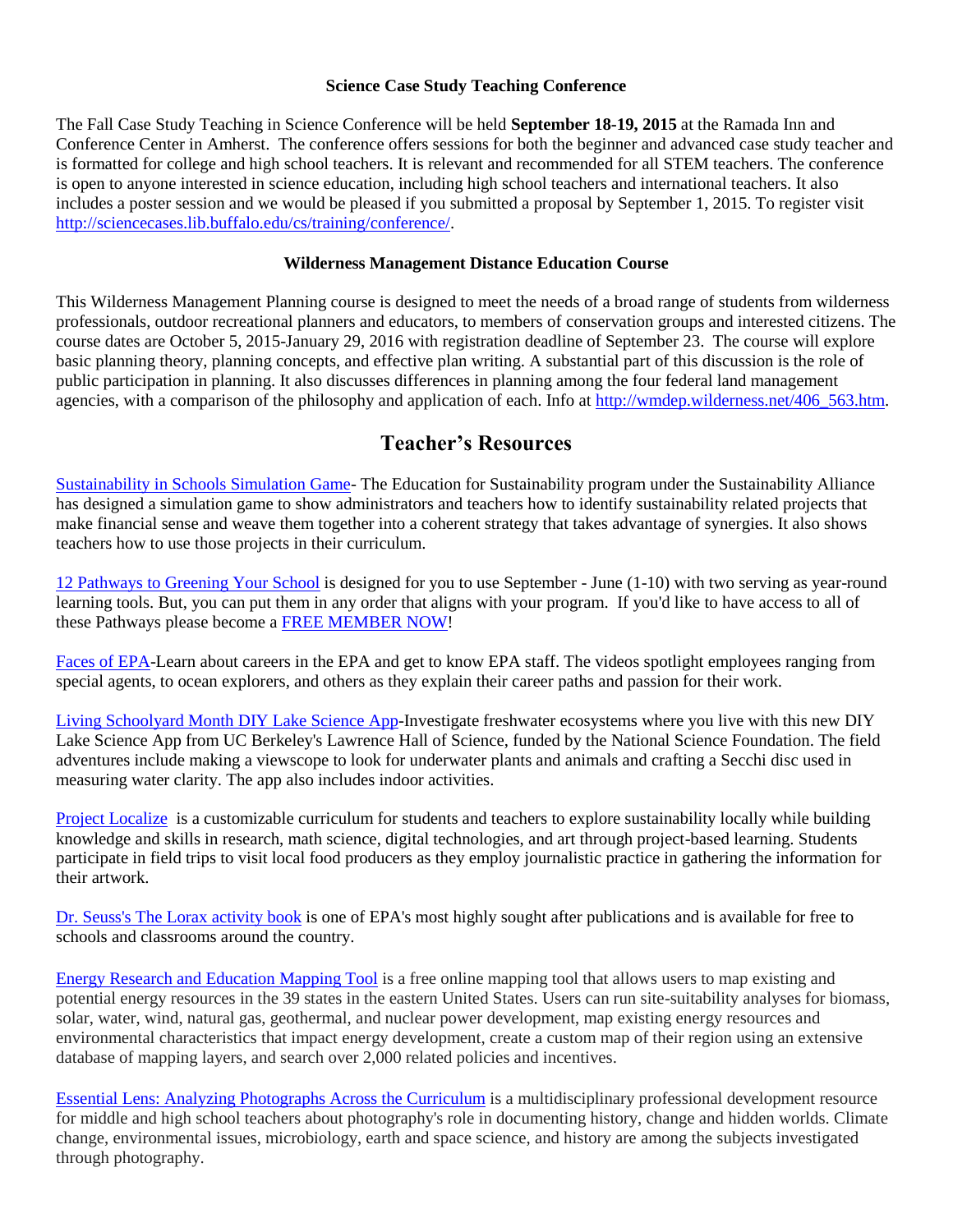#### **Science Case Study Teaching Conference**

The Fall Case Study Teaching in Science Conference will be held **September 18-19, 2015** at the Ramada Inn and Conference Center in Amherst. The conference offers sessions for both the beginner and advanced case study teacher and is formatted for college and high school teachers. It is relevant and recommended for all STEM teachers. The conference is open to anyone interested in science education, including high school teachers and international teachers. It also includes a poster session and we would be pleased if you submitted a proposal by September 1, 2015. To register visit [http://sciencecases.lib.buffalo.edu/cs/training/conference/.](http://sciencecases.lib.buffalo.edu/cs/training/conference/)

#### **Wilderness Management Distance Education Course**

This Wilderness Management Planning course is designed to meet the needs of a broad range of students from wilderness professionals, outdoor recreational planners and educators, to members of conservation groups and interested citizens. The course dates are October 5, 2015-January 29, 2016 with registration deadline of September 23. The course will explore basic planning theory, planning concepts, and effective plan writing. A substantial part of this discussion is the role of public participation in planning. It also discusses differences in planning among the four federal land management agencies, with a comparison of the philosophy and application of each. Info at [http://wmdep.wilderness.net/406\\_563.htm.](http://wmdep.wilderness.net/406_563.htm)

# **Teacher's Resources**

[Sustainability in Schools Simulation Game-](http://www.sustainabilityallianceaz.org/2015/03/sustainability-in-schools-simulation.html) The Education for Sustainability program under the Sustainability Alliance has designed a simulation game to show administrators and teachers how to identify sustainability related projects that make financial sense and weave them together into a coherent strategy that takes advantage of synergies. It also shows teachers how to use those projects in their curriculum.

[12 Pathways to Greening Your School](http://r20.rs6.net/tn.jsp?f=001KgI7TnhrpXIJi28BOl6ZV8etBpFiX_75D-mXHVQHvPHk-mLWVZDv4RvXqIk5XcqW8GxcnH6OoowMskty-J-vK7lSDP04XqoQDbd4HrqSlhfQiDZlqynVFZHHs2TlOl28rPi7aKlJlSjFLvKjc8CNIAy-G6ay86Orn1jMLMqCFWX72DQ7Jo8glgDwaQz6z_chEFWb5SWJUm8=&c=6BR5YuVWC1W6Jo3-7-EQVdjQiW_MTaVQeBkaocAGO-TrXfGLA-LTPQ==&ch=LFW3Om0ROQ3vzp6Sl5YW-l4fqojS5IwYPbWmSDJCBhyJy6ZHJWg0Ag==) is designed for you to use September - June (1-10) with two serving as year-round learning tools. But, you can put them in any order that aligns with your program. If you'd like to have access to all of these Pathways please become a [FREE MEMBER](http://r20.rs6.net/tn.jsp?f=001KgI7TnhrpXIJi28BOl6ZV8etBpFiX_75D-mXHVQHvPHk-mLWVZDv4VOw2uGS6I3VHIS_hKUuDdMadmSRo9dF5qMD5hYAM7EcJVpfvkqrRmE9R3A4Gc36otdI74tDxNOaSrMzqAbjwTNmcwStioBl3mekdwVnPE7lEODy_hzBBkw1zdi58nClf8PfnNlARuLlG3wr7I-Pw8A=&c=6BR5YuVWC1W6Jo3-7-EQVdjQiW_MTaVQeBkaocAGO-TrXfGLA-LTPQ==&ch=LFW3Om0ROQ3vzp6Sl5YW-l4fqojS5IwYPbWmSDJCBhyJy6ZHJWg0Ag==) NOW!

[Faces of EPA-](https://www.youtube.com/playlist?list=PLBhfkkujnoRD-7H1lYa5FQ10AFgsjbnlh)Learn about careers in the EPA and get to know EPA staff. The videos spotlight employees ranging from special agents, to ocean explorers, and others as they explain their career paths and passion for their work.

[Living Schoolyard Month](http://www.classroomscience.org/new-free-diy-lake-science-app) DIY Lake Science App-Investigate freshwater ecosystems where you live with this new DIY Lake Science App from UC Berkeley's Lawrence Hall of Science, funded by the National Science Foundation. The field adventures include making a viewscope to look for underwater plants and animals and crafting a Secchi disc used in measuring water clarity. The app also includes indoor activities.

[Project Localize](http://lexiconofsustainability.com/project-localize) is a customizable curriculum for students and teachers to explore sustainability locally while building knowledge and skills in research, math science, digital technologies, and art through project-based learning. Students participate in field trips to visit local food producers as they employ journalistic practice in gathering the information for their artwork.

[Dr. Seuss's The Lorax](http://go.usa.gov/3Z5bC) activity book is one of EPA's most highly sought after publications and is available for free to schools and classrooms around the country.

[Energy Research and Education](https://eispctools.anl.gov/) Mapping Tool is a free online mapping tool that allows users to map existing and potential energy resources in the 39 states in the eastern United States. Users can run site-suitability analyses for biomass, solar, water, wind, natural gas, geothermal, and nuclear power development, map existing energy resources and environmental characteristics that impact energy development, create a custom map of their region using an extensive database of mapping layers, and search over 2,000 related policies and incentives.

[Essential Lens: Analyzing Photographs Across the Curriculum](http://www.learner.org/resources/series223.html) is a multidisciplinary professional development resource for middle and high school teachers about photography's role in documenting history, change and hidden worlds. Climate change, environmental issues, microbiology, earth and space science, and history are among the subjects investigated through photography.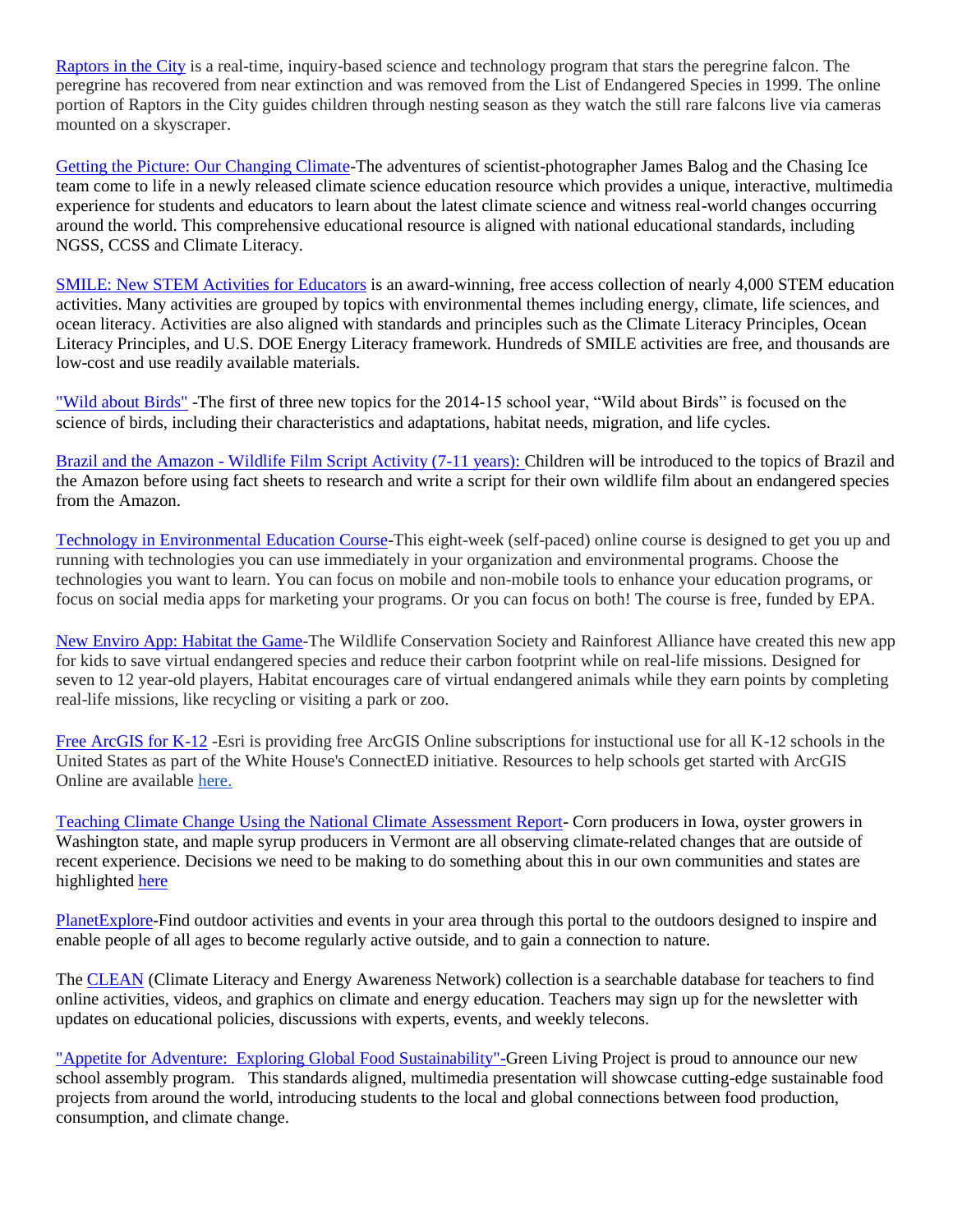[Raptors in the City](http://www.raptorsinthecity.org/) is a real-time, inquiry-based science and technology program that stars the peregrine falcon. The peregrine has recovered from near extinction and was removed from the List of Endangered Species in 1999. The online portion of Raptors in the City guides children through nesting season as they watch the still rare falcons live via cameras mounted on a skyscraper.

[Getting the Picture: Our Changing Climate-](http://www.gettingthepicture.info/)The adventures of scientist-photographer James Balog and the Chasing Ice team come to life in a newly released climate science education resource which provides a unique, interactive, multimedia experience for students and educators to learn about the latest climate science and witness real-world changes occurring around the world. This comprehensive educational resource is aligned with national educational standards, including NGSS, CCSS and Climate Literacy.

[SMILE: New STEM Activities for Educators](http://www.howtosmile.org/) is an award-winning, free access collection of nearly 4,000 STEM education activities. Many activities are grouped by topics with environmental themes including energy, climate, life sciences, and ocean literacy. Activities are also aligned with standards and principles such as the Climate Literacy Principles, Ocean Literacy Principles, and U.S. DOE Energy Literacy framework. Hundreds of SMILE activities are free, and thousands are low-cost and use readily available materials.

["Wild about Birds"](http://www.audubonadventures.org/wild_about_birds_kids.htm) -The first of three new topics for the 2014-15 school year, "Wild about Birds" is focused on the science of birds, including their characteristics and adaptations, habitat needs, migration, and life cycles.

Brazil and the Amazon - [Wildlife Film Script Activity \(7-11 years\):](http://arkive.us1.list-manage.com/track/click?u=722a3ad7755a24108f2cd402e&id=9d5e7b1431&e=3c35a8dec8) Children will be introduced to the topics of Brazil and the Amazon before using fact sheets to research and write a script for their own wildlife film about an endangered species from the Amazon.

[Technology in Environmental Education Course-](https://sites.google.com/a/eelearn.net/eelearning-portal/courses/using-technology-in-environmental-education)This eight-week (self-paced) online course is designed to get you up and running with technologies you can use immediately in your organization and environmental programs. Choose the technologies you want to learn. You can focus on mobile and non-mobile tools to enhance your education programs, or focus on social media apps for marketing your programs. Or you can focus on both! The course is free, funded by EPA.

[New Enviro App: Habitat the Game-](http://www.habitatthegame.com/)The Wildlife Conservation Society and Rainforest Alliance have created this new app for kids to save virtual endangered species and reduce their carbon footprint while on real-life missions. Designed for seven to 12 year-old players, Habitat encourages care of virtual endangered animals while they earn points by completing real-life missions, like recycling or visiting a park or zoo.

[Free ArcGIS for K-12](http://connected.esri.com/) -Esri is providing free ArcGIS Online subscriptions for instuctional use for all K-12 schools in the United States as part of the White House's ConnectED initiative. Resources to help schools get started with ArcGIS Online are available [here.](http://edcommunity.esri.com/connected)

[Teaching Climate Change Using the National Climate Assessment Report-](http://www.globalchange.gov/) Corn producers in Iowa, oyster growers in Washington state, and maple syrup producers in Vermont are all observing climate-related changes that are outside of recent experience. Decisions we need to be making to do something about this in our own communities and states are highlighted [here](http://nca2014.globalchange.gov/report#section-1949)

[PlanetExplore-](http://www.planetexplore.com/)Find outdoor activities and events in your area through this portal to the outdoors designed to inspire and enable people of all ages to become regularly active outside, and to gain a connection to nature.

The [CLEAN](http://www.cleanet.org/) (Climate Literacy and Energy Awareness Network) collection is a searchable database for teachers to find online activities, videos, and graphics on climate and energy education. Teachers may sign up for the newsletter with updates on educational policies, discussions with experts, events, and weekly telecons.

["Appetite for Adventure: Exploring Global Food Sustainability"-G](http://us4.forward-to-friend1.com/forward/preview?u=acc9eaac6e9378ecdf3304225&id=bf22ed48dc)reen Living Project is proud to announce our new school assembly program. This standards aligned, multimedia presentation will showcase cutting-edge sustainable food projects from around the world, introducing students to the local and global connections between food production, consumption, and climate change.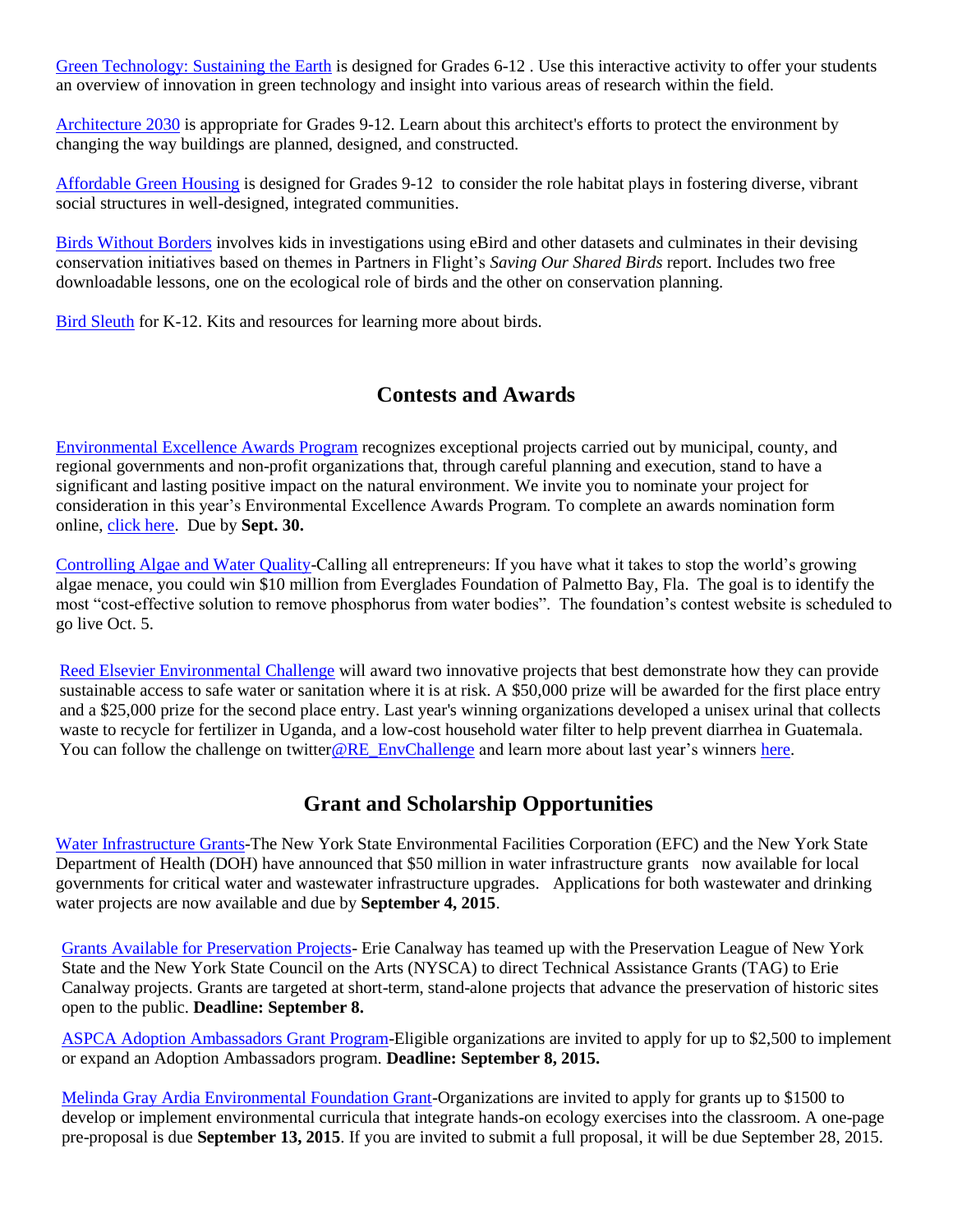[Green Technology: Sustaining the Earth](http://links.silverpop.eb2b.vtrnz.com/ctt?kn=11&ms=NjQ0NzA3NgS2&r=MjY3OTQ2Njc4NTQS1&b=0&j=NzY5MDY1MDMS1&mt=1&rt=0) is designed for Grades 6-12 . Use this interactive activity to offer your students an overview of innovation in green technology and insight into various areas of research within the field.

[Architecture 2030](http://links.silverpop.eb2b.vtrnz.com/ctt?kn=13&ms=NjQ0NzA3NgS2&r=MjY3OTQ2Njc4NTQS1&b=0&j=NzY5MDY1MDMS1&mt=1&rt=0) is appropriate for Grades 9-12. Learn about this architect's efforts to protect the environment by changing the way buildings are planned, designed, and constructed.

[Affordable Green Housing](http://links.silverpop.eb2b.vtrnz.com/ctt?kn=15&ms=NjQ0NzA3NgS2&r=MjY3OTQ2Njc4NTQS1&b=0&j=NzY5MDY1MDMS1&mt=1&rt=0) is designed for Grades 9-12 to consider the role habitat plays in fostering diverse, vibrant social structures in well-designed, integrated communities.

[Birds Without Borders](http://www.crossingboundaries.org/bwb.php) involves kids in investigations using eBird and other datasets and culminates in their devising conservation initiatives based on themes in Partners in Flight's *Saving Our Shared Birds* report. Includes two free downloadable lessons, one on the ecological role of birds and the other on conservation planning.

[Bird Sleuth](http://www.birdsleuth.org/?utm_source=Cornell+Lab+eNews&utm_campaign=fb7e4c32a2-Cornell_Lab_eNews_2013_3_07&utm_medium=email) for K-12. Kits and resources for learning more about birds.

# **Contests and Awards**

[Environmental Excellence Awards Program](http://www.nysaccny.org/environmental-excellence-awards-nomination-form) recognizes exceptional projects carried out by municipal, county, and regional governments and non-profit organizations that, through careful planning and execution, stand to have a significant and lasting positive impact on the natural environment. We invite you to nominate your project for consideration in this year's Environmental Excellence Awards Program. To complete an awards nomination form online, [click here.](http://www.nysaccny.org/environmental-excellence-awards-nomination-form) Due by **Sept. 30.**

[Controlling Algae and Water Quality-](http://www.evergladesfoundation.org/)Calling all entrepreneurs: If you have what it takes to stop the world's growing algae menace, you could win \$10 million from Everglades Foundation of Palmetto Bay, Fla. The goal is to identify the most "cost-effective solution to remove phosphorus from water bodies". The foundation's contest website is scheduled to go live Oct. 5.

[Reed Elsevier Environmental Challenge](http://communications.elsevier.com/r/?id=h143e7d66,721124e,72a8f0f&utm_campaign=ELS_STBK_20150806-030_WWWpreshow&utm_campaignPK=119606907&utm_term=OP14306&utm_content=119607886&utm_source=35&BID=339639654&utm_medium=email&SIS_ID=0) will award two innovative projects that best demonstrate how they can provide sustainable access to safe water or sanitation where it is at risk. A \$50,000 prize will be awarded for the first place entry and a \$25,000 prize for the second place entry. Last year's winning organizations developed a unisex urinal that collects waste to recycle for fertilizer in Uganda, and a low-cost household water filter to help prevent diarrhea in Guatemala. You can follow the challenge on twitte[r@RE\\_EnvChallenge](http://communications.elsevier.com/r/?id=h143e7d66,721124e,72a8f10&utm_campaign=ELS_STBK_20150806-030_WWWpreshow&utm_campaignPK=119606907&utm_term=OP14306&utm_content=119607886&utm_source=35&BID=339639654&utm_medium=email&SIS_ID=0) and learn more about last year's winners [here.](http://communications.elsevier.com/r/?id=h143e7d66,721124e,72a8f11&utm_campaign=ELS_STBK_20150806-030_WWWpreshow&utm_campaignPK=119606907&utm_term=OP14306&utm_content=119607886&utm_source=35&BID=339639654&utm_medium=email&SIS_ID=0)

# **Grant and Scholarship Opportunities**

[Water Infrastructure Grants-](http://www.efc.ny.gov/NYSwatergrants)The New York State Environmental Facilities Corporation (EFC) and the New York State Department of Health (DOH) have announced that \$50 million in water infrastructure grants now available for local governments for critical water and wastewater infrastructure upgrades. Applications for both wastewater and drinking water projects are now available and due by **September 4, 2015**.

[Grants Available for Preservation Projects-](http://www.preservenys.org/tag---technical-assistance-grants.html) Erie Canalway has teamed up with the Preservation League of New York State and the New York State Council on the Arts (NYSCA) to direct Technical Assistance Grants (TAG) to Erie Canalway projects. Grants are targeted at short-term, stand-alone projects that advance the preservation of historic sites open to the public. **Deadline: September 8.**

[ASPCA Adoption Ambassadors Grant Program-](http://www.aspcapro.org/grant/2015/08/03/aspca-adoption-ambassadors-grant-program)Eligible organizations are invited to apply for up to \$2,500 to implement or expand an Adoption Ambassadors program. **Deadline: September 8, 2015.**

[Melinda Gray Ardia Environmental Foundation Grant-](http://www.mgaef.org/grants.htm)Organizations are invited to apply for grants up to \$1500 to develop or implement environmental curricula that integrate hands-on ecology exercises into the classroom. A one-page pre-proposal is due **September 13, 2015**. If you are invited to submit a full proposal, it will be due September 28, 2015.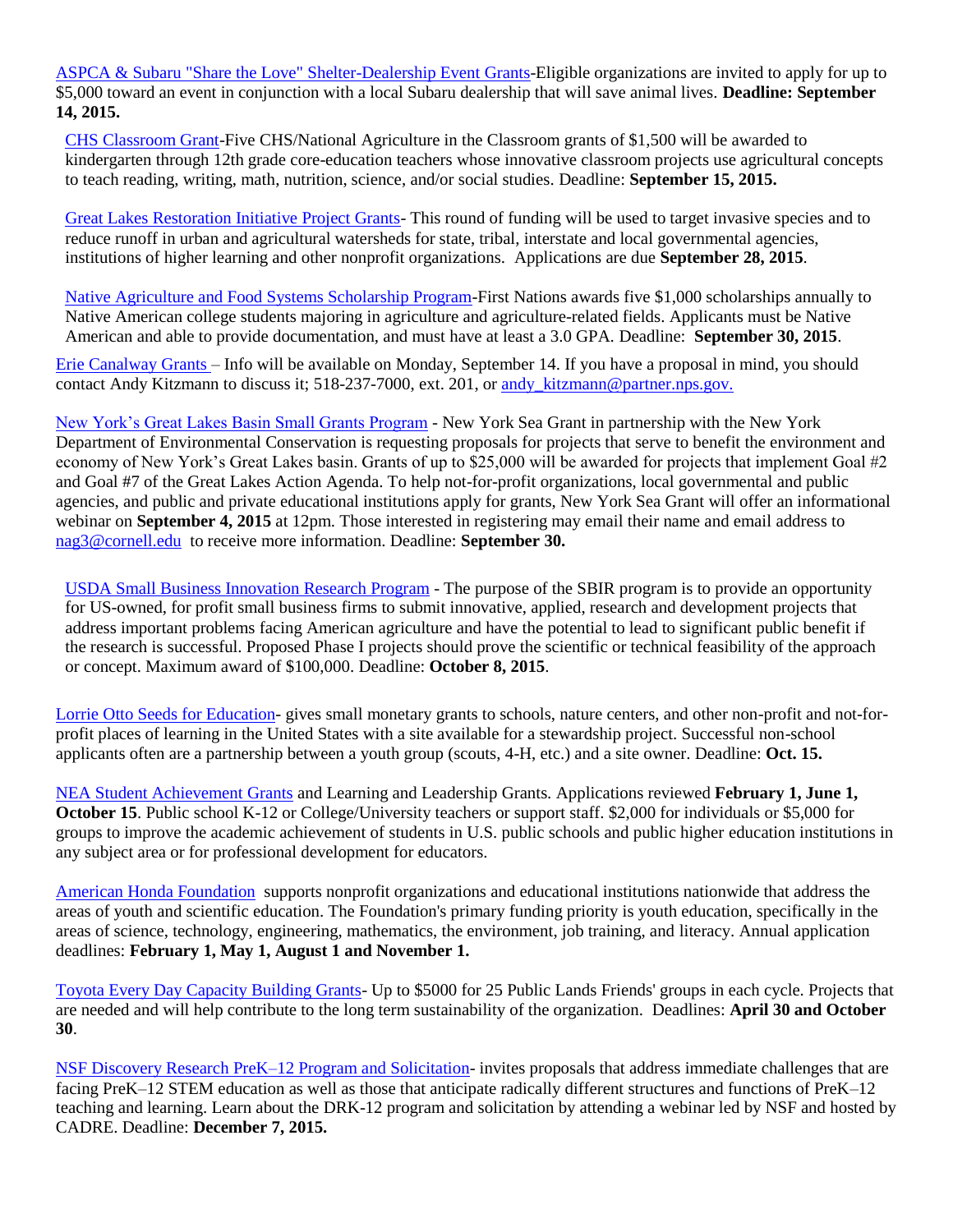[ASPCA & Subaru "Share the Love" Shelter-Dealership Event Grants-](http://www.aspcapro.org/grant/2015/08/27/aspca-subaru-share-love-shelter-dealership-event-grants)Eligible organizations are invited to apply for up to \$5,000 toward an event in conjunction with a local Subaru dealership that will save animal lives. **Deadline: September 14, 2015.**

[CHS Classroom Grant-](http://r20.rs6.net/tn.jsp?f=001wZsIOdznmdp5j-ZnNTSqpsLT4VAxXXpn153THcvlWP36CrdjJXdjZLDikduj0DgtfWKnppSnN3cWviE02ZsvApkaIcZMi6rsDy50VDE26tcqc_oRZ7244pRTsJK-2rE96JfyCKGQqK4rbdThwAUYe7XpWVg04mYkfI9wqR69GFjfsbEZd4qE-PQrCil2bjRO9qr_iS91Kz4Cq_yemx5ZgkdqekbBwDmABnf7hV4Z524qD5pOTevL-HGnxmqZlbS-l1O-sSoO5Q6YmaJXTacuWH08fDFRohgjFf0ZYx-7iCnXaUn7tF8sfIoNzeTVfPB0sluSvTSpuLs=&c=ZRx4d9_jwwbzduJY6Y7GBtVig1DHNvlr3_A7eyr-KGZkBeaXAWvfZw==&ch=7b7LQ86aOec3RN5uCCDcchHgb0eWIXPZrDQdZmg2jIk2p5OQ_UhyWA==)Five CHS/National Agriculture in the Classroom grants of \$1,500 will be awarded to kindergarten through 12th grade core-education teachers whose innovative classroom projects use agricultural concepts to teach reading, writing, math, nutrition, science, and/or social studies. Deadline: **September 15, 2015.**

[Great Lakes Restoration Initiative Project Grants-](http://www2.epa.gov/great-lakes-funding/great-lakes-restoration-initiative-2015-request-applications) This round of funding will be used to target invasive species and to reduce runoff in urban and agricultural watersheds for state, tribal, interstate and local governmental agencies, institutions of higher learning and other nonprofit organizations. Applications are due **September 28, 2015**.

[Native Agriculture and Food Systems Scholarship Program-](http://www.firstnations.org/grantmaking/scholarship)First Nations awards five \$1,000 scholarships annually to Native American college students majoring in agriculture and agriculture-related fields. Applicants must be Native American and able to provide documentation, and must have at least a 3.0 GPA. Deadline: **September 30, 2015**.

[Erie Canalway Grants](http://www.eriecanalway.org/get-involved_grants-fund.htm) – Info will be available on Monday, September 14. If you have a proposal in mind, you should contact Andy Kitzmann to discuss it; 518-237-7000, ext. 201, or andy kitzmann@partner.nps.gov.

[New York's Great Lakes Basin Small Grants Program](http://www.dec.ny.gov/lands/25582.html) - New York Sea Grant in partnership with the New York Department of Environmental Conservation is requesting proposals for projects that serve to benefit the environment and economy of New York's Great Lakes basin. Grants of up to \$25,000 will be awarded for projects that implement Goal #2 and Goal #7 of the Great Lakes Action Agenda. To help not-for-profit organizations, local governmental and public agencies, and public and private educational institutions apply for grants, New York Sea Grant will offer an informational webinar on **September 4, 2015** at 12pm. Those interested in registering may email their name and email address to [nag3@cornell.edu](mailto:nag3@cornell.edu) to receive more information. Deadline: **September 30.**

[USDA Small Business Innovation Research Program](http://r20.rs6.net/tn.jsp?f=001wZsIOdznmdp5j-ZnNTSqpsLT4VAxXXpn153THcvlWP36CrdjJXdjZLDikduj0DgtmjIPb8EWBvI0of0iC3bCw_gD-UeLcy_e-1zxavPkgQon0WcE8Y4VMDhhATZ7BEWY1ldd5hnmIO1Lcf391rkr20ib2KynWUmJo4aE_-dZamcUie6XruQTsU-4nbGR4AEkIHTeJq5E2MsFBVRiu_LG_gb3qdcFutNG4EcuwFdogshkRi3IPzq_9B_Awzd7uaf76WrqLdOzYTbjG4p08brYgIEkKhy4wUalw0zFs-RE8ztgO_NiJ1UupuOL1nFS9hZPkPQDMtgXdmagWq4nbQFeJrnQjeVvNnH3mf2KbUR1Pmr3GaIn7Dh49mOak3imHjZK&c=ZRx4d9_jwwbzduJY6Y7GBtVig1DHNvlr3_A7eyr-KGZkBeaXAWvfZw==&ch=7b7LQ86aOec3RN5uCCDcchHgb0eWIXPZrDQdZmg2jIk2p5OQ_UhyWA==) - The purpose of the SBIR program is to provide an opportunity for US-owned, for profit small business firms to submit innovative, applied, research and development projects that address important problems facing American agriculture and have the potential to lead to significant public benefit if the research is successful. Proposed Phase I projects should prove the scientific or technical feasibility of the approach or concept. Maximum award of \$100,000. Deadline: **October 8, 2015**.

[Lorrie Otto Seeds for Education-](http://wildones.org/wildcertification/SFEInstructionsApplication.pdf) gives small monetary grants to schools, nature centers, and other non-profit and not-forprofit places of learning in the United States with a site available for a stewardship project. Successful non-school applicants often are a partnership between a youth group (scouts, 4-H, etc.) and a site owner. Deadline: **Oct. 15.**

[NEA Student Achievement Grants](http://www.neafoundation.org/pages/grants-to-educators/) and Learning and Leadership Grants. Applications reviewed **February 1, June 1, October 15**. Public school K-12 or College/University teachers or support staff. \$2,000 for individuals or \$5,000 for groups to improve the academic achievement of students in U.S. public schools and public higher education institutions in any subject area or for professional development for educators.

[American Honda Foundation](http://corporate.honda.com/america/philanthropy.aspx?id=ahf) supports nonprofit organizations and educational institutions nationwide that address the areas of youth and scientific education. The Foundation's primary funding priority is youth education, specifically in the areas of science, technology, engineering, mathematics, the environment, job training, and literacy. Annual application deadlines: **February 1, May 1, August 1 and November 1.**

[Toyota Every Day Capacity Building Grants-](http://publiclandseveryday.org/every-day-capacity-building-grant-details) Up to \$5000 for 25 Public Lands Friends' groups in each cycle. Projects that are needed and will help contribute to the long term sustainability of the organization. Deadlines: **April 30 and October 30**.

[NSF Discovery Research PreK–12 Program and Solicitation-](http://www.nsf.gov/funding/pgm_summ.jsp?pims_id=500047) invites proposals that address immediate challenges that are facing PreK–12 STEM education as well as those that anticipate radically different structures and functions of PreK–12 teaching and learning. Learn about the DRK-12 program and solicitation by attending a webinar led by NSF and hosted by CADRE. Deadline: **December 7, 2015.**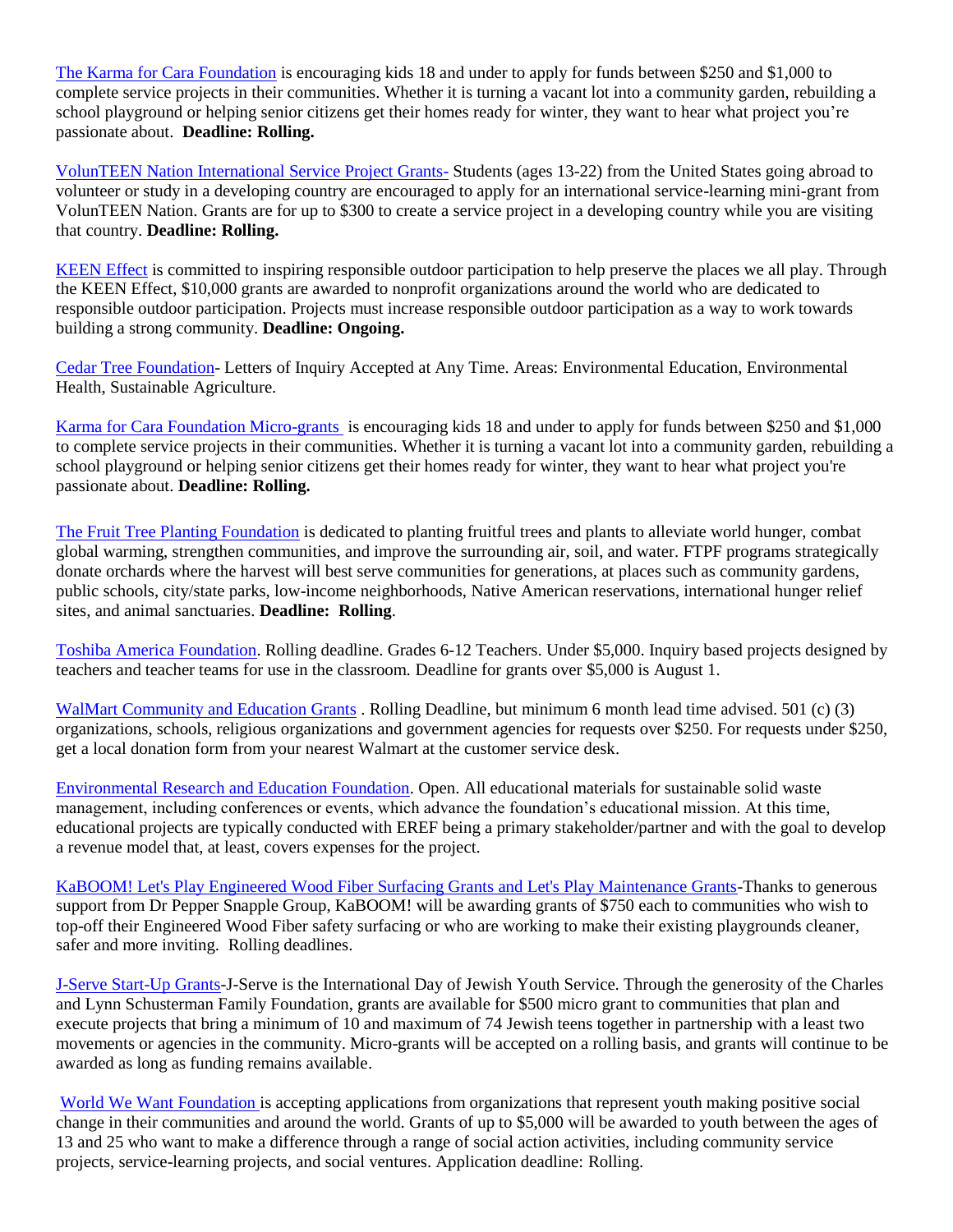[The Karma for Cara Foundation](http://www.karmaforcara.org/get-involved) is encouraging kids 18 and under to apply for funds between \$250 and \$1,000 to complete service projects in their communities. Whether it is turning a vacant lot into a community garden, rebuilding a school playground or helping senior citizens get their homes ready for winter, they want to hear what project you're passionate about. **Deadline: Rolling.**

[VolunTEEN Nation International Service Project Grants-](http://www.volunteennation.org/blog/categories/latest-news/372-apply-for-an-international-service-project-grant?sf17720015=1) Students (ages 13-22) from the United States going abroad to volunteer or study in a developing country are encouraged to apply for an international service-learning mini-grant from VolunTEEN Nation. Grants are for up to \$300 to create a service project in a developing country while you are visiting that country. **Deadline: Rolling.** 

[KEEN Effect](http://www.keenfootwear.com/keen-effect.aspx) is committed to inspiring responsible outdoor participation to help preserve the places we all play. Through the KEEN Effect, \$10,000 grants are awarded to nonprofit organizations around the world who are dedicated to responsible outdoor participation. Projects must increase responsible outdoor participation as a way to work towards building a strong community. **Deadline: Ongoing.**

[Cedar Tree Foundation-](http://www.cedartreefound.org/apply.html) Letters of Inquiry Accepted at Any Time. Areas: Environmental Education, Environmental Health, Sustainable Agriculture.

[Karma for Cara Foundation Micro-grants](http://karmaforcara.org/get-involved/) is encouraging kids 18 and under to apply for funds between \$250 and \$1,000 to complete service projects in their communities. Whether it is turning a vacant lot into a community garden, rebuilding a school playground or helping senior citizens get their homes ready for winter, they want to hear what project you're passionate about. **Deadline: Rolling.**

[The Fruit Tree Planting Foundation](http://www.ftpf.org/resources.htm) is dedicated to planting fruitful trees and plants to alleviate world hunger, combat global warming, strengthen communities, and improve the surrounding air, soil, and water. FTPF programs strategically donate orchards where the harvest will best serve communities for generations, at places such as community gardens, public schools, city/state parks, low-income neighborhoods, Native American reservations, international hunger relief sites, and animal sanctuaries. **Deadline: Rolling**.

[Toshiba America Foundation.](http://www.toshiba.com/tafpub/jsp/home/default.jsp) Rolling deadline. Grades 6-12 Teachers. Under \$5,000. Inquiry based projects designed by teachers and teacher teams for use in the classroom. Deadline for grants over \$5,000 is August 1.

[WalMart Community and Education Grants](http://foundation.walmart.com/) . Rolling Deadline, but minimum 6 month lead time advised. 501 (c) (3) organizations, schools, religious organizations and government agencies for requests over \$250. For requests under \$250, get a local donation form from your nearest Walmart at the customer service desk.

[Environmental Research and Education Foundation.](http://erefdn.org/index.php/grants/proposal) Open. All educational materials for sustainable solid waste management, including conferences or events, which advance the foundation's educational mission. At this time, educational projects are typically conducted with EREF being a primary stakeholder/partner and with the goal to develop a revenue model that, at least, covers expenses for the project.

[KaBOOM! Let's Play Engineered Wood Fiber Surfacing Grants and Let's Play Maintenance Grants-](http://kaboom.org/about_kaboom/programs/grants)Thanks to generous support from Dr Pepper Snapple Group, KaBOOM! will be awarding grants of \$750 each to communities who wish to top-off their Engineered Wood Fiber safety surfacing or who are working to make their existing playgrounds cleaner, safer and more inviting. Rolling deadlines.

[J-Serve Start-Up Grants-](http://www.jserve.org/about/#grants)J-Serve is the International Day of Jewish Youth Service. Through the generosity of the Charles and Lynn Schusterman Family Foundation, grants are available for \$500 micro grant to communities that plan and execute projects that bring a minimum of 10 and maximum of 74 Jewish teens together in partnership with a least two movements or agencies in the community. Micro-grants will be accepted on a rolling basis, and grants will continue to be awarded as long as funding remains available.

[World We Want Foundation](http://org.us4.list-manage.com/track/click?u=9408a5d4ed5308e488a4b87fb&id=27a7be9f69&e=7478022a27) is accepting applications from organizations that represent youth making positive social change in their communities and around the world. Grants of up to \$5,000 will be awarded to youth between the ages of 13 and 25 who want to make a difference through a range of social action activities, including community service projects, service-learning projects, and social ventures. Application deadline: Rolling.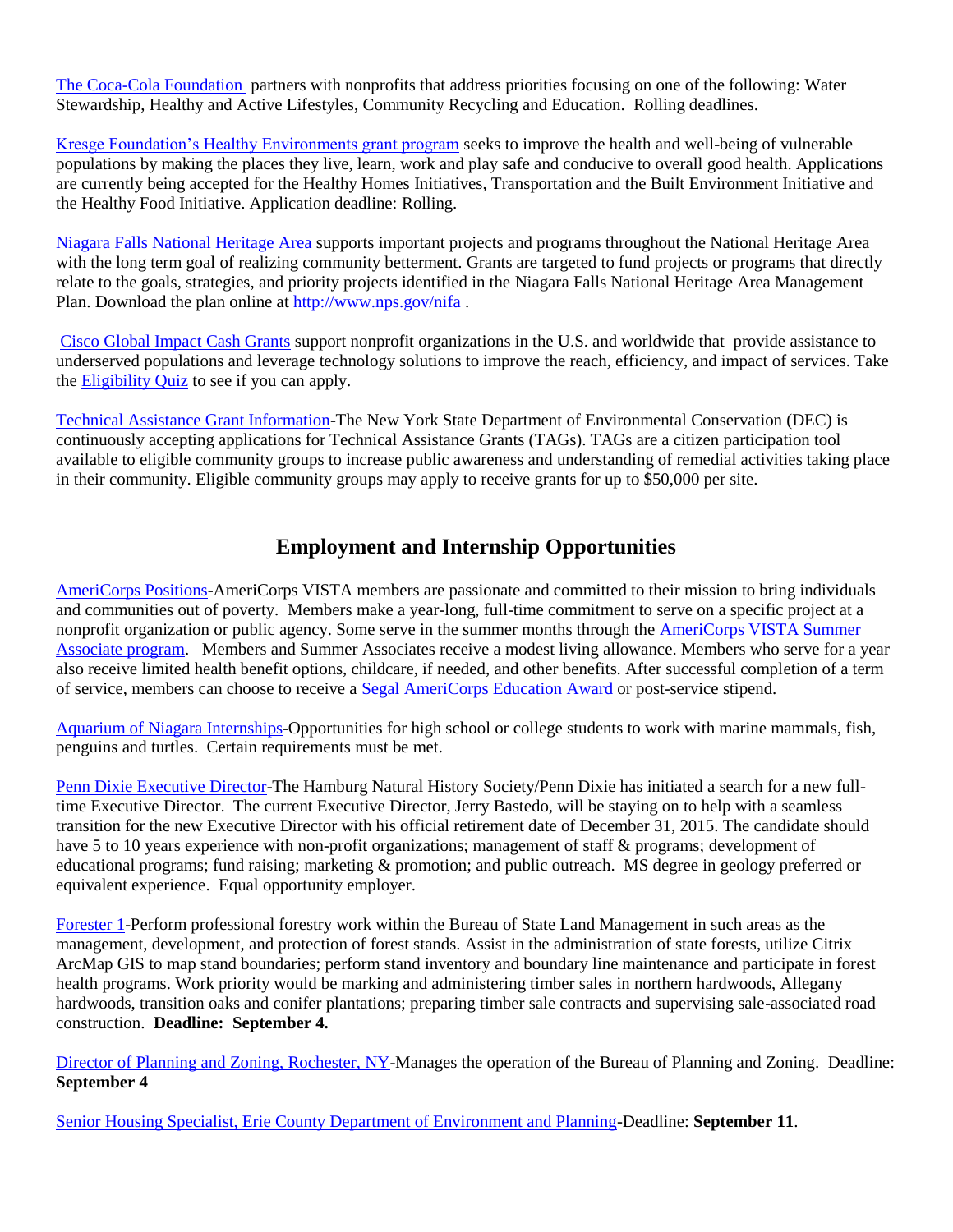[The Coca-Cola Foundation](http://www.thecoca-colacompany.com/citizenship/foundation_coke.html) partners with nonprofits that address priorities focusing on one of the following: Water Stewardship, Healthy and Active Lifestyles, Community Recycling and Education. Rolling deadlines.

[Kresge Foundation's Healthy Environments grant program](http://org.us4.list-manage.com/track/click?u=9408a5d4ed5308e488a4b87fb&id=1250971cfd&e=7478022a27) seeks to improve the health and well-being of vulnerable populations by making the places they live, learn, work and play safe and conducive to overall good health. Applications are currently being accepted for the Healthy Homes Initiatives, Transportation and the Built Environment Initiative and the Healthy Food Initiative. Application deadline: Rolling.

[Niagara Falls National Heritage Area](http://www.nps.gov/nifa) supports important projects and programs throughout the National Heritage Area with the long term goal of realizing community betterment. Grants are targeted to fund projects or programs that directly relate to the goals, strategies, and priority projects identified in the Niagara Falls National Heritage Area Management Plan. Download the plan online at [http://www.nps.gov/nifa](http://r20.rs6.net/tn.jsp?e=001eu98JMbbdcs6CwLTuGy2Jx8zHBFshQblWlK_fzmsEFt63o8r4StEgHoQi_Nk_RxyOVZ-jcsPeJCeqkxZnl8d6CZPObSDjiF4A0mQ6Jd8iA78qk5uQgjjcQ==) .

[Cisco Global Impact Cash Grants](http://csr.cisco.com/pages/global-impact-cash-grants) support nonprofit organizations in the U.S. and worldwide that provide assistance to underserved populations and leverage technology solutions to improve the reach, efficiency, and impact of services. Take the [Eligibility Quiz](http://cisco.cybergrants.com/pls/cybergrants/ao_survey.form?x_gm_id=1484&x_section_id=12028&x_quiz_survey_id=5198) to see if you can apply.

[Technical Assistance Grant Information-](http://www.dec.ny.gov/regulations/4628.html)The New York State Department of Environmental Conservation (DEC) is continuously accepting applications for Technical Assistance Grants (TAGs). TAGs are a citizen participation tool available to eligible community groups to increase public awareness and understanding of remedial activities taking place in their community. Eligible community groups may apply to receive grants for up to \$50,000 per site.

# **Employment and Internship Opportunities**

[AmeriCorps Positions-](https://my.americorps.gov/mp/listing/viewListing.do?id=53136&fromSearch=true)AmeriCorps VISTA members are passionate and committed to their mission to bring individuals and communities out of poverty. Members make a year-long, full-time commitment to serve on a specific project at a nonprofit organization or public agency. Some serve in the summer months through the [AmeriCorps VISTA Summer](http://www.nationalservice.gov/programs/americorps/americorps-programs/americorps-vista/vista-summer-associates)  [Associate program.](http://www.nationalservice.gov/programs/americorps/americorps-programs/americorps-vista/vista-summer-associates) Members and Summer Associates receive a modest living allowance. Members who serve for a year also receive limited health benefit options, childcare, if needed, and other benefits. After successful completion of a term of service, members can choose to receive a [Segal AmeriCorps Education Award](http://www.nationalservice.gov/programs/americorps/segal-americorps-education-award) or post-service stipend.

[Aquarium of Niagara Internships-](http://www.aquariumofniagara.org/intern.htm)Opportunities for high school or college students to work with marine mammals, fish, penguins and turtles. Certain requirements must be met.

[Penn Dixie Executive Director-](http://www.penndixie.org/position.html)The Hamburg Natural History Society/Penn Dixie has initiated a search for a new fulltime Executive Director. The current Executive Director, Jerry Bastedo, will be staying on to help with a seamless transition for the new Executive Director with his official retirement date of December 31, 2015. The candidate should have 5 to 10 years experience with non-profit organizations; management of staff & programs; development of educational programs; fund raising; marketing & promotion; and public outreach. MS degree in geology preferred or equivalent experience. Equal opportunity employer.

[Forester 1-](http://www.dec.ny.gov/about/46305.html)Perform professional forestry work within the Bureau of State Land Management in such areas as the management, development, and protection of forest stands. Assist in the administration of state forests, utilize Citrix ArcMap GIS to map stand boundaries; perform stand inventory and boundary line maintenance and participate in forest health programs. Work priority would be marking and administering timber sales in northern hardwoods, Allegany hardwoods, transition oaks and conifer plantations; preparing timber sale contracts and supervising sale-associated road construction. **Deadline: September 4.**

[Director of Planning and Zoning, Rochester, NY-](http://nyupstateplanning.org/director-of-planning-and-zoning-rochester-ny/)Manages the operation of the Bureau of Planning and Zoning. Deadline: **September 4**

[Senior Housing Specialist, Erie County Department of Environment and Planning-](http://nyupstateplanning.org/senior-housing-specialist-erie-county-department-of-environment-and-planning/)Deadline: **September 11**.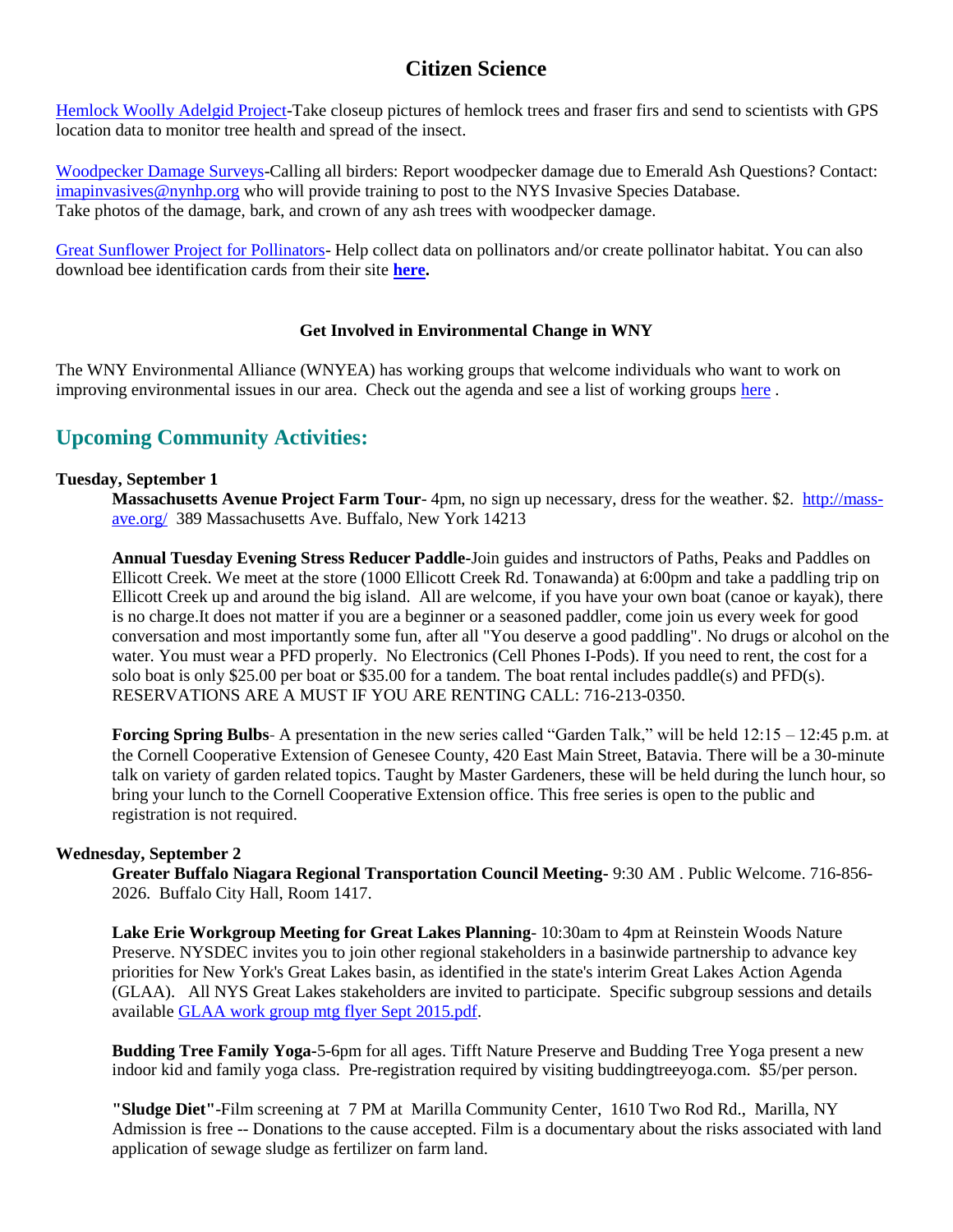# **Citizen Science**

[Hemlock Woolly Adelgid Project-](http://www.scistarter.com/project/632-Tiny%20Terrors%20Project)Take closeup pictures of hemlock trees and fraser firs and send to scientists with GPS location data to monitor tree health and spread of the insect.

[Woodpecker Damage Surveys-](http://www.nyis.info/?action=signs)Calling all birders: Report woodpecker damage due to Emerald Ash Questions? Contact: [imapinvasives@nynhp.org](mailto:imapinvasives@nynhp.org) who will provide training to post to the NYS Invasive Species Database. Take photos of the damage, bark, and crown of any ash trees with woodpecker damage.

[Great Sunflower Project for Pollinators-](https://www.greatsunflower.org/habitat%20challenge) Help collect data on pollinators and/or create pollinator habitat. You can also download bee identification cards from their site **[here.](https://www.greatsunflower.org/system/files/registered/BeesMaster_home.pdf)** 

#### **Get Involved in Environmental Change in WNY**

The WNY Environmental Alliance (WNYEA) has working groups that welcome individuals who want to work on improving environmental issues in our area. Check out the agenda and see a list of working groups [here](http://growwny.org/images/stories/documents/WNYEA_2014_Action_Agenda.pdf?utm_source=Green+Zine&utm_campaign=dc495ef962-July+2013+Green+Zine&utm_medium=email&utm_term=0_a9554825e6-dc495ef962-327464017) .

# **Upcoming Community Activities:**

#### **Tuesday, September 1**

**Massachusetts Avenue Project Farm Tour**- 4pm, no sign up necessary, dress for the weather. \$2. [http://mass](http://mass-ave.org/)[ave.org/](http://mass-ave.org/) 389 Massachusetts Ave. Buffalo, New York 14213

**Annual Tuesday Evening Stress Reducer Paddle-**Join guides and instructors of Paths, Peaks and Paddles on Ellicott Creek. We meet at the store (1000 Ellicott Creek Rd. Tonawanda) at 6:00pm and take a paddling trip on Ellicott Creek up and around the big island. All are welcome, if you have your own boat (canoe or kayak), there is no charge.It does not matter if you are a beginner or a seasoned paddler, come join us every week for good conversation and most importantly some fun, after all "You deserve a good paddling". No drugs or alcohol on the water. You must wear a PFD properly. No Electronics (Cell Phones I-Pods). If you need to rent, the cost for a solo boat is only \$25.00 per boat or \$35.00 for a tandem. The boat rental includes paddle(s) and PFD(s). RESERVATIONS ARE A MUST IF YOU ARE RENTING CALL: 716-213-0350.

**[Forcing](http://genesee.cce.cornell.edu/events/2015/08/04/-garden-talk-lunch-time-series-whats-bugging-you) Spring Bulbs**- A presentation in the new series called "Garden Talk," will be held 12:15 – 12:45 p.m. at the Cornell Cooperative Extension of Genesee County, 420 East Main Street, Batavia. There will be a 30-minute talk on variety of garden related topics. Taught by Master Gardeners, these will be held during the lunch hour, so bring your lunch to the Cornell Cooperative Extension office. This free series is open to the public and registration is not required.

#### **Wednesday, September 2**

**Greater Buffalo Niagara Regional Transportation Council Meeting-** 9:30 AM . Public Welcome. 716-856- 2026. Buffalo City Hall, Room 1417.

**Lake Erie Workgroup Meeting for Great Lakes Planning**- 10:30am to 4pm at Reinstein Woods Nature Preserve. NYSDEC invites you to join other regional stakeholders in a basinwide partnership to advance key priorities for New York's Great Lakes basin, as identified in the state's interim Great Lakes Action Agenda (GLAA). All NYS Great Lakes stakeholders are invited to participate. Specific subgroup sessions and details available [GLAA work group mtg flyer Sept 2015.pdf.](http://links.govdelivery.com/track?type=click&enid=ZWFzPTEmbWFpbGluZ2lkPTIwMTUwODA1LjQ3ODYyMzUxJm1lc3NhZ2VpZD1NREItUFJELUJVTC0yMDE1MDgwNS40Nzg2MjM1MSZkYXRhYmFzZWlkPTEwMDEmc2VyaWFsPTE2ODc4NjA4JmVtYWlsaWQ9YnlvdW5nQGRhZW1lbi5lZHUmdXNlcmlkPWJ5b3VuZ0BkYWVtZW4uZWR1JmZsPSZleHRyYT1NdWx0aXZhcmlhdGVJZD0mJiY=&&&102&&&http://content.govdelivery.com/attachments/NYSDEC/2015/08/05/file_attachments/414319/GLAA%2Bwork%2Bgroup%2Bmtg%2Bflyer%2BSept%2B2015.pdf)

**Budding Tree Family Yoga-**5-6pm for all ages. Tifft Nature Preserve and Budding Tree Yoga present a new indoor kid and family yoga class. Pre-registration required by visiting buddingtreeyoga.com. \$5/per person.

**"Sludge Diet"**-Film screening at 7 PM at Marilla Community Center, 1610 Two Rod Rd., Marilla, NY Admission is free -- Donations to the cause accepted. Film is a documentary about the risks associated with land application of sewage sludge as fertilizer on farm land.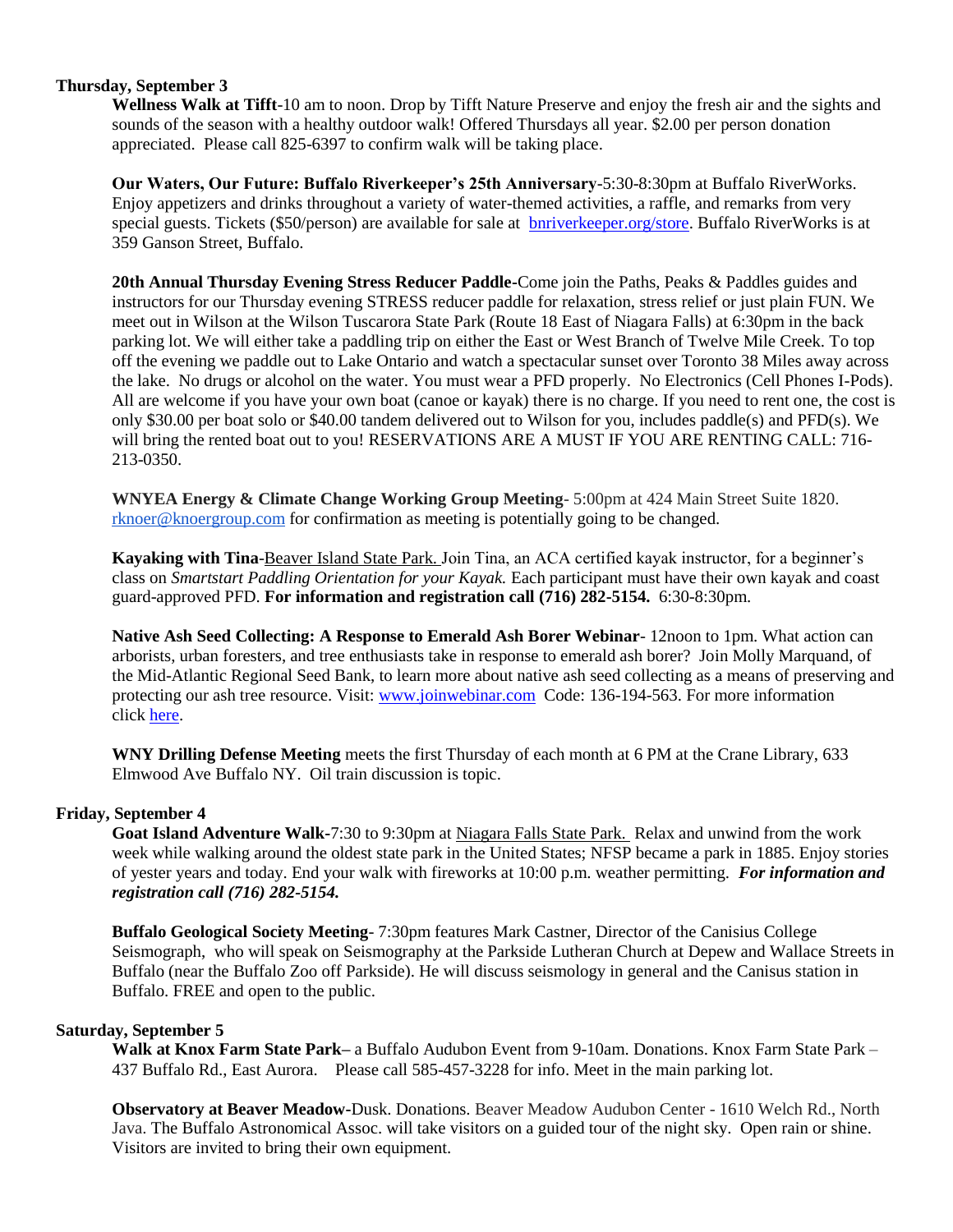#### **Thursday, September 3**

**Wellness Walk at Tifft**-10 am to noon. Drop by Tifft Nature Preserve and enjoy the fresh air and the sights and sounds of the season with a healthy outdoor walk! Offered Thursdays all year. \$2.00 per person donation appreciated. Please call 825-6397 to confirm walk will be taking place.

**Our Waters, Our Future: Buffalo Riverkeeper's 25th Anniversary**-5:30-8:30pm at Buffalo RiverWorks. Enjoy appetizers and drinks throughout a variety of water-themed activities, a raffle, and remarks from very special guests. Tickets (\$50/person) are available for sale at [bnriverkeeper.org/store.](http://bnriverkeeper.org/store) Buffalo RiverWorks is at 359 Ganson Street, Buffalo.

**20th Annual Thursday Evening Stress Reducer Paddle-**Come join the Paths, Peaks & Paddles guides and instructors for our Thursday evening STRESS reducer paddle for relaxation, stress relief or just plain FUN. We meet out in Wilson at the Wilson Tuscarora State Park (Route 18 East of Niagara Falls) at 6:30pm in the back parking lot. We will either take a paddling trip on either the East or West Branch of Twelve Mile Creek. To top off the evening we paddle out to Lake Ontario and watch a spectacular sunset over Toronto 38 Miles away across the lake. No drugs or alcohol on the water. You must wear a PFD properly. No Electronics (Cell Phones I-Pods). All are welcome if you have your own boat (canoe or kayak) there is no charge. If you need to rent one, the cost is only \$30.00 per boat solo or \$40.00 tandem delivered out to Wilson for you, includes paddle(s) and PFD(s). We will bring the rented boat out to you! RESERVATIONS ARE A MUST IF YOU ARE RENTING CALL: 716- 213-0350.

**WNYEA Energy & Climate Change Working Group Meeting**- 5:00pm at 424 Main Street Suite 1820. [rknoer@knoergroup.com](mailto:rknoer@knoergroup.com) for confirmation as meeting is potentially going to be changed.

**Kayaking with Tina**-Beaver Island State Park. Join Tina, an ACA certified kayak instructor, for a beginner's class on *Smartstart Paddling Orientation for your Kayak.* Each participant must have their own kayak and coast guard-approved PFD. **For information and registration call (716) 282-5154.** 6:30-8:30pm.

**Native Ash Seed Collecting: A Response to Emerald Ash Borer Webinar**- 12noon to 1pm. What action can arborists, urban foresters, and tree enthusiasts take in response to emerald ash borer? Join Molly Marquand, of the Mid-Atlantic Regional Seed Bank, to learn more about native ash seed collecting as a means of preserving and protecting our ash tree resource. Visit: [www.joinwebinar.com](http://www.joinwebinar.com/) Code: 136-194-563. For more information click [here.](http://www.mass.gov/eea/agencies/dcr/conservation/forestry-and-fire-control/branching-out-additional-programs.html)

**WNY Drilling Defense Meeting** meets the first Thursday of each month at 6 PM at the Crane Library, 633 Elmwood Ave Buffalo NY. Oil train discussion is topic.

#### **Friday, September 4**

**Goat Island Adventure Walk-**7:30 to 9:30pm at Niagara Falls State Park. Relax and unwind from the work week while walking around the oldest state park in the United States; NFSP became a park in 1885. Enjoy stories of yester years and today. End your walk with fireworks at 10:00 p.m. weather permitting. *For information and registration call (716) 282-5154.*

**Buffalo Geological Society Meeting**- 7:30pm features Mark Castner, Director of the Canisius College Seismograph, who will speak on Seismography at the Parkside Lutheran Church at Depew and Wallace Streets in Buffalo (near the Buffalo Zoo off Parkside). He will discuss seismology in general and the Canisus station in Buffalo. FREE and open to the public.

#### **Saturday, September 5**

**Walk at Knox Farm State Park–** a Buffalo Audubon Event from 9-10am. Donations. Knox Farm State Park – 437 Buffalo Rd., East Aurora. Please call 585-457-3228 for info. Meet in the main parking lot.

**Observatory at Beaver Meadow-**Dusk. Donations. Beaver Meadow Audubon Center - 1610 Welch Rd., North Java. The Buffalo Astronomical Assoc. will take visitors on a guided tour of the night sky. Open rain or shine. Visitors are invited to bring their own equipment.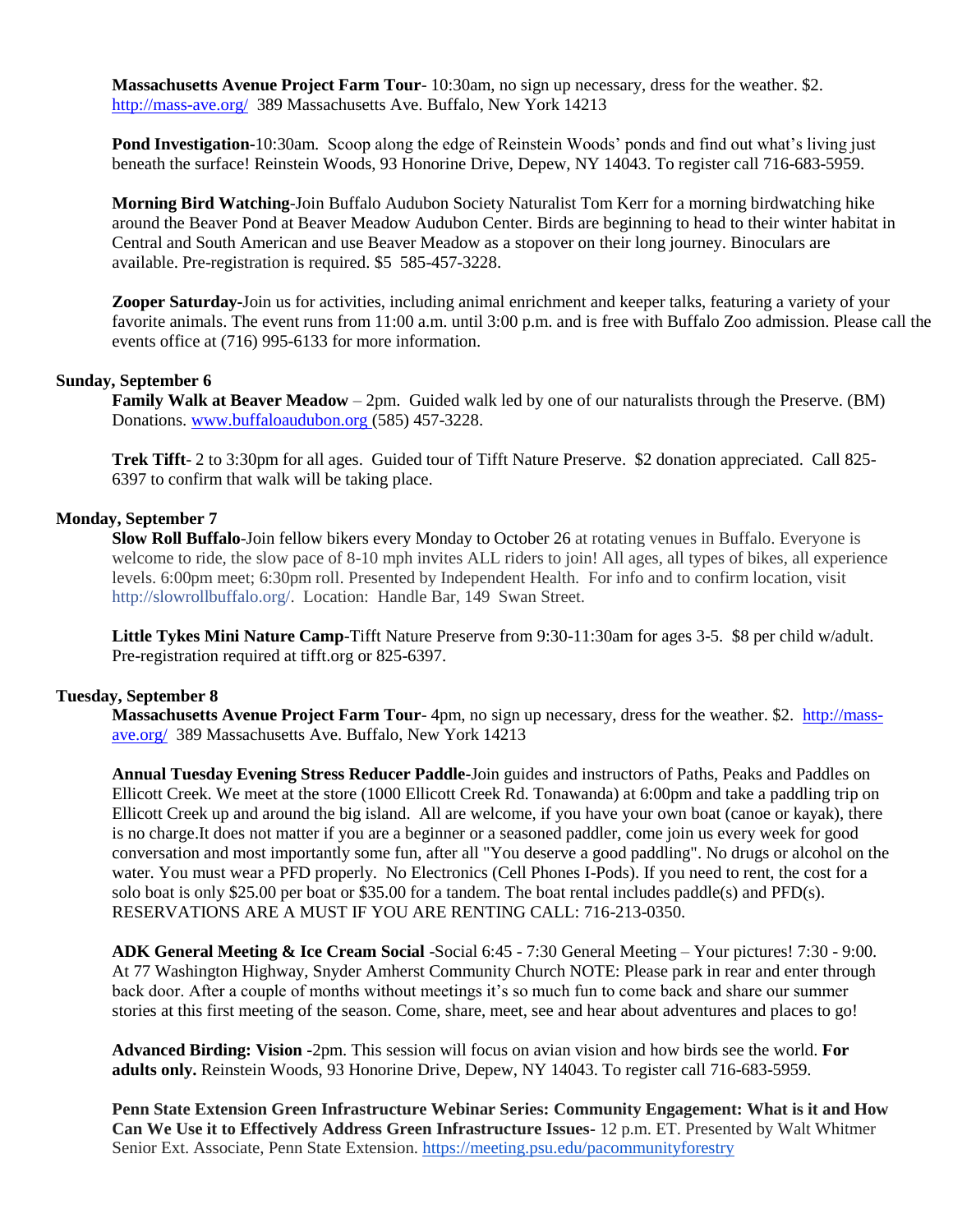**Massachusetts Avenue Project Farm Tour**- 10:30am, no sign up necessary, dress for the weather. \$2. <http://mass-ave.org/>389 Massachusetts Ave. Buffalo, New York 14213

**Pond Investigation-**10:30am. Scoop along the edge of Reinstein Woods' ponds and find out what's living just beneath the surface! Reinstein Woods, 93 Honorine Drive, Depew, NY 14043. To register call 716-683-5959.

**Morning Bird Watching**-Join Buffalo Audubon Society Naturalist Tom Kerr for a morning birdwatching hike around the Beaver Pond at Beaver Meadow Audubon Center. Birds are beginning to head to their winter habitat in Central and South American and use Beaver Meadow as a stopover on their long journey. Binoculars are available. Pre-registration is required. \$5 585-457-3228.

**Zooper Saturday-**Join us for activities, including animal enrichment and keeper talks, featuring a variety of your favorite animals. The event runs from 11:00 a.m. until 3:00 p.m. and is free with Buffalo Zoo admission. Please call the events office at (716) 995-6133 for more information.

#### **Sunday, September 6**

**Family Walk at Beaver Meadow** – 2pm. Guided walk led by one of our naturalists through the Preserve. (BM) Donations[. www.buffaloaudubon.org](http://www.buffaloaudubon.org/) (585) 457-3228.

**Trek Tifft**- 2 to 3:30pm for all ages. Guided tour of Tifft Nature Preserve. \$2 donation appreciated. Call 825- 6397 to confirm that walk will be taking place.

#### **Monday, September 7**

**Slow Roll Buffalo**-Join fellow bikers every Monday to October 26 at rotating venues in Buffalo. Everyone is welcome to ride, the slow pace of 8-10 mph invites ALL riders to join! All ages, all types of bikes, all experience levels. 6:00pm meet; 6:30pm roll. Presented by Independent Health. For info and to confirm location, visit [http://slowrollbuffalo.org/.](http://l.facebook.com/l.php?u=http%3A%2F%2Fslowrollbuffalo.org%2F&h=RAQG2q0eI&s=1) Location: Handle Bar, 149 Swan Street.

**Little Tykes Mini Nature Camp**-Tifft Nature Preserve from 9:30-11:30am for ages 3-5. \$8 per child w/adult. Pre-registration required at tifft.org or 825-6397.

#### **Tuesday, September 8**

**Massachusetts Avenue Project Farm Tour**- 4pm, no sign up necessary, dress for the weather. \$2. [http://mass](http://mass-ave.org/)[ave.org/](http://mass-ave.org/) 389 Massachusetts Ave. Buffalo, New York 14213

**Annual Tuesday Evening Stress Reducer Paddle-**Join guides and instructors of Paths, Peaks and Paddles on Ellicott Creek. We meet at the store (1000 Ellicott Creek Rd. Tonawanda) at 6:00pm and take a paddling trip on Ellicott Creek up and around the big island. All are welcome, if you have your own boat (canoe or kayak), there is no charge.It does not matter if you are a beginner or a seasoned paddler, come join us every week for good conversation and most importantly some fun, after all "You deserve a good paddling". No drugs or alcohol on the water. You must wear a PFD properly. No Electronics (Cell Phones I-Pods). If you need to rent, the cost for a solo boat is only \$25.00 per boat or \$35.00 for a tandem. The boat rental includes paddle(s) and PFD(s). RESERVATIONS ARE A MUST IF YOU ARE RENTING CALL: 716-213-0350.

**ADK General Meeting & Ice Cream Social** -Social 6:45 - 7:30 General Meeting – Your pictures! 7:30 - 9:00. At 77 Washington Highway, Snyder Amherst Community Church NOTE: Please park in rear and enter through back door. After a couple of months without meetings it's so much fun to come back and share our summer stories at this first meeting of the season. Come, share, meet, see and hear about adventures and places to go!

**Advanced Birding: Vision -**2pm. This session will focus on avian vision and how birds see the world. **For adults only.** Reinstein Woods, 93 Honorine Drive, Depew, NY 14043. To register call 716-683-5959.

**Penn State Extension Green Infrastructure Webinar Series: Community Engagement: What is it and How Can We Use it to Effectively Address Green Infrastructure Issues-** 12 p.m. ET. Presented by Walt Whitmer Senior Ext. Associate, Penn State Extension.<https://meeting.psu.edu/pacommunityforestry>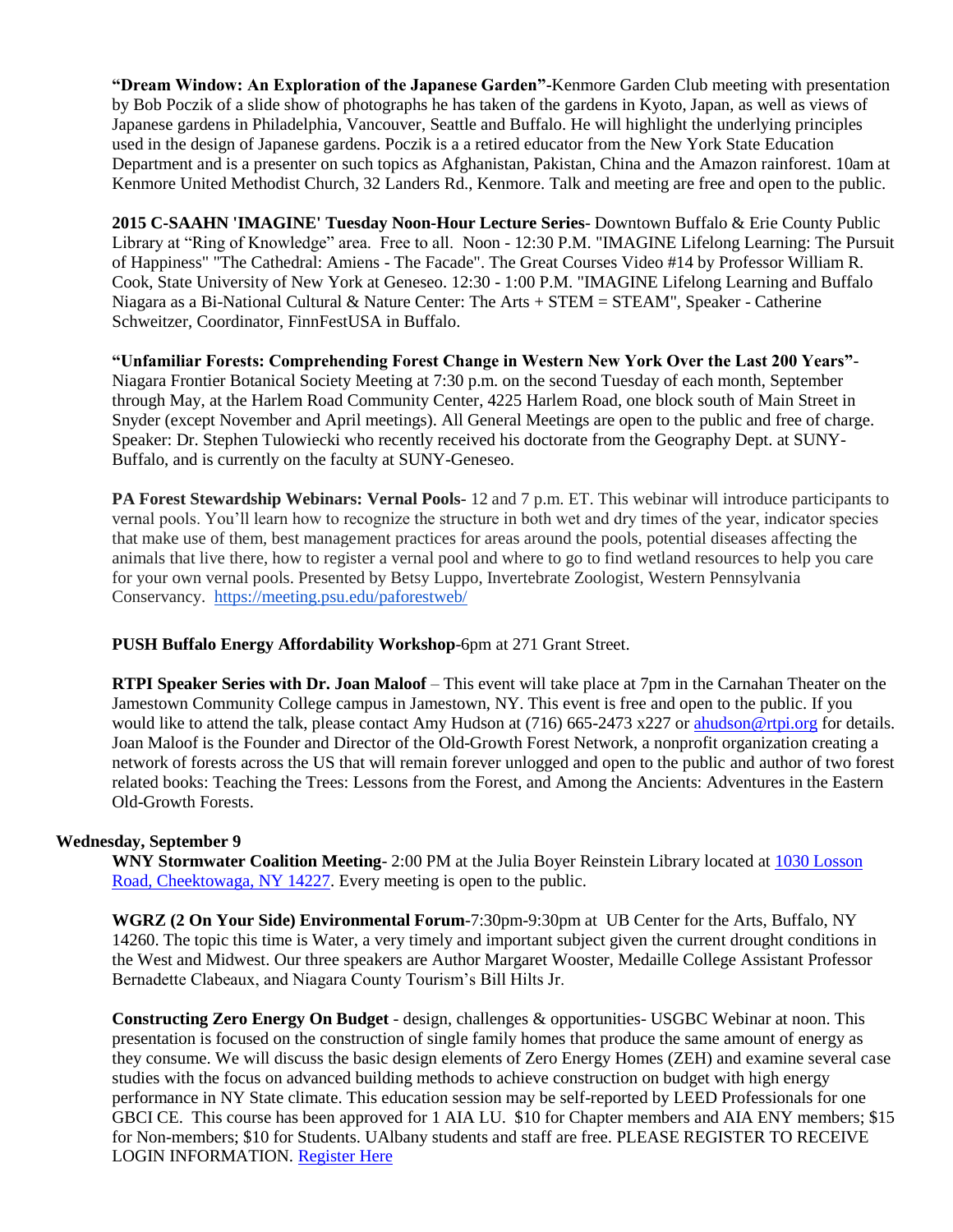**"Dream Window: An Exploration of the Japanese Garden"-**Kenmore Garden Club meeting with presentation by Bob Poczik of a slide show of photographs he has taken of the gardens in Kyoto, Japan, as well as views of Japanese gardens in Philadelphia, Vancouver, Seattle and Buffalo. He will highlight the underlying principles used in the design of Japanese gardens. Poczik is a a retired educator from the New York State Education Department and is a presenter on such topics as Afghanistan, Pakistan, China and the Amazon rainforest. 10am at Kenmore United Methodist Church, 32 Landers Rd., Kenmore. Talk and meeting are free and open to the public.

**2015 C-SAAHN 'IMAGINE' Tuesday Noon-Hour Lecture Series**- Downtown Buffalo & Erie County Public Library at "Ring of Knowledge" area. Free to all. Noon - 12:30 P.M. "IMAGINE Lifelong Learning: The Pursuit of Happiness" "The Cathedral: Amiens - The Facade". The Great Courses Video #14 by Professor William R. Cook, State University of New York at Geneseo. 12:30 - 1:00 P.M. "IMAGINE Lifelong Learning and Buffalo Niagara as a Bi-National Cultural & Nature Center: The Arts + STEM = STEAM", Speaker - Catherine Schweitzer, Coordinator, FinnFestUSA in Buffalo.

**"Unfamiliar Forests: Comprehending Forest Change in Western New York Over the Last 200 Years"**- Niagara Frontier Botanical Society Meeting at 7:30 p.m. on the second Tuesday of each month, September through May, at the Harlem Road Community Center, 4225 Harlem Road, one block south of Main Street in Snyder (except November and April meetings). All General Meetings are open to the public and free of charge. Speaker: Dr. Stephen Tulowiecki who recently received his doctorate from the Geography Dept. at SUNY-Buffalo, and is currently on the faculty at SUNY-Geneseo.

**PA Forest Stewardship Webinars: Vernal Pools-** 12 and 7 p.m. ET. This webinar will introduce participants to vernal pools. You'll learn how to recognize the structure in both wet and dry times of the year, indicator species that make use of them, best management practices for areas around the pools, potential diseases affecting the animals that live there, how to register a vernal pool and where to go to find wetland resources to help you care for your own vernal pools. Presented by Betsy Luppo, Invertebrate Zoologist, Western Pennsylvania Conservancy. <https://meeting.psu.edu/paforestweb/>

**PUSH Buffalo Energy Affordability Workshop**-6pm at 271 Grant Street.

**RTPI Speaker Series with Dr. Joan Maloof** – This event will take place at 7pm in the Carnahan Theater on the Jamestown Community College campus in Jamestown, NY. This event is free and open to the public. If you would like to attend the talk, please contact Amy Hudson at (716) 665-2473 x227 or [ahudson@rtpi.org](mailto:ahudson@rtpi.org) for details. Joan Maloof is the Founder and Director of the Old-Growth Forest Network, a nonprofit organization creating a network of forests across the US that will remain forever unlogged and open to the public and author of two forest related books: Teaching the Trees: Lessons from the Forest, and Among the Ancients: Adventures in the Eastern Old-Growth Forests.

#### **Wednesday, September 9**

**WNY Stormwater Coalition Meeting**- 2:00 PM at the Julia Boyer Reinstein Library located at [1030 Losson](https://www.google.com/maps/preview#!q=Julia+Boyer+Reinstein+Library&data=!1m4!1m3!1d2851!2d-78.7188565!3d42.8803931!4m15!2m14!1m13!1s0x0%3A0x38492ceaceb8a2f2!3m8!1m3!1d2851!2d-78.7188565!3d42.8803931!3m2!1i1152!2i749!4f13.1!4m2!3d42.8804101!4d-78.7188837)  [Road, Cheektowaga, NY 14227.](https://www.google.com/maps/preview#!q=Julia+Boyer+Reinstein+Library&data=!1m4!1m3!1d2851!2d-78.7188565!3d42.8803931!4m15!2m14!1m13!1s0x0%3A0x38492ceaceb8a2f2!3m8!1m3!1d2851!2d-78.7188565!3d42.8803931!3m2!1i1152!2i749!4f13.1!4m2!3d42.8804101!4d-78.7188837) Every meeting is open to the public.

**WGRZ (2 On Your Side) Environmental Forum**-7:30pm-9:30pm at UB Center for the Arts, Buffalo, NY 14260. The topic this time is Water, a very timely and important subject given the current drought conditions in the West and Midwest. Our three speakers are Author Margaret Wooster, Medaille College Assistant Professor Bernadette Clabeaux, and Niagara County Tourism's Bill Hilts Jr.

**Constructing Zero Energy On Budget** - design, challenges & opportunities- USGBC Webinar at noon. This presentation is focused on the construction of single family homes that produce the same amount of energy as they consume. We will discuss the basic design elements of Zero Energy Homes (ZEH) and examine several case studies with the focus on advanced building methods to achieve construction on budget with high energy performance in NY State climate. This education session may be self-reported by LEED Professionals for one GBCI CE. This course has been approved for 1 AIA LU. \$10 for Chapter members and AIA ENY members; \$15 for Non-members; \$10 for Students. UAlbany students and staff are free. PLEASE REGISTER TO RECEIVE LOGIN INFORMATION. [Register Here](http://r20.rs6.net/tn.jsp?f=001OLrUbPktJnVnqTLRCHV1Sp5yVIjOQ1d6brDsDW46wM6cZC_sXC-bhoZMhZosyXxy_o-94AF5BelOPWmuKqp-InR-caCVrEViRHqV-i_boSX7XC8-oI3mR1Q8wpsnmTq3K5pr71NZ8VPqGtjFMS25VEtLK9onvP6Zi8PrhQWTkFv9bxlfuT_ehfju5cpaeKrB499IQ4LMA2NB1TREkw-Nf1B9U6-3-V82I7zy4BqWCwiJ3lGlkBZ3gXrlMUrNB3cpfQX1RcJfN29vZY_vWXhZ7dktUVdUTmZtNW0llJm-Tm6iM4oF_eeAbPcNUN3xkEnGws73wcnywSEBl7gDo0PoU6tBYBpmHqvrzoGW2zJ9xub2F-PF-KvUfnhtI1NzpiCk1LmIDLCSglosV1KwbGV8uJWa5bJN-wOItIYDfw4Rjis=&c=vWF-L2ggiDdYZlQeIMaZNdZ-lNj49w4CyZnRsGiLUUD-HVB2viaKLw==&ch=zYfepE3Evu3BNA_bRddFh8tLuzBC6SkLoxaH1Zun9TbJgDsl_bNlcA==)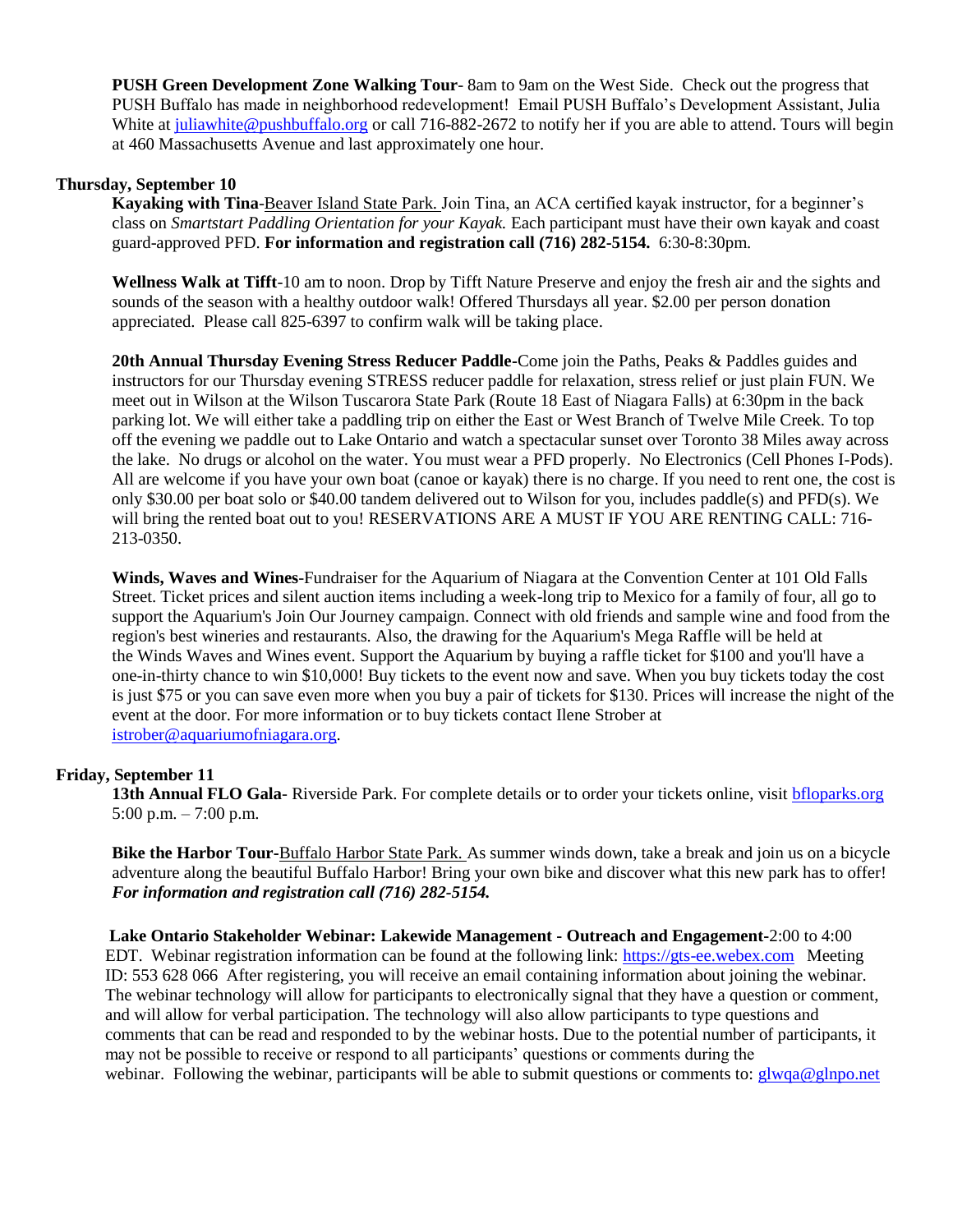**PUSH Green Development Zone Walking Tour**- 8am to 9am on the West Side. Check out the progress that PUSH Buffalo has made in neighborhood redevelopment! Email PUSH Buffalo's Development Assistant, Julia White at [juliawhite@pushbuffalo.org](mailto:juliawhite@pushbuffalo.org) or call 716-882-2672 to notify her if you are able to attend. Tours will begin at 460 Massachusetts Avenue and last approximately one hour.

#### **Thursday, September 10**

**Kayaking with Tina**-Beaver Island State Park. Join Tina, an ACA certified kayak instructor, for a beginner's class on *Smartstart Paddling Orientation for your Kayak.* Each participant must have their own kayak and coast guard-approved PFD. **For information and registration call (716) 282-5154.** 6:30-8:30pm.

**Wellness Walk at Tifft**-10 am to noon. Drop by Tifft Nature Preserve and enjoy the fresh air and the sights and sounds of the season with a healthy outdoor walk! Offered Thursdays all year. \$2.00 per person donation appreciated. Please call 825-6397 to confirm walk will be taking place.

**20th Annual Thursday Evening Stress Reducer Paddle-**Come join the Paths, Peaks & Paddles guides and instructors for our Thursday evening STRESS reducer paddle for relaxation, stress relief or just plain FUN. We meet out in Wilson at the Wilson Tuscarora State Park (Route 18 East of Niagara Falls) at 6:30pm in the back parking lot. We will either take a paddling trip on either the East or West Branch of Twelve Mile Creek. To top off the evening we paddle out to Lake Ontario and watch a spectacular sunset over Toronto 38 Miles away across the lake. No drugs or alcohol on the water. You must wear a PFD properly. No Electronics (Cell Phones I-Pods). All are welcome if you have your own boat (canoe or kayak) there is no charge. If you need to rent one, the cost is only \$30.00 per boat solo or \$40.00 tandem delivered out to Wilson for you, includes paddle(s) and PFD(s). We will bring the rented boat out to you! RESERVATIONS ARE A MUST IF YOU ARE RENTING CALL: 716- 213-0350.

**Winds, Waves and Wines**-Fundraiser for the Aquarium of Niagara at the Convention Center at 101 Old Falls Street. Ticket prices and silent auction items including a week-long trip to Mexico for a family of four, all go to support the Aquarium's Join Our Journey campaign. Connect with old friends and sample wine and food from the region's best wineries and restaurants. Also, the drawing for the Aquarium's Mega Raffle will be held at the Winds Waves and Wines event. Support the Aquarium by buying a raffle ticket for \$100 and you'll have a one-in-thirty chance to win \$10,000! Buy tickets to the event now and save. When you buy tickets today the cost is just \$75 or you can save even more when you buy a pair of tickets for \$130. Prices will increase the night of the event at the door. For more information or to buy tickets contact Ilene Strober at [istrober@aquariumofniagara.org.](mailto:istrober@aquariumofniagara.org)

#### **Friday, September 11**

13th Annual FLO Gala- Riverside Park. For complete details or to order your tickets online, visit [bfloparks.org](http://r20.rs6.net/tn.jsp?f=001f1bZpBlhmMQm40lMEAb8t_GtGOHreUBNxKvE6TSehrjNKH4ouQBioDDV-1pfeSXXDhmi5PUvYsYdmVb4rf9pcOsqT57zY3Tq4BJaLE5_fvstEPspUJ4BXvaA4vyx6U3iI1EqrUiNPc5okUS5t81iavUGCIEeae2NrAuy2KTxRkkTq9AN9HDLluZqlzj_3WeHrcv2XV5Tj4d_TXk2WH1EUw==&c=0AivWEZ-d1QNZB7LAb94Af_8suatsORy_oJoQu108TboOJ3FtMOgjQ==&ch=xUIpKPUjr5gRRUPfavNWeLJGyJ5NndZcWccs56rkaKIt17iEyAU3bQ==) 5:00 p.m. – 7:00 p.m.

**Bike the Harbor Tour-**Buffalo Harbor State Park. As summer winds down, take a break and join us on a bicycle adventure along the beautiful Buffalo Harbor! Bring your own bike and discover what this new park has to offer! *For information and registration call (716) 282-5154.*

**Lake Ontario Stakeholder Webinar: Lakewide Management - Outreach and Engagement-**2:00 to 4:00 EDT. Webinar registration information can be found at the following link: [https://gts-ee.webex.com](http://links.govdelivery.com/track?type=click&enid=ZWFzPTEmbWFpbGluZ2lkPTIwMTUwODE5LjQ4MjQxMzgxJm1lc3NhZ2VpZD1NREItUFJELUJVTC0yMDE1MDgxOS40ODI0MTM4MSZkYXRhYmFzZWlkPTEwMDEmc2VyaWFsPTE2ODg2MjQ3JmVtYWlsaWQ9YnlvdW5nQGRhZW1lbi5lZHUmdXNlcmlkPWJ5b3VuZ0BkYWVtZW4uZWR1JmZsPSZleHRyYT1NdWx0aXZhcmlhdGVJZD0mJiY=&&&102&&&https://gts-ee.webex.com/) Meeting ID: 553 628 066 After registering, you will receive an email containing information about joining the webinar. The webinar technology will allow for participants to electronically signal that they have a question or comment, and will allow for verbal participation. The technology will also allow participants to type questions and comments that can be read and responded to by the webinar hosts. Due to the potential number of participants, it may not be possible to receive or respond to all participants' questions or comments during the webinar. Following the webinar, participants will be able to submit questions or comments to: [glwqa@glnpo.net](mailto:glwqa@glnpo.net)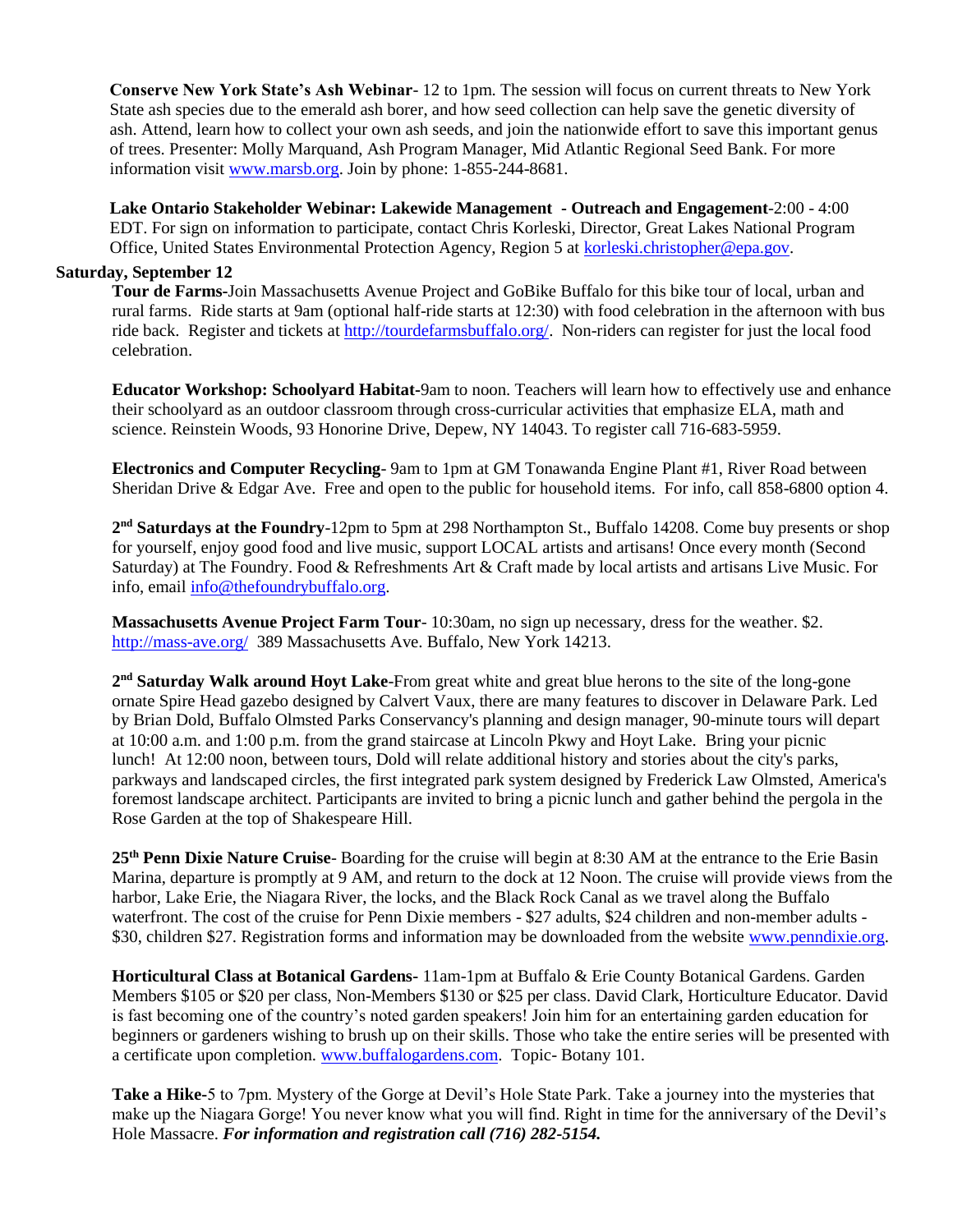**Conserve New York State's Ash Webinar**- 12 to 1pm. The session will focus on current threats to New York State ash species due to the emerald ash borer, and how seed collection can help save the genetic diversity of ash. Attend, learn how to collect your own ash seeds, and join the nationwide effort to save this important genus of trees. Presenter: Molly Marquand, Ash Program Manager, Mid Atlantic Regional Seed Bank. For more information visit [www.marsb.org.](http://www.marsb.org/) Join by phone: 1-855-244-8681.

**Lake Ontario Stakeholder Webinar: Lakewide Management - Outreach and Engagement**-2:00 - 4:00 EDT. For sign on information to participate, contact Chris Korleski, Director, Great Lakes National Program Office, United States Environmental Protection Agency, Region 5 at [korleski.christopher@epa.gov.](mailto:korleski.christopher@epa.gov)

#### **Saturday, September 12**

**Tour de Farms-**Join Massachusetts Avenue Project and GoBike Buffalo for this bike tour of local, urban and rural farms. Ride starts at 9am (optional half-ride starts at 12:30) with food celebration in the afternoon with bus ride back. Register and tickets at [http://tourdefarmsbuffalo.org/.](http://tourdefarmsbuffalo.org/) Non-riders can register for just the local food celebration.

**Educator Workshop: Schoolyard Habitat-**9am to noon. Teachers will learn how to effectively use and enhance their schoolyard as an outdoor classroom through cross-curricular activities that emphasize ELA, math and science. Reinstein Woods, 93 Honorine Drive, Depew, NY 14043. To register call 716-683-5959.

**Electronics and Computer Recycling**- 9am to 1pm at GM Tonawanda Engine Plant #1, River Road between Sheridan Drive & Edgar Ave. Free and open to the public for household items. For info, call 858-6800 option 4.

**2 nd Saturdays at the Foundry**-12pm to 5pm at 298 Northampton St., Buffalo 14208. Come buy presents or shop for yourself, enjoy good food and live music, support LOCAL artists and artisans! Once every month (Second Saturday) at The Foundry. Food & Refreshments Art & Craft made by local artists and artisans Live Music. For info, email [info@thefoundrybuffalo.org.](mailto:info@thefoundrybuffalo.org)

**Massachusetts Avenue Project Farm Tour**- 10:30am, no sign up necessary, dress for the weather. \$2. <http://mass-ave.org/>389 Massachusetts Ave. Buffalo, New York 14213.

2<sup>nd</sup> Saturday Walk around Hoyt Lake-From great white and great blue herons to the site of the long-gone ornate Spire Head gazebo designed by Calvert Vaux, there are many features to discover in Delaware Park. Led by Brian Dold, Buffalo Olmsted Parks Conservancy's planning and design manager, 90-minute tours will depart at 10:00 a.m. and 1:00 p.m. from the grand staircase at Lincoln Pkwy and Hoyt Lake. Bring your picnic lunch! At 12:00 noon, between tours, Dold will relate additional history and stories about the city's parks, parkways and landscaped circles, the first integrated park system designed by Frederick Law Olmsted, America's foremost landscape architect. Participants are invited to bring a picnic lunch and gather behind the pergola in the Rose Garden at the top of Shakespeare Hill.

**25th Penn Dixie Nature Cruise**- Boarding for the cruise will begin at 8:30 AM at the entrance to the Erie Basin Marina, departure is promptly at 9 AM, and return to the dock at 12 Noon. The cruise will provide views from the harbor, Lake Erie, the Niagara River, the locks, and the Black Rock Canal as we travel along the Buffalo waterfront. The cost of the cruise for Penn Dixie members - \$27 adults, \$24 children and non-member adults \$30, children \$27. Registration forms and information may be downloaded from the website [www.penndixie.org.](http://www.penndixie.org/)

**Horticultural Class at Botanical Gardens-** 11am-1pm at Buffalo & Erie County Botanical Gardens. Garden Members \$105 or \$20 per class, Non-Members \$130 or \$25 per class. David Clark, Horticulture Educator. David is fast becoming one of the country's noted garden speakers! Join him for an entertaining garden education for beginners or gardeners wishing to brush up on their skills. Those who take the entire series will be presented with a certificate upon completion. [www.buffalogardens.com.](http://www.buffalogardens.com/) Topic- Botany 101.

**Take a Hike-**5 to 7pm. Mystery of the Gorge at Devil's Hole State Park. Take a journey into the mysteries that make up the Niagara Gorge! You never know what you will find. Right in time for the anniversary of the Devil's Hole Massacre. *For information and registration call (716) 282-5154.*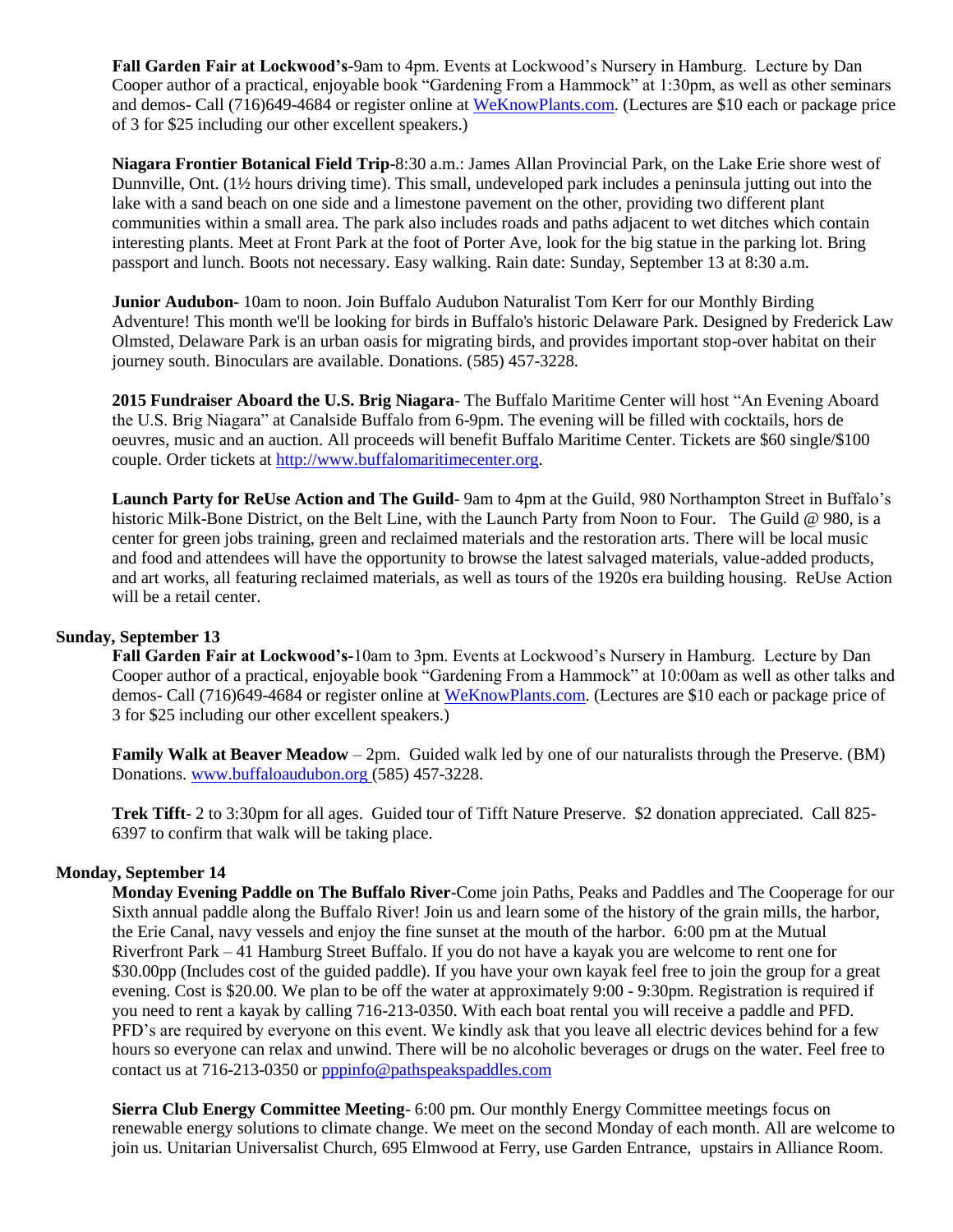**Fall Garden Fair at Lockwood's-**9am to 4pm. Events at Lockwood's Nursery in Hamburg. Lecture by Dan Cooper author of a practical, enjoyable book "Gardening From a Hammock" at 1:30pm, as well as other seminars and demos- Call (716)649-4684 or register online at [WeKnowPlants.com.](http://r20.rs6.net/tn.jsp?f=001p2VZsK03fnXWw-7j-M5B0kFoX8jKLZLE8V0Qv3OmUqBGTo5-njgbaP2cVSJqhmv1w7rNJl-nem4KDTbKUQyDFeq8VJVYp-tzaBLlrfoH26EEeuW_wCc5sFzZg7mg2E-v_Ay2uU7uyFxdjC-U2-780k1nX2rzV33rPHChDvbB6U7RbMzGY6S4HSQ3EobJxF2K58RPXKNrGQBdWwy5z7QD3nPgsVaP7zlDjKcvMn2wo_lp64ZC6Gjo8g==&c=aVPPeGB4hSl9GQQZOpS8eD2IuxQl6yN6RBGYrVpjSceLxgBLmp-_KA==&ch=zoRyXDFH6Css_ytY_47CvDOl1Cx0bKKB_QVi9fW88UoQOtbbtYmAdw==) (Lectures are \$10 each or package price of 3 for \$25 including our other excellent speakers.)

**Niagara Frontier Botanical Field Trip**-8:30 a.m.: James Allan Provincial Park, on the Lake Erie shore west of Dunnville, Ont. (1½ hours driving time). This small, undeveloped park includes a peninsula jutting out into the lake with a sand beach on one side and a limestone pavement on the other, providing two different plant communities within a small area. The park also includes roads and paths adjacent to wet ditches which contain interesting plants. Meet at Front Park at the foot of Porter Ave, look for the big statue in the parking lot. Bring passport and lunch. Boots not necessary. Easy walking. Rain date: Sunday, September 13 at 8:30 a.m.

**Junior Audubon**- 10am to noon. Join Buffalo Audubon Naturalist Tom Kerr for our Monthly Birding Adventure! This month we'll be looking for birds in Buffalo's historic Delaware Park. Designed by Frederick Law Olmsted, Delaware Park is an urban oasis for migrating birds, and provides important stop-over habitat on their journey south. Binoculars are available. Donations. (585) 457-3228.

**2015 Fundraiser Aboard the U.S. Brig Niagara**- The Buffalo Maritime Center will host "An Evening Aboard the U.S. Brig Niagara" at Canalside Buffalo from 6-9pm. The evening will be filled with cocktails, hors de oeuvres, music and an auction. All proceeds will benefit Buffalo Maritime Center. Tickets are \$60 single/\$100 couple. Order tickets at [http://www.buffalomaritimecenter.org.](http://www.buffalomaritimecenter.org/)

**Launch Party for ReUse Action and The Guild**- 9am to 4pm at the Guild, 980 Northampton Street in Buffalo's historic Milk-Bone District, on the Belt Line, with the Launch Party from Noon to Four. The Guild @ 980, is a center for green jobs training, green and reclaimed materials and the restoration arts. There will be local music and food and attendees will have the opportunity to browse the latest salvaged materials, value-added products, and art works, all featuring reclaimed materials, as well as tours of the 1920s era building housing. ReUse Action will be a retail center.

### **Sunday, September 13**

**Fall Garden Fair at Lockwood's-**10am to 3pm. Events at Lockwood's Nursery in Hamburg. Lecture by Dan Cooper author of a practical, enjoyable book "Gardening From a Hammock" at 10:00am as well as other talks and demos- Call (716)649-4684 or register online at [WeKnowPlants.com.](http://r20.rs6.net/tn.jsp?f=001p2VZsK03fnXWw-7j-M5B0kFoX8jKLZLE8V0Qv3OmUqBGTo5-njgbaP2cVSJqhmv1w7rNJl-nem4KDTbKUQyDFeq8VJVYp-tzaBLlrfoH26EEeuW_wCc5sFzZg7mg2E-v_Ay2uU7uyFxdjC-U2-780k1nX2rzV33rPHChDvbB6U7RbMzGY6S4HSQ3EobJxF2K58RPXKNrGQBdWwy5z7QD3nPgsVaP7zlDjKcvMn2wo_lp64ZC6Gjo8g==&c=aVPPeGB4hSl9GQQZOpS8eD2IuxQl6yN6RBGYrVpjSceLxgBLmp-_KA==&ch=zoRyXDFH6Css_ytY_47CvDOl1Cx0bKKB_QVi9fW88UoQOtbbtYmAdw==) (Lectures are \$10 each or package price of 3 for \$25 including our other excellent speakers.)

**Family Walk at Beaver Meadow** – 2pm. Guided walk led by one of our naturalists through the Preserve. (BM) Donations[. www.buffaloaudubon.org](http://www.buffaloaudubon.org/) (585) 457-3228.

**Trek Tifft**- 2 to 3:30pm for all ages. Guided tour of Tifft Nature Preserve. \$2 donation appreciated. Call 825- 6397 to confirm that walk will be taking place.

#### **Monday, September 14**

**Monday Evening Paddle on The Buffalo River**-Come join Paths, Peaks and Paddles and The Cooperage for our Sixth annual paddle along the Buffalo River! Join us and learn some of the history of the grain mills, the harbor, the Erie Canal, navy vessels and enjoy the fine sunset at the mouth of the harbor. 6:00 pm at the Mutual Riverfront Park – 41 Hamburg Street Buffalo. If you do not have a kayak you are welcome to rent one for \$30.00pp (Includes cost of the guided paddle). If you have your own kayak feel free to join the group for a great evening. Cost is \$20.00. We plan to be off the water at approximately 9:00 - 9:30pm. Registration is required if you need to rent a kayak by calling 716-213-0350. With each boat rental you will receive a paddle and PFD. PFD's are required by everyone on this event. We kindly ask that you leave all electric devices behind for a few hours so everyone can relax and unwind. There will be no alcoholic beverages or drugs on the water. Feel free to contact us at 716-213-0350 or [pppinfo@pathspeakspaddles.com](mailto:pppinfo@pathspeakspaddles.com)

**Sierra Club Energy Committee Meeting**- 6:00 pm. Our monthly Energy Committee meetings focus on renewable energy solutions to climate change. We meet on the second Monday of each month. All are welcome to join us. Unitarian Universalist Church, 695 Elmwood at Ferry, use Garden Entrance, upstairs in Alliance Room.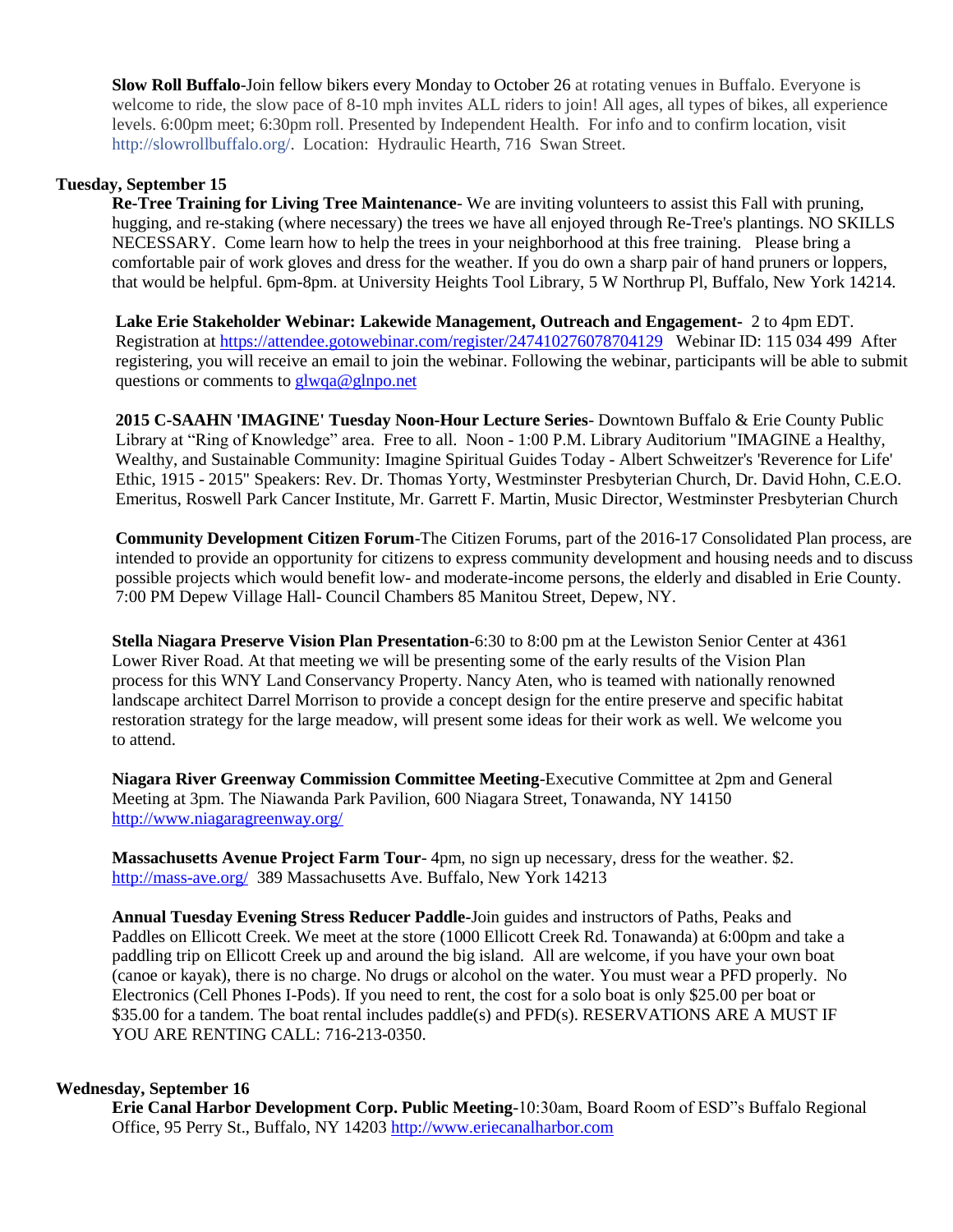**Slow Roll Buffalo**-Join fellow bikers every Monday to October 26 at rotating venues in Buffalo. Everyone is welcome to ride, the slow pace of 8-10 mph invites ALL riders to join! All ages, all types of bikes, all experience levels. 6:00pm meet; 6:30pm roll. Presented by Independent Health. For info and to confirm location, visit [http://slowrollbuffalo.org/.](http://l.facebook.com/l.php?u=http%3A%2F%2Fslowrollbuffalo.org%2F&h=RAQG2q0eI&s=1) Location: Hydraulic Hearth, 716 Swan Street.

#### **Tuesday, September 15**

**Re-Tree Training for Living Tree Maintenance**- We are inviting volunteers to assist this Fall with pruning, hugging, and re-staking (where necessary) the trees we have all enjoyed through Re-Tree's plantings. NO SKILLS NECESSARY. Come learn how to help the trees in your neighborhood at this free training. Please bring a comfortable pair of work gloves and dress for the weather. If you do own a sharp pair of hand pruners or loppers, that would be helpful. 6pm-8pm. at University Heights Tool Library, 5 W Northrup Pl, Buffalo, New York 14214.

**Lake Erie Stakeholder Webinar: Lakewide Management, Outreach and Engagement-** 2 to 4pm EDT. Registration at<https://attendee.gotowebinar.com/register/247410276078704129> Webinar ID: 115 034 499 After registering, you will receive an email to join the webinar. Following the webinar, participants will be able to submit questions or comments t[o glwqa@glnpo.net](mailto:glwqa@glnpo.net)

**2015 C-SAAHN 'IMAGINE' Tuesday Noon-Hour Lecture Series**- Downtown Buffalo & Erie County Public Library at "Ring of Knowledge" area. Free to all. Noon - 1:00 P.M. Library Auditorium "IMAGINE a Healthy, Wealthy, and Sustainable Community: Imagine Spiritual Guides Today - Albert Schweitzer's 'Reverence for Life' Ethic, 1915 - 2015" Speakers: Rev. Dr. Thomas Yorty, Westminster Presbyterian Church, Dr. David Hohn, C.E.O. Emeritus, Roswell Park Cancer Institute, Mr. Garrett F. Martin, Music Director, Westminster Presbyterian Church

**Community Development Citizen Forum**-The Citizen Forums, part of the 2016-17 Consolidated Plan process, are intended to provide an opportunity for citizens to express community development and housing needs and to discuss possible projects which would benefit low- and moderate-income persons, the elderly and disabled in Erie County. 7:00 PM Depew Village Hall- Council Chambers 85 Manitou Street, Depew, NY.

**Stella Niagara Preserve Vision Plan Presentation**-6:30 to 8:00 pm at the Lewiston Senior Center at 4361 Lower River Road. At that meeting we will be presenting some of the early results of the Vision Plan process for this WNY Land Conservancy Property. Nancy Aten, who is teamed with nationally renowned landscape architect Darrel Morrison to provide a concept design for the entire preserve and specific habitat restoration strategy for the large meadow, will present some ideas for their work as well. We welcome you to attend.

**Niagara River Greenway Commission Committee Meeting**-Executive Committee at 2pm and General Meeting at 3pm. The Niawanda Park Pavilion, 600 Niagara Street, Tonawanda, NY 14150 <http://www.niagaragreenway.org/>

**Massachusetts Avenue Project Farm Tour**- 4pm, no sign up necessary, dress for the weather. \$2. <http://mass-ave.org/>389 Massachusetts Ave. Buffalo, New York 14213

**Annual Tuesday Evening Stress Reducer Paddle-**Join guides and instructors of Paths, Peaks and Paddles on Ellicott Creek. We meet at the store (1000 Ellicott Creek Rd. Tonawanda) at 6:00pm and take a paddling trip on Ellicott Creek up and around the big island. All are welcome, if you have your own boat (canoe or kayak), there is no charge. No drugs or alcohol on the water. You must wear a PFD properly. No Electronics (Cell Phones I-Pods). If you need to rent, the cost for a solo boat is only \$25.00 per boat or \$35.00 for a tandem. The boat rental includes paddle(s) and PFD(s). RESERVATIONS ARE A MUST IF YOU ARE RENTING CALL: 716-213-0350.

#### **Wednesday, September 16**

**Erie Canal Harbor Development Corp. Public Meeting**-10:30am, Board Room of ESD"s Buffalo Regional Office, 95 Perry St., Buffalo, NY 14203 [http://www.eriecanalharbor.com](http://www.eriecanalharbor.com/)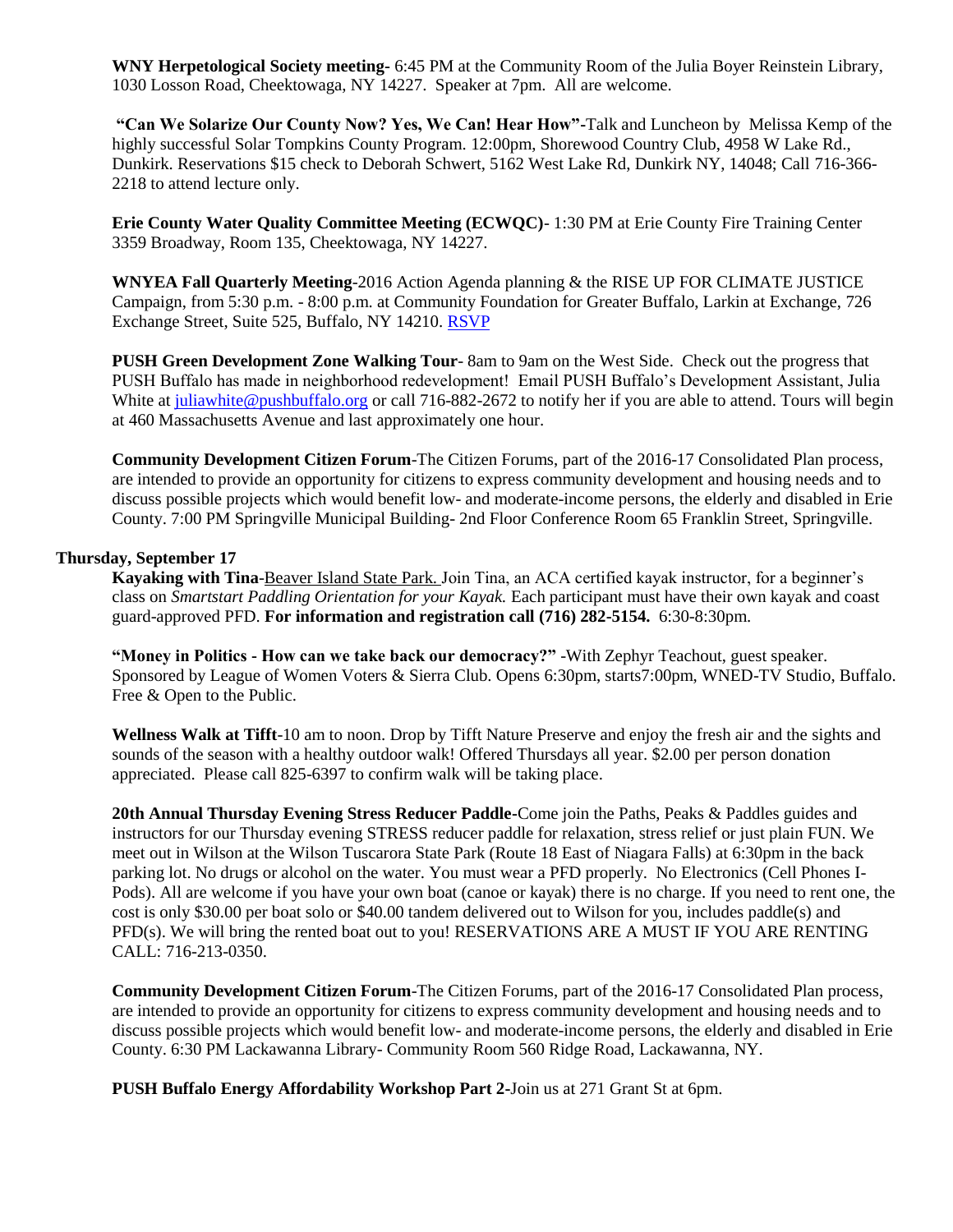**WNY Herpetological Society meeting-** 6:45 PM at the Community Room of the Julia Boyer Reinstein Library, 1030 Losson Road, Cheektowaga, NY 14227. Speaker at 7pm. All are welcome.

**"Can We Solarize Our County Now? Yes, We Can! Hear How"-**Talk and Luncheon by Melissa Kemp of the highly successful Solar Tompkins County Program. 12:00pm, Shorewood Country Club, 4958 W Lake Rd., Dunkirk. Reservations \$15 check to Deborah Schwert, 5162 West Lake Rd, Dunkirk NY, 14048; Call 716-366- 2218 to attend lecture only.

**Erie County Water Quality Committee Meeting (ECWQC)**- 1:30 PM at Erie County Fire Training Center 3359 Broadway, Room 135, Cheektowaga, NY 14227.

**WNYEA Fall Quarterly Meeting**-2016 Action Agenda planning & the RISE UP FOR CLIMATE JUSTICE Campaign, from 5:30 p.m. - 8:00 p.m. at Community Foundation for Greater Buffalo, Larkin at Exchange, 726 Exchange Street, Suite 525, Buffalo, NY 14210. [RSVP](https://growwny.wufoo.com/forms/pl1d5ih0qtiv6c/?utm_source=Green+Organizations+in+Western+New+York&utm_campaign=276a4198f8-2013+Earth+Day+Green+Drinks+Invite&utm_medium=email&utm_term=0_ae83aa1fc7-276a4198f8-380356033)

**PUSH Green Development Zone Walking Tour**- 8am to 9am on the West Side. Check out the progress that PUSH Buffalo has made in neighborhood redevelopment! Email PUSH Buffalo's Development Assistant, Julia White at [juliawhite@pushbuffalo.org](mailto:juliawhite@pushbuffalo.org) or call 716-882-2672 to notify her if you are able to attend. Tours will begin at 460 Massachusetts Avenue and last approximately one hour.

**Community Development Citizen Forum**-The Citizen Forums, part of the 2016-17 Consolidated Plan process, are intended to provide an opportunity for citizens to express community development and housing needs and to discuss possible projects which would benefit low- and moderate-income persons, the elderly and disabled in Erie County. 7:00 PM Springville Municipal Building- 2nd Floor Conference Room 65 Franklin Street, Springville.

#### **Thursday, September 17**

**Kayaking with Tina**-Beaver Island State Park. Join Tina, an ACA certified kayak instructor, for a beginner's class on *Smartstart Paddling Orientation for your Kayak.* Each participant must have their own kayak and coast guard-approved PFD. **For information and registration call (716) 282-5154.** 6:30-8:30pm.

**"Money in Politics - How can we take back our democracy?"** -With Zephyr Teachout, guest speaker. Sponsored by League of Women Voters & Sierra Club. Opens 6:30pm, starts7:00pm, WNED-TV Studio, Buffalo. Free & Open to the Public.

**Wellness Walk at Tifft**-10 am to noon. Drop by Tifft Nature Preserve and enjoy the fresh air and the sights and sounds of the season with a healthy outdoor walk! Offered Thursdays all year. \$2.00 per person donation appreciated. Please call 825-6397 to confirm walk will be taking place.

**20th Annual Thursday Evening Stress Reducer Paddle-**Come join the Paths, Peaks & Paddles guides and instructors for our Thursday evening STRESS reducer paddle for relaxation, stress relief or just plain FUN. We meet out in Wilson at the Wilson Tuscarora State Park (Route 18 East of Niagara Falls) at 6:30pm in the back parking lot. No drugs or alcohol on the water. You must wear a PFD properly. No Electronics (Cell Phones I-Pods). All are welcome if you have your own boat (canoe or kayak) there is no charge. If you need to rent one, the cost is only \$30.00 per boat solo or \$40.00 tandem delivered out to Wilson for you, includes paddle(s) and PFD(s). We will bring the rented boat out to you! RESERVATIONS ARE A MUST IF YOU ARE RENTING CALL: 716-213-0350.

**Community Development Citizen Forum**-The Citizen Forums, part of the 2016-17 Consolidated Plan process, are intended to provide an opportunity for citizens to express community development and housing needs and to discuss possible projects which would benefit low- and moderate-income persons, the elderly and disabled in Erie County. 6:30 PM Lackawanna Library- Community Room 560 Ridge Road, Lackawanna, NY.

**PUSH Buffalo Energy Affordability Workshop Part 2-**Join us at 271 Grant St at 6pm.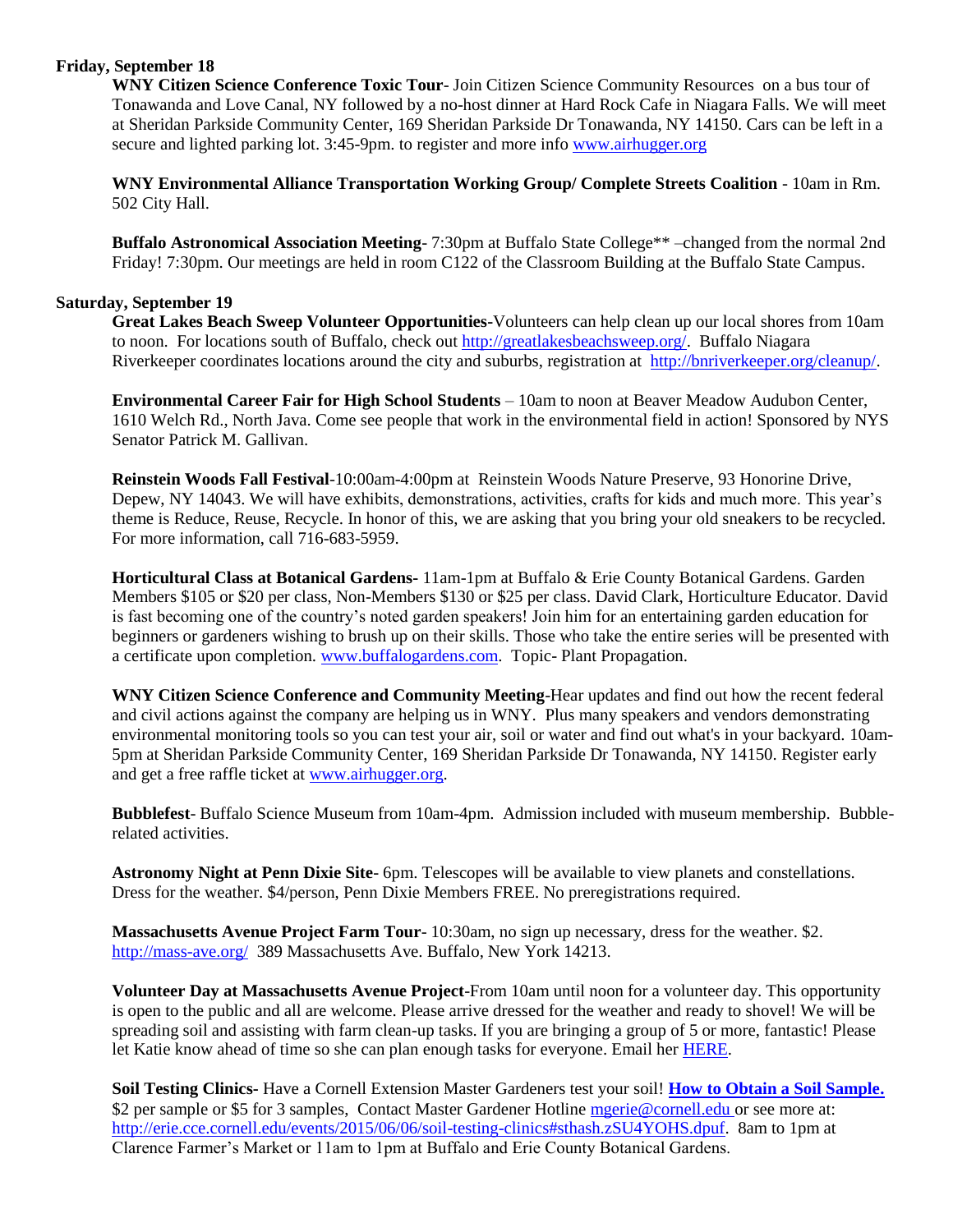#### **Friday, September 18**

**WNY Citizen Science Conference Toxic Tour**- Join Citizen Science Community Resources on a bus tour of Tonawanda and Love Canal, NY followed by a no-host dinner at Hard Rock Cafe in Niagara Falls. We will meet at Sheridan Parkside Community Center, 169 Sheridan Parkside Dr Tonawanda, NY 14150. Cars can be left in a secure and lighted parking lot. 3:45-9pm. to register and more info [www.airhugger.org](http://www.airhugger.org/)

**WNY Environmental Alliance Transportation Working Group/ Complete Streets Coalition** - 10am in Rm. 502 City Hall.

**Buffalo Astronomical Association Meeting**- 7:30pm at Buffalo State College\*\* –changed from the normal 2nd Friday! 7:30pm. Our meetings are held in room C122 of the Classroom Building at the Buffalo State Campus.

#### **Saturday, September 19**

**Great Lakes Beach Sweep Volunteer Opportunities-**Volunteers can help clean up our local shores from 10am to noon. For locations south of Buffalo, check out [http://greatlakesbeachsweep.org/.](http://greatlakesbeachsweep.org/) Buffalo Niagara Riverkeeper coordinates locations around the city and suburbs, registration at [http://bnriverkeeper.org/cleanup/.](http://bnriverkeeper.org/cleanup/)

**Environmental Career Fair for High School Students** – 10am to noon at Beaver Meadow Audubon Center, 1610 Welch Rd., North Java. Come see people that work in the environmental field in action! Sponsored by NYS Senator Patrick M. Gallivan.

**Reinstein Woods Fall Festival**-10:00am-4:00pm at Reinstein Woods Nature Preserve, 93 Honorine Drive, Depew, NY 14043. We will have exhibits, demonstrations, activities, crafts for kids and much more. This year's theme is Reduce, Reuse, Recycle. In honor of this, we are asking that you bring your old sneakers to be recycled. For more information, call 716-683-5959.

**Horticultural Class at Botanical Gardens-** 11am-1pm at Buffalo & Erie County Botanical Gardens. Garden Members \$105 or \$20 per class, Non-Members \$130 or \$25 per class. David Clark, Horticulture Educator. David is fast becoming one of the country's noted garden speakers! Join him for an entertaining garden education for beginners or gardeners wishing to brush up on their skills. Those who take the entire series will be presented with a certificate upon completion. [www.buffalogardens.com.](http://www.buffalogardens.com/) Topic- Plant Propagation.

**WNY Citizen Science Conference and Community Meeting**-Hear updates and find out how the recent federal and civil actions against the company are helping us in WNY. Plus many speakers and vendors demonstrating environmental monitoring tools so you can test your air, soil or water and find out what's in your backyard. 10am-5pm at Sheridan Parkside Community Center, 169 Sheridan Parkside Dr Tonawanda, NY 14150. Register early and get a free raffle ticket at [www.airhugger.org.](http://www.airhugger.org/)

**Bubblefest**- Buffalo Science Museum from 10am-4pm. Admission included with museum membership. Bubblerelated activities.

**Astronomy Night at Penn Dixie Site**- 6pm. Telescopes will be available to view planets and constellations. Dress for the weather. \$4/person, Penn Dixie Members FREE. No preregistrations required.

**Massachusetts Avenue Project Farm Tour**- 10:30am, no sign up necessary, dress for the weather. \$2. <http://mass-ave.org/>389 Massachusetts Ave. Buffalo, New York 14213.

**Volunteer Day at Massachusetts Avenue Project**-From 10am until noon for a volunteer day. This opportunity is open to the public and all are welcome. Please arrive dressed for the weather and ready to shovel! We will be spreading soil and assisting with farm clean-up tasks. If you are bringing a group of 5 or more, fantastic! Please let Katie know ahead of time so she can plan enough tasks for everyone. Email her [HERE.](mailto:kate@mass-ave.org?subject=Sept%2019th%20Volunteer%20Day)

**Soil Testing Clinics-** Have a Cornell Extension Master Gardeners test your soil! **[How to Obtain a Soil Sample.](https://s3.amazonaws.com/assets.cce.cornell.edu/attachments/554/S-1__How_to_Obtain_a_Soil_Sample.pdf?1399658940)**  \$2 per sample or \$5 for 3 samples, Contact Master Gardener Hotline [mgerie@cornell.edu](mailto:mgerie@cornell.edu) or see more at: [http://erie.cce.cornell.edu/events/2015/06/06/soil-testing-clinics#sthash.zSU4YOHS.dpuf.](http://erie.cce.cornell.edu/events/2015/06/06/soil-testing-clinics#sthash.zSU4YOHS.dpuf) 8am to 1pm at Clarence Farmer's Market or 11am to 1pm at Buffalo and Erie County Botanical Gardens.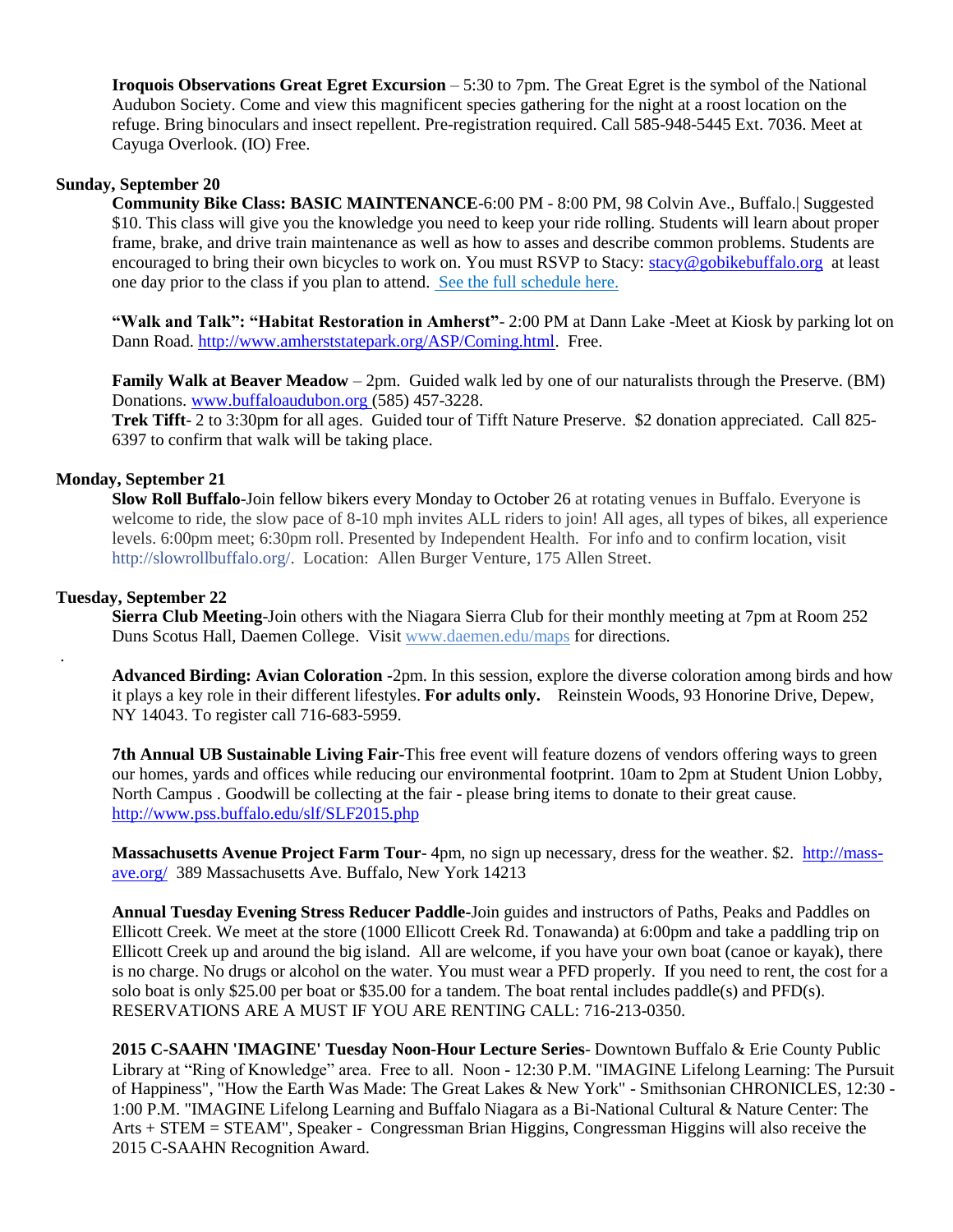**Iroquois Observations Great Egret Excursion** – 5:30 to 7pm. The Great Egret is the symbol of the National Audubon Society. Come and view this magnificent species gathering for the night at a roost location on the refuge. Bring binoculars and insect repellent. Pre-registration required. Call 585-948-5445 Ext. 7036. Meet at Cayuga Overlook. (IO) Free.

#### **Sunday, September 20**

**Community Bike Class: BASIC MAINTENANCE**-6:00 PM - 8:00 PM, 98 Colvin Ave., Buffalo.| Suggested \$10. This class will give you the knowledge you need to keep your ride rolling. Students will learn about proper frame, brake, and drive train maintenance as well as how to asses and describe common problems. Students are encouraged to bring their own bicycles to work on. You must RSVP to Stacy: [stacy@gobikebuffalo.org](mailto:stacy@gobikebuffalo.org) at least one day prior to the class if you plan to attend. [See the full schedule here.](http://gobikebuffalo.org/news/winter-class-schedule-community-workshop/)

**"Walk and Talk": "Habitat Restoration in Amherst"**- 2:00 PM at Dann Lake -Meet at Kiosk by parking lot on Dann Road. [http://www.amherststatepark.org/ASP/Coming.html.](http://www.amherststatepark.org/ASP/Coming.html) Free.

**Family Walk at Beaver Meadow** – 2pm. Guided walk led by one of our naturalists through the Preserve. (BM) Donations[. www.buffaloaudubon.org](http://www.buffaloaudubon.org/) (585) 457-3228.

**Trek Tifft**- 2 to 3:30pm for all ages. Guided tour of Tifft Nature Preserve. \$2 donation appreciated. Call 825- 6397 to confirm that walk will be taking place.

#### **Monday, September 21**

**Slow Roll Buffalo**-Join fellow bikers every Monday to October 26 at rotating venues in Buffalo. Everyone is welcome to ride, the slow pace of 8-10 mph invites ALL riders to join! All ages, all types of bikes, all experience levels. 6:00pm meet; 6:30pm roll. Presented by Independent Health. For info and to confirm location, visit [http://slowrollbuffalo.org/.](http://l.facebook.com/l.php?u=http%3A%2F%2Fslowrollbuffalo.org%2F&h=RAQG2q0eI&s=1) Location: Allen Burger Venture, 175 Allen Street.

#### **Tuesday, September 22**

.

**Sierra Club Meeting**-Join others with the Niagara Sierra Club for their monthly meeting at 7pm at Room 252 Duns Scotus Hall, Daemen College. Visit [www.daemen.edu/maps](http://www.daemen.edu/maps) for directions.

**Advanced Birding: Avian Coloration -**2pm. In this session, explore the diverse coloration among birds and how it plays a key role in their different lifestyles. **For adults only.** Reinstein Woods, 93 Honorine Drive, Depew, NY 14043. To register call 716-683-5959.

**7th Annual UB Sustainable Living Fair-**This free event will feature dozens of vendors offering ways to green our homes, yards and offices while reducing our environmental footprint. 10am to 2pm at Student Union Lobby, North Campus . Goodwill be collecting at the fair - please bring items to donate to their great cause. <http://www.pss.buffalo.edu/slf/SLF2015.php>

**Massachusetts Avenue Project Farm Tour**- 4pm, no sign up necessary, dress for the weather. \$2. [http://mass](http://mass-ave.org/)[ave.org/](http://mass-ave.org/) 389 Massachusetts Ave. Buffalo, New York 14213

**Annual Tuesday Evening Stress Reducer Paddle-**Join guides and instructors of Paths, Peaks and Paddles on Ellicott Creek. We meet at the store (1000 Ellicott Creek Rd. Tonawanda) at 6:00pm and take a paddling trip on Ellicott Creek up and around the big island. All are welcome, if you have your own boat (canoe or kayak), there is no charge. No drugs or alcohol on the water. You must wear a PFD properly. If you need to rent, the cost for a solo boat is only \$25.00 per boat or \$35.00 for a tandem. The boat rental includes paddle(s) and PFD(s). RESERVATIONS ARE A MUST IF YOU ARE RENTING CALL: 716-213-0350.

**2015 C-SAAHN 'IMAGINE' Tuesday Noon-Hour Lecture Series**- Downtown Buffalo & Erie County Public Library at "Ring of Knowledge" area. Free to all. Noon - 12:30 P.M. "IMAGINE Lifelong Learning: The Pursuit of Happiness", "How the Earth Was Made: The Great Lakes & New York" - Smithsonian CHRONICLES, 12:30 - 1:00 P.M. "IMAGINE Lifelong Learning and Buffalo Niagara as a Bi-National Cultural & Nature Center: The Arts + STEM = STEAM", Speaker - Congressman Brian Higgins, Congressman Higgins will also receive the 2015 C-SAAHN Recognition Award.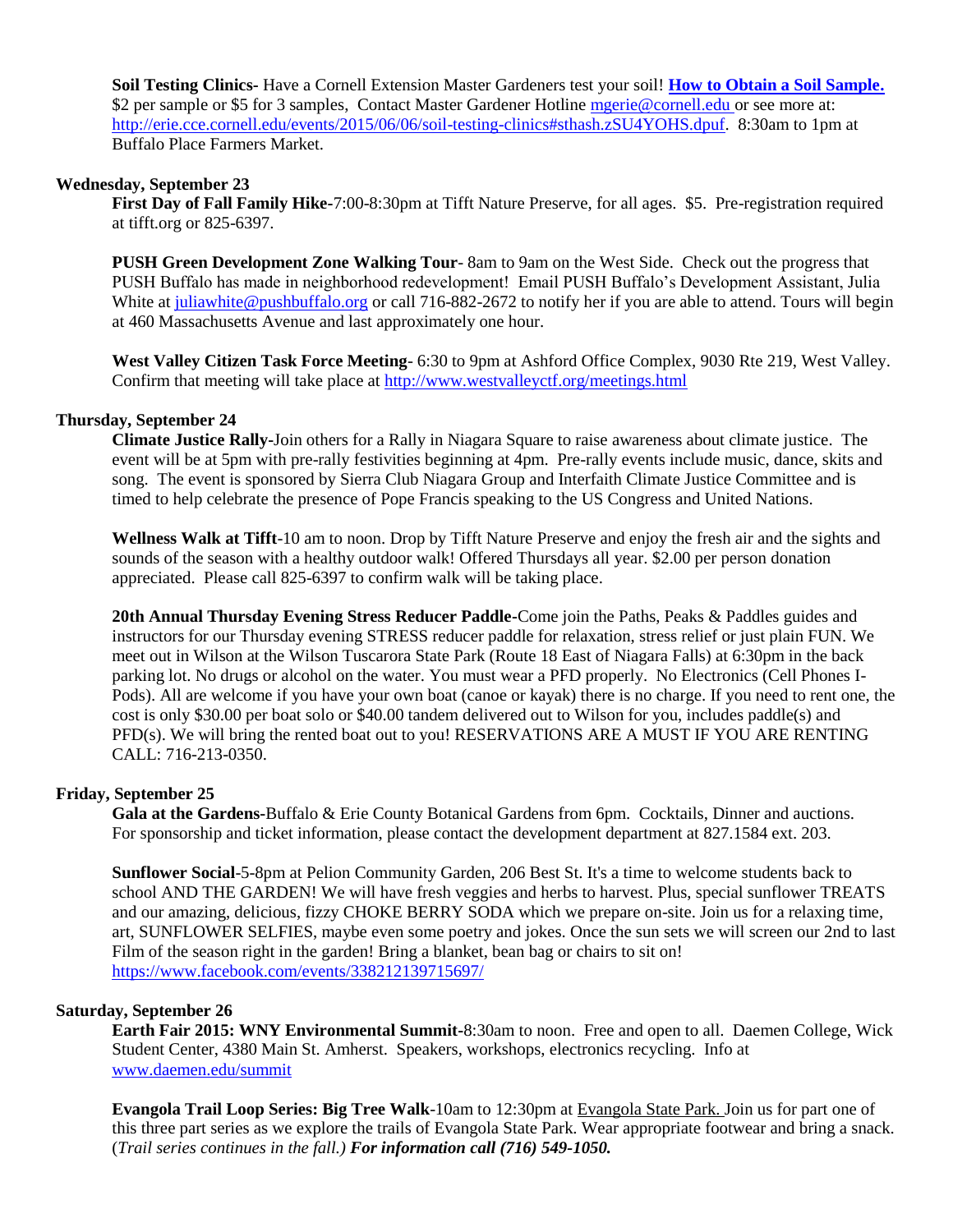**Soil Testing Clinics-** Have a Cornell Extension Master Gardeners test your soil! **[How to Obtain a Soil Sample.](https://s3.amazonaws.com/assets.cce.cornell.edu/attachments/554/S-1__How_to_Obtain_a_Soil_Sample.pdf?1399658940)**  \$2 per sample or \$5 for 3 samples, Contact Master Gardener Hotline [mgerie@cornell.edu](mailto:mgerie@cornell.edu) or see more at: [http://erie.cce.cornell.edu/events/2015/06/06/soil-testing-clinics#sthash.zSU4YOHS.dpuf.](http://erie.cce.cornell.edu/events/2015/06/06/soil-testing-clinics#sthash.zSU4YOHS.dpuf) 8:30am to 1pm at Buffalo Place Farmers Market.

#### **Wednesday, September 23**

**First Day of Fall Family Hike-**7:00-8:30pm at Tifft Nature Preserve, for all ages. \$5. Pre-registration required at tifft.org or 825-6397.

**PUSH Green Development Zone Walking Tour**- 8am to 9am on the West Side. Check out the progress that PUSH Buffalo has made in neighborhood redevelopment! Email PUSH Buffalo's Development Assistant, Julia White at [juliawhite@pushbuffalo.org](mailto:juliawhite@pushbuffalo.org) or call 716-882-2672 to notify her if you are able to attend. Tours will begin at 460 Massachusetts Avenue and last approximately one hour.

**West Valley Citizen Task Force Meeting**- 6:30 to 9pm at Ashford Office Complex, 9030 Rte 219, West Valley. Confirm that meeting will take place at<http://www.westvalleyctf.org/meetings.html>

#### **Thursday, September 24**

**Climate Justice Rally-**Join others for a Rally in Niagara Square to raise awareness about climate justice. The event will be at 5pm with pre-rally festivities beginning at 4pm. Pre-rally events include music, dance, skits and song. The event is sponsored by Sierra Club Niagara Group and Interfaith Climate Justice Committee and is timed to help celebrate the presence of Pope Francis speaking to the US Congress and United Nations.

**Wellness Walk at Tifft**-10 am to noon. Drop by Tifft Nature Preserve and enjoy the fresh air and the sights and sounds of the season with a healthy outdoor walk! Offered Thursdays all year. \$2.00 per person donation appreciated. Please call 825-6397 to confirm walk will be taking place.

**20th Annual Thursday Evening Stress Reducer Paddle-**Come join the Paths, Peaks & Paddles guides and instructors for our Thursday evening STRESS reducer paddle for relaxation, stress relief or just plain FUN. We meet out in Wilson at the Wilson Tuscarora State Park (Route 18 East of Niagara Falls) at 6:30pm in the back parking lot. No drugs or alcohol on the water. You must wear a PFD properly. No Electronics (Cell Phones I-Pods). All are welcome if you have your own boat (canoe or kayak) there is no charge. If you need to rent one, the cost is only \$30.00 per boat solo or \$40.00 tandem delivered out to Wilson for you, includes paddle(s) and PFD(s). We will bring the rented boat out to you! RESERVATIONS ARE A MUST IF YOU ARE RENTING CALL: 716-213-0350.

#### **Friday, September 25**

**Gala at the Gardens-**Buffalo & Erie County Botanical Gardens from 6pm. Cocktails, Dinner and auctions. For sponsorship and ticket information, please contact the development department at 827.1584 ext. 203.

**Sunflower Social**-5-8pm at Pelion Community Garden, 206 Best St. It's a time to welcome students back to school AND THE GARDEN! We will have fresh veggies and herbs to harvest. Plus, special sunflower TREATS and our amazing, delicious, fizzy CHOKE BERRY SODA which we prepare on-site. Join us for a relaxing time, art, SUNFLOWER SELFIES, maybe even some poetry and jokes. Once the sun sets we will screen our 2nd to last Film of the season right in the garden! Bring a blanket, bean bag or chairs to sit on! <https://www.facebook.com/events/338212139715697/>

#### **Saturday, September 26**

**Earth Fair 2015: WNY Environmental Summit-**8:30am to noon. Free and open to all. Daemen College, Wick Student Center, 4380 Main St. Amherst. Speakers, workshops, electronics recycling. Info at [www.daemen.edu/summit](http://www.daemen.edu/summit)

**Evangola Trail Loop Series: Big Tree Walk**-10am to 12:30pm at Evangola State Park. Join us for part one of this three part series as we explore the trails of Evangola State Park. Wear appropriate footwear and bring a snack. (*Trail series continues in the fall.) For information call (716) 549-1050.*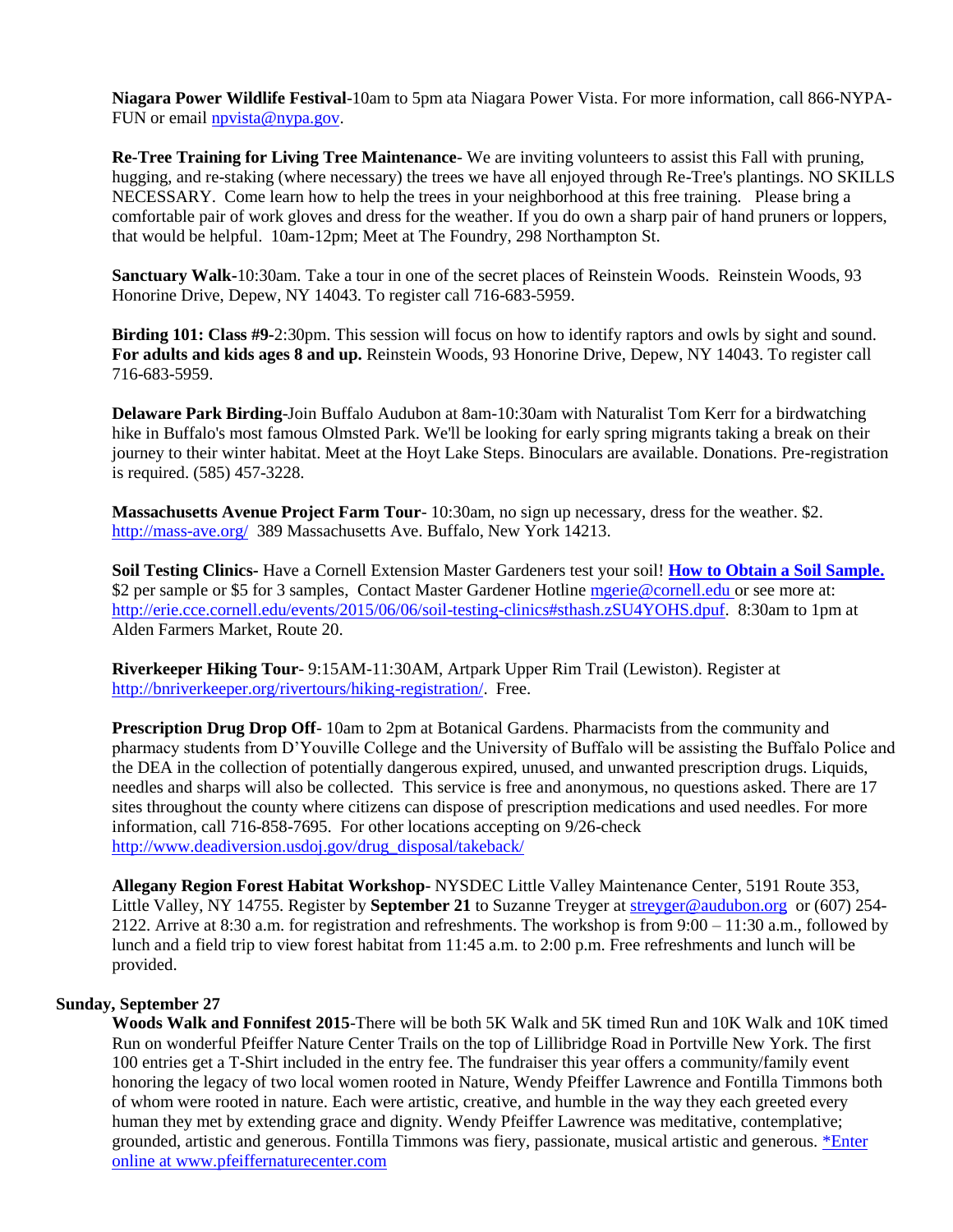**Niagara Power Wildlife Festival**-10am to 5pm ata Niagara Power Vista. For more information, call 866-NYPA-FUN or email [npvista@nypa.gov.](mailto:npvista@nypa.gov)

**Re-Tree Training for Living Tree Maintenance**- We are inviting volunteers to assist this Fall with pruning, hugging, and re-staking (where necessary) the trees we have all enjoyed through Re-Tree's plantings. NO SKILLS NECESSARY. Come learn how to help the trees in your neighborhood at this free training. Please bring a comfortable pair of work gloves and dress for the weather. If you do own a sharp pair of hand pruners or loppers, that would be helpful. 10am-12pm; Meet at The Foundry, 298 Northampton St.

**Sanctuary Walk-**10:30am. Take a tour in one of the secret places of Reinstein Woods. Reinstein Woods, 93 Honorine Drive, Depew, NY 14043. To register call 716-683-5959.

**Birding 101: Class #9-**2:30pm. This session will focus on how to identify raptors and owls by sight and sound. **For adults and kids ages 8 and up.** Reinstein Woods, 93 Honorine Drive, Depew, NY 14043. To register call 716-683-5959.

**Delaware Park Birding**-Join Buffalo Audubon at 8am-10:30am with Naturalist Tom Kerr for a birdwatching hike in Buffalo's most famous Olmsted Park. We'll be looking for early spring migrants taking a break on their journey to their winter habitat. Meet at the Hoyt Lake Steps. Binoculars are available. Donations. Pre-registration is required. (585) 457-3228.

**Massachusetts Avenue Project Farm Tour**- 10:30am, no sign up necessary, dress for the weather. \$2. <http://mass-ave.org/>389 Massachusetts Ave. Buffalo, New York 14213.

**Soil Testing Clinics-** Have a Cornell Extension Master Gardeners test your soil! **[How to Obtain a Soil Sample.](https://s3.amazonaws.com/assets.cce.cornell.edu/attachments/554/S-1__How_to_Obtain_a_Soil_Sample.pdf?1399658940)**  \$2 per sample or \$5 for 3 samples, Contact Master Gardener Hotline [mgerie@cornell.edu](mailto:mgerie@cornell.edu) or see more at: [http://erie.cce.cornell.edu/events/2015/06/06/soil-testing-clinics#sthash.zSU4YOHS.dpuf.](http://erie.cce.cornell.edu/events/2015/06/06/soil-testing-clinics#sthash.zSU4YOHS.dpuf) 8:30am to 1pm at Alden Farmers Market, Route 20.

**Riverkeeper Hiking Tour**- 9:15AM-11:30AM, Artpark Upper Rim Trail (Lewiston). Register at [http://bnriverkeeper.org/rivertours/hiking-registration/.](http://bnriverkeeper.org/rivertours/hiking-registration/) Free.

**Prescription Drug Drop Off-** 10am to 2pm at Botanical Gardens. Pharmacists from the community and pharmacy students from D'Youville College and the University of Buffalo will be assisting the Buffalo Police and the DEA in the collection of potentially dangerous expired, unused, and unwanted prescription drugs. Liquids, needles and sharps will also be collected. This service is free and anonymous, no questions asked. There are 17 sites throughout the county where citizens can dispose of prescription medications and used needles. For more information, call 716-858-7695. For other locations accepting on 9/26-check [http://www.deadiversion.usdoj.gov/drug\\_disposal/takeback/](http://www.deadiversion.usdoj.gov/drug_disposal/takeback/)

**Allegany Region Forest Habitat Workshop**- NYSDEC Little Valley Maintenance Center, 5191 Route 353, Little Valley, NY 14755. Register by **September 21** to Suzanne Treyger at [streyger@audubon.org](mailto:streyger@audubon.org) or (607) 254- 2122. Arrive at 8:30 a.m. for registration and refreshments. The workshop is from 9:00 – 11:30 a.m., followed by lunch and a field trip to view forest habitat from 11:45 a.m. to 2:00 p.m. Free refreshments and lunch will be provided.

#### **Sunday, September 27**

**Woods Walk and Fonnifest 2015**-There will be both 5K Walk and 5K timed Run and 10K Walk and 10K timed Run on wonderful Pfeiffer Nature Center Trails on the top of Lillibridge Road in Portville New York. The first 100 entries get a T-Shirt included in the entry fee. The fundraiser this year offers a community/family event honoring the legacy of two local women rooted in Nature, Wendy Pfeiffer Lawrence and Fontilla Timmons both of whom were rooted in nature. Each were artistic, creative, and humble in the way they each greeted every human they met by extending grace and dignity. Wendy Pfeiffer Lawrence was meditative, contemplative; grounded, artistic and generous. Fontilla Timmons was fiery, passionate, musical artistic and generous. [\\*Enter](https://go.madmimi.com/redirects/1440514647-879613527694e339cf493de7036e1478-3f97297?pa=32596512148)  [online at www.pfeiffernaturecenter.com](https://go.madmimi.com/redirects/1440514647-879613527694e339cf493de7036e1478-3f97297?pa=32596512148)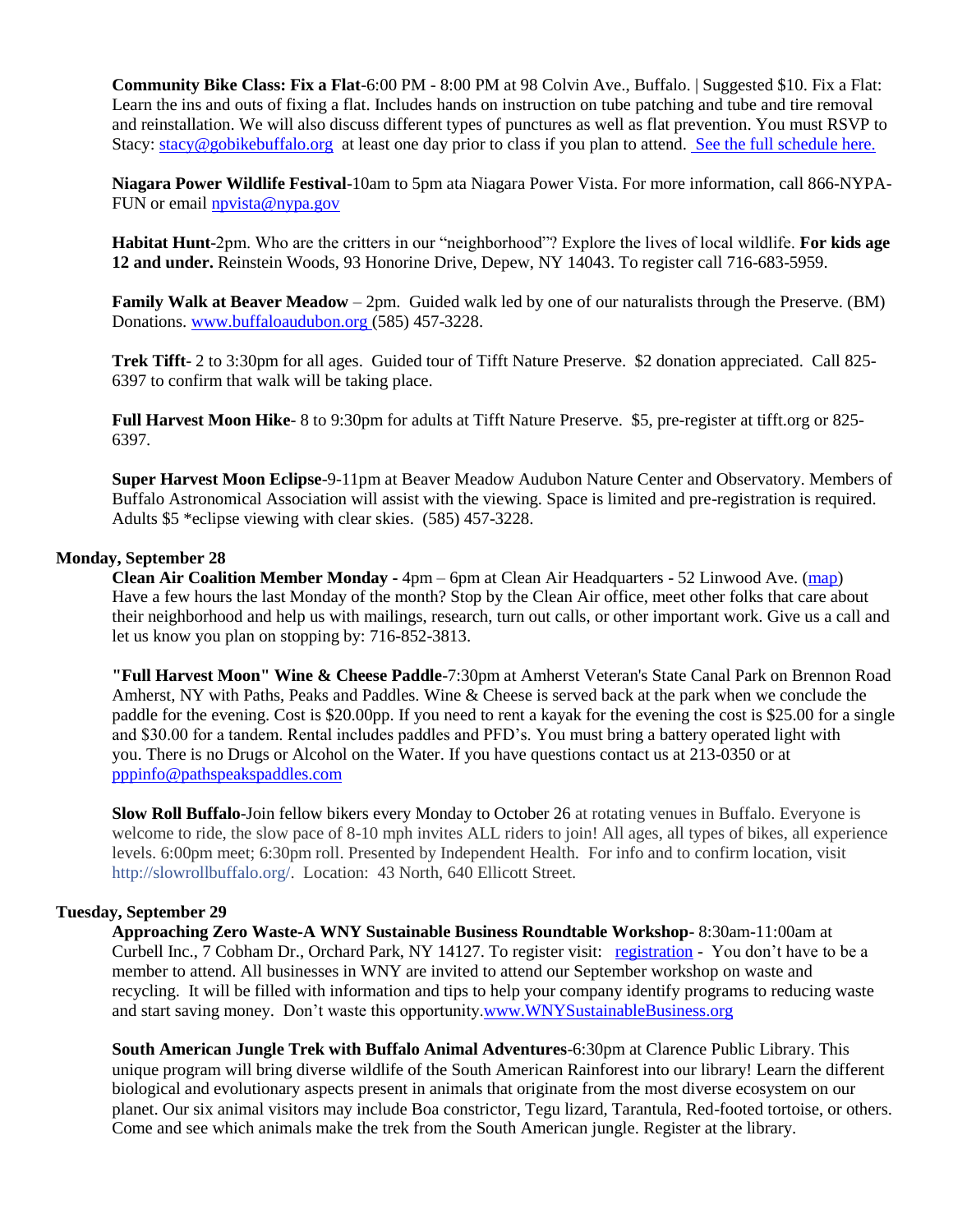**Community Bike Class: Fix a Flat**-6:00 PM - 8:00 PM at 98 Colvin Ave., Buffalo. | Suggested \$10. Fix a Flat: Learn the ins and outs of fixing a flat. Includes hands on instruction on tube patching and tube and tire removal and reinstallation. We will also discuss different types of punctures as well as flat prevention. You must RSVP to Stacy: [stacy@gobikebuffalo.org](mailto:stacy@gobikebuffalo.org) at least one day prior to class if you plan to attend. [See the full schedule here.](http://gobikebuffalo.org/news/winter-class-schedule-community-workshop/)

**Niagara Power Wildlife Festival**-10am to 5pm ata Niagara Power Vista. For more information, call 866-NYPA-FUN or email [npvista@nypa.gov](mailto:npvista@nypa.gov)

**Habitat Hunt**-2pm. Who are the critters in our "neighborhood"? Explore the lives of local wildlife. **For kids age 12 and under.** Reinstein Woods, 93 Honorine Drive, Depew, NY 14043. To register call 716-683-5959.

**Family Walk at Beaver Meadow** – 2pm. Guided walk led by one of our naturalists through the Preserve. (BM) Donations[. www.buffaloaudubon.org](http://www.buffaloaudubon.org/) (585) 457-3228.

**Trek Tifft**- 2 to 3:30pm for all ages. Guided tour of Tifft Nature Preserve. \$2 donation appreciated. Call 825- 6397 to confirm that walk will be taking place.

**Full Harvest Moon Hike**- 8 to 9:30pm for adults at Tifft Nature Preserve. \$5, pre-register at tifft.org or 825- 6397.

**Super Harvest Moon Eclipse**-9-11pm at Beaver Meadow Audubon Nature Center and Observatory. Members of Buffalo Astronomical Association will assist with the viewing. Space is limited and pre-registration is required. Adults \$5 \*eclipse viewing with clear skies. (585) 457-3228.

#### **Monday, September 28**

**Clean Air Coalition Member Monday -** 4pm – 6pm at Clean Air Headquarters - 52 Linwood Ave. [\(map\)](http://maps.google.com/maps?hl=en&q=Clean%20Air%20Headquarters%20-%2052%20Linwood%20Ave.) Have a few hours the last Monday of the month? Stop by the Clean Air office, meet other folks that care about their neighborhood and help us with mailings, research, turn out calls, or other important work. Give us a call and let us know you plan on stopping by: 716-852-3813.

**"Full Harvest Moon" Wine & Cheese Paddle**-7:30pm at Amherst Veteran's State Canal Park on Brennon Road Amherst, NY with Paths, Peaks and Paddles. Wine & Cheese is served back at the park when we conclude the paddle for the evening. Cost is \$20.00pp. If you need to rent a kayak for the evening the cost is \$25.00 for a single and \$30.00 for a tandem. Rental includes paddles and PFD's. You must bring a battery operated light with you. There is no Drugs or Alcohol on the Water. If you have questions contact us at 213-0350 or at [pppinfo@pathspeakspaddles.com](mailto:pppinfo@pathspeakspaddles.com)

**Slow Roll Buffalo**-Join fellow bikers every Monday to October 26 at rotating venues in Buffalo. Everyone is welcome to ride, the slow pace of 8-10 mph invites ALL riders to join! All ages, all types of bikes, all experience levels. 6:00pm meet; 6:30pm roll. Presented by Independent Health. For info and to confirm location, visit [http://slowrollbuffalo.org/.](http://l.facebook.com/l.php?u=http%3A%2F%2Fslowrollbuffalo.org%2F&h=RAQG2q0eI&s=1) Location: 43 North, 640 Ellicott Street.

#### **Tuesday, September 29**

**Approaching Zero Waste-A WNY Sustainable Business Roundtable Workshop**- 8:30am-11:00am at Curbell Inc., 7 Cobham Dr., Orchard Park, NY 14127. To register visit: [registration](http://www.brownpapertickets.com/event/2181989) - You don't have to be a member to attend. All businesses in WNY are invited to attend our September workshop on waste and recycling. It will be filled with information and tips to help your company identify programs to reducing waste and start saving money. Don't waste this opportunity[.www.WNYSustainableBusiness.org](http://www.wnysustainablebusiness.org/)

**South American Jungle Trek with Buffalo Animal Adventures**-6:30pm at Clarence Public Library. This unique program will bring diverse wildlife of the South American Rainforest into our library! Learn the different biological and evolutionary aspects present in animals that originate from the most diverse ecosystem on our planet. Our six animal visitors may include Boa constrictor, Tegu lizard, Tarantula, Red-footed tortoise, or others. Come and see which animals make the trek from the South American jungle. Register at the library.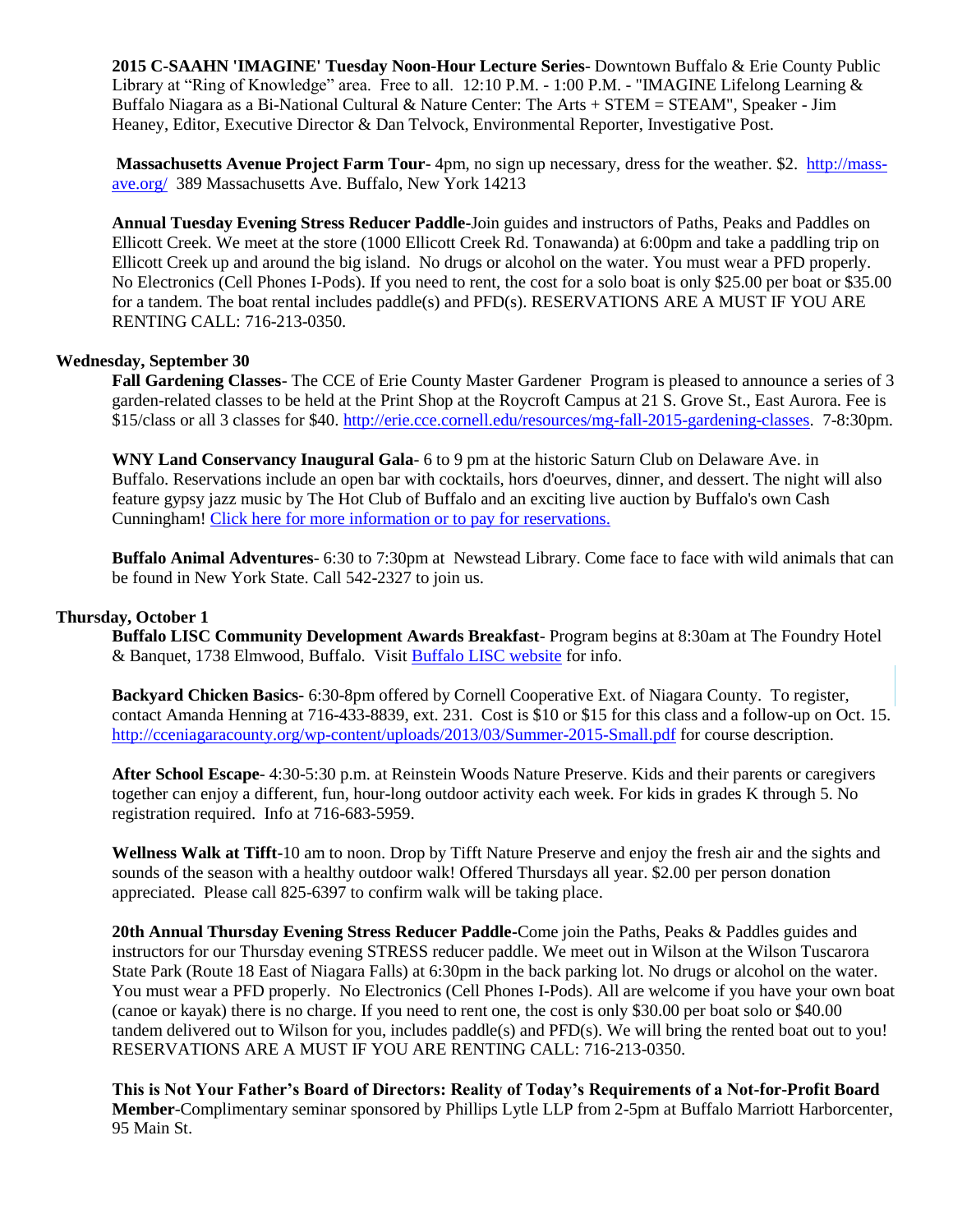**2015 C-SAAHN 'IMAGINE' Tuesday Noon-Hour Lecture Series**- Downtown Buffalo & Erie County Public Library at "Ring of Knowledge" area. Free to all. 12:10 P.M. - 1:00 P.M. - "IMAGINE Lifelong Learning & Buffalo Niagara as a Bi-National Cultural & Nature Center: The Arts + STEM = STEAM", Speaker - Jim Heaney, Editor, Executive Director & Dan Telvock, Environmental Reporter, Investigative Post.

**Massachusetts Avenue Project Farm Tour**- 4pm, no sign up necessary, dress for the weather. \$2. [http://mass](http://mass-ave.org/)[ave.org/](http://mass-ave.org/) 389 Massachusetts Ave. Buffalo, New York 14213

**Annual Tuesday Evening Stress Reducer Paddle-**Join guides and instructors of Paths, Peaks and Paddles on Ellicott Creek. We meet at the store (1000 Ellicott Creek Rd. Tonawanda) at 6:00pm and take a paddling trip on Ellicott Creek up and around the big island. No drugs or alcohol on the water. You must wear a PFD properly. No Electronics (Cell Phones I-Pods). If you need to rent, the cost for a solo boat is only \$25.00 per boat or \$35.00 for a tandem. The boat rental includes paddle(s) and PFD(s). RESERVATIONS ARE A MUST IF YOU ARE RENTING CALL: 716-213-0350.

#### **Wednesday, September 30**

**Fall Gardening Classes**- The CCE of Erie County Master Gardener Program is pleased to announce a series of 3 garden-related classes to be held at the Print Shop at the Roycroft Campus at 21 S. Grove St., East Aurora. Fee is \$15/class or all 3 classes for \$40. [http://erie.cce.cornell.edu/resources/mg-fall-2015-gardening-classes.](http://erie.cce.cornell.edu/resources/mg-fall-2015-gardening-classes) 7-8:30pm.

**WNY Land Conservancy Inaugural Gala**- 6 to 9 pm at the historic Saturn Club on Delaware Ave. in Buffalo. Reservations include an open bar with cocktails, hors d'oeurves, dinner, and dessert. The night will also feature gypsy jazz music by The Hot Club of Buffalo and an exciting live auction by Buffalo's own Cash Cunningham! [Click here for more information or to pay for reservations.](http://r20.rs6.net/tn.jsp?f=001rDrJWEX52jmzY4zOEgvKY5sq_p39pzjrqiY5F0do7VBEO0bFp7qPwanksPr2by-IdMR9h3CYaMiB7UOcad0jq6uN5dwkiL1GDiPoNTjK_OxniFwFzid_b6DVP5GdB0gjDISiPsPJnbOdrzDlqf81IX0GTj8ACtv58xKf0IRNXpwG0Wayn9SSrSDmpsaBygLz8v-xFamehDgWWB9v-GAqo1KUbWhIGqNWUPc5bDueUWFDwtRJ61aKkUoMawqFjzKiBcUbMiqUZeoLrYVF6Dpk6J7INhpYCT4b20rhXkm93gpBWIEz9Nsv64ybhkTOl1ky&c=LJcLv9FazaYkCXBpGOEXMiBF3NP3xqEqrQMZNQc1DPJA8Sn-aSQ4nw==&ch=6q7UWMW-MmayiC2YlkPgE5CxotCuma3S0Jw6jrzs2j5A8_l_7AWx0A==)

**Buffalo Animal Adventures**- 6:30 to 7:30pm at Newstead Library. Come face to face with wild animals that can be found in New York State. Call 542-2327 to join us.

#### **Thursday, October 1**

**Buffalo LISC Community Development Awards Breakfast**- Program begins at 8:30am at The Foundry Hotel & Banquet, 1738 Elmwood, Buffalo. Visit [Buffalo LISC website](http://buffalolisc.cmail20.com/t/r-l-fluyhik-ikodiltky-c/) for info.

**Backyard Chicken Basics-** 6:30-8pm offered by Cornell Cooperative Ext. of Niagara County. To register, contact Amanda Henning at 716-433-8839, ext. 231. Cost is \$10 or \$15 for this class and a follow-up on Oct. 15. <http://cceniagaracounty.org/wp-content/uploads/2013/03/Summer-2015-Small.pdf> for course description.

**After School Escape**- 4:30-5:30 p.m. at Reinstein Woods Nature Preserve. Kids and their parents or caregivers together can enjoy a different, fun, hour-long outdoor activity each week. For kids in grades K through 5. No registration required. Info at 716-683-5959.

**Wellness Walk at Tifft**-10 am to noon. Drop by Tifft Nature Preserve and enjoy the fresh air and the sights and sounds of the season with a healthy outdoor walk! Offered Thursdays all year. \$2.00 per person donation appreciated. Please call 825-6397 to confirm walk will be taking place.

**20th Annual Thursday Evening Stress Reducer Paddle-**Come join the Paths, Peaks & Paddles guides and instructors for our Thursday evening STRESS reducer paddle. We meet out in Wilson at the Wilson Tuscarora State Park (Route 18 East of Niagara Falls) at 6:30pm in the back parking lot. No drugs or alcohol on the water. You must wear a PFD properly. No Electronics (Cell Phones I-Pods). All are welcome if you have your own boat (canoe or kayak) there is no charge. If you need to rent one, the cost is only \$30.00 per boat solo or \$40.00 tandem delivered out to Wilson for you, includes paddle(s) and PFD(s). We will bring the rented boat out to you! RESERVATIONS ARE A MUST IF YOU ARE RENTING CALL: 716-213-0350.

**This is Not Your Father's Board of Directors: Reality of Today's Requirements of a Not-for-Profit Board Member**-Complimentary seminar sponsored by Phillips Lytle LLP from 2-5pm at Buffalo Marriott Harborcenter, 95 Main St.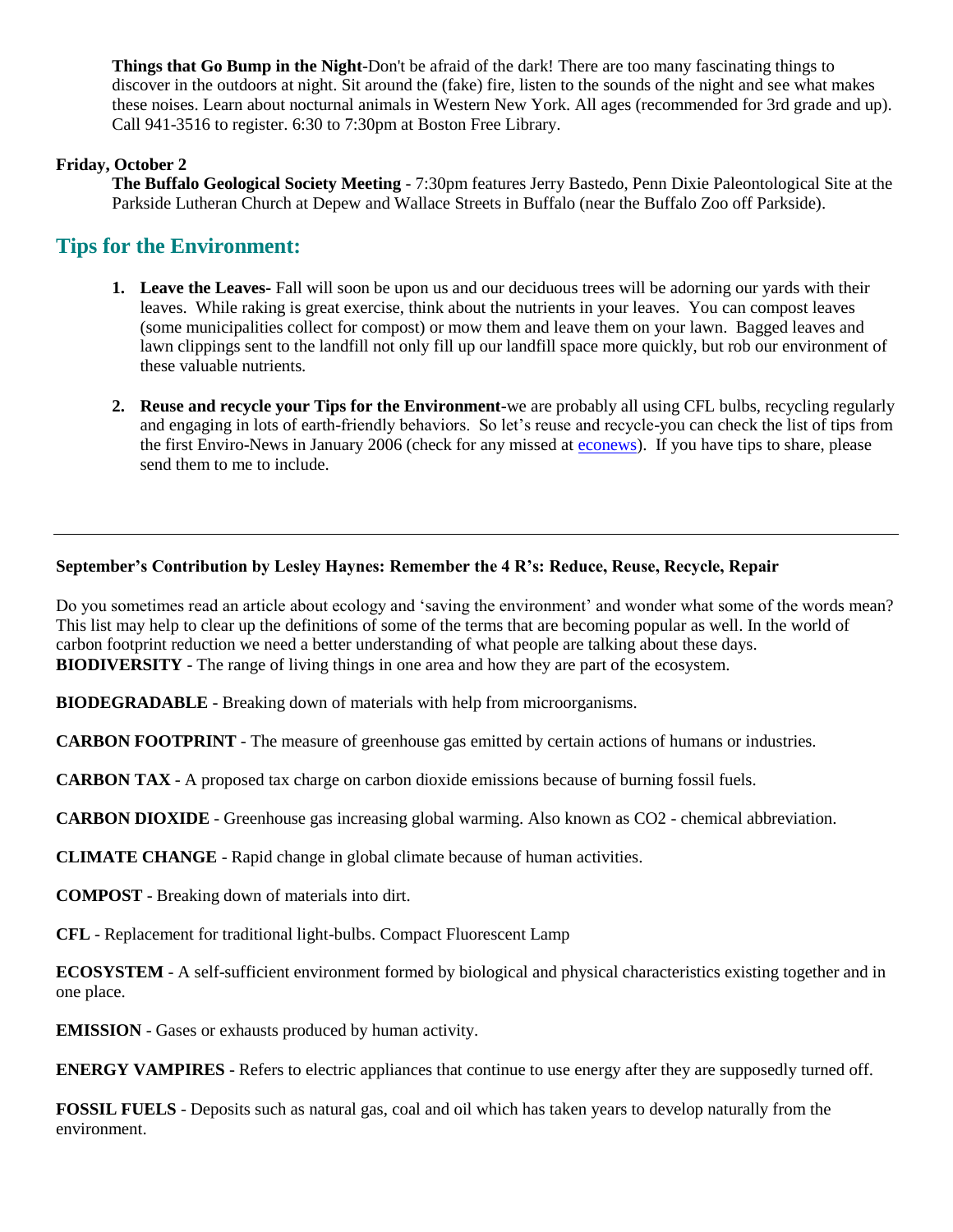**Things that Go Bump in the Night**-Don't be afraid of the dark! There are too many fascinating things to discover in the outdoors at night. Sit around the (fake) fire, listen to the sounds of the night and see what makes these noises. Learn about nocturnal animals in Western New York. All ages (recommended for 3rd grade and up). Call 941-3516 to register. 6:30 to 7:30pm at Boston Free Library.

# **Friday, October 2**

**The Buffalo Geological Society Meeting** - 7:30pm features Jerry Bastedo, Penn Dixie Paleontological Site at the Parkside Lutheran Church at Depew and Wallace Streets in Buffalo (near the Buffalo Zoo off Parkside).

# **Tips for the Environment:**

- **1. Leave the Leaves-** Fall will soon be upon us and our deciduous trees will be adorning our yards with their leaves. While raking is great exercise, think about the nutrients in your leaves. You can compost leaves (some municipalities collect for compost) or mow them and leave them on your lawn. Bagged leaves and lawn clippings sent to the landfill not only fill up our landfill space more quickly, but rob our environment of these valuable nutrients.
- **2. Reuse and recycle your Tips for the Environment-**we are probably all using CFL bulbs, recycling regularly and engaging in lots of earth-friendly behaviors. So let's reuse and recycle-you can check the list of tips from the first Enviro-News in January 2006 (check for any missed at [econews\)](http://www.daemen.edu/offices/academicaffairs/econews). If you have tips to share, please send them to me to include.

### **September's Contribution by Lesley Haynes: Remember the 4 R's: Reduce, Reuse, Recycle, Repair**

Do you sometimes read an article about ecology and 'saving the environment' and wonder what some of the words mean? This list may help to clear up the definitions of some of the terms that are becoming popular as well. In the world of carbon footprint reduction we need a better understanding of what people are talking about these days. **BIODIVERSITY** - The range of living things in one area and how they are part of the ecosystem.

**BIODEGRADABLE** - Breaking down of materials with help from microorganisms.

**CARBON FOOTPRINT** - The measure of greenhouse gas emitted by certain actions of humans or industries.

**CARBON TAX** - A proposed tax charge on carbon dioxide emissions because of burning fossil fuels.

**CARBON DIOXIDE** - Greenhouse gas increasing global warming. Also known as CO2 - chemical abbreviation.

**CLIMATE CHANGE** - Rapid change in global climate because of human activities.

**COMPOST** - Breaking down of materials into dirt.

**CFL** - Replacement for traditional light-bulbs. Compact Fluorescent Lamp

**ECOSYSTEM** - A self-sufficient environment formed by biological and physical characteristics existing together and in one place.

**EMISSION** - Gases or exhausts produced by human activity.

**ENERGY VAMPIRES** - Refers to electric appliances that continue to use energy after they are supposedly turned off.

**FOSSIL FUELS** - Deposits such as natural gas, coal and oil which has taken years to develop naturally from the environment.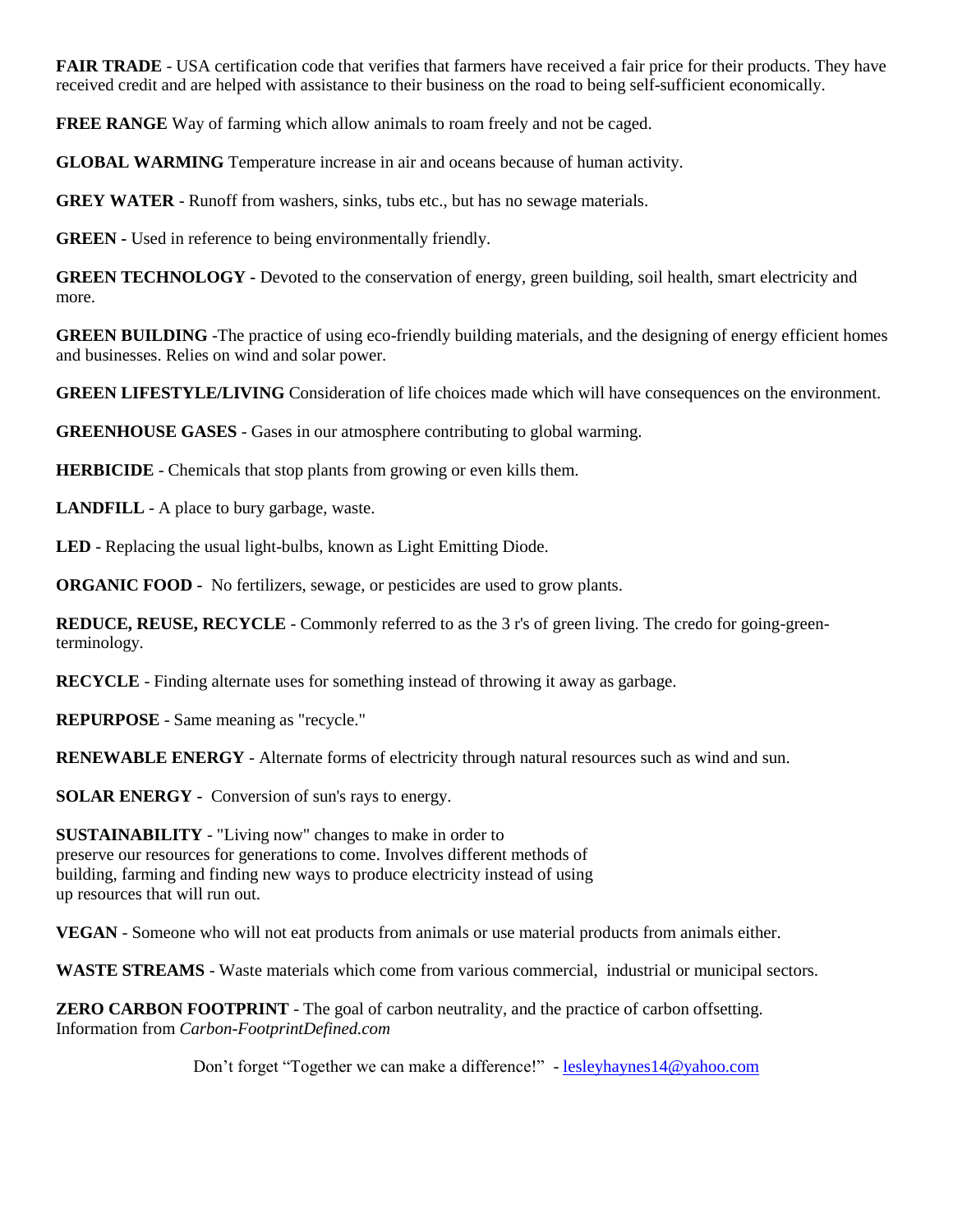**FAIR TRADE** - USA certification code that verifies that farmers have received a fair price for their products. They have received credit and are helped with assistance to their business on the road to being self-sufficient economically.

**FREE RANGE** Way of farming which allow animals to roam freely and not be caged.

**GLOBAL WARMING** Temperature increase in air and oceans because of human activity.

**GREY WATER** - Runoff from washers, sinks, tubs etc., but has no sewage materials.

**GREEN -** Used in reference to being environmentally friendly.

**GREEN TECHNOLOGY** - Devoted to the conservation of energy, green building, soil health, smart electricity and more.

**GREEN BUILDING** -The practice of using eco-friendly building materials, and the designing of energy efficient homes and businesses. Relies on wind and solar power.

**GREEN LIFESTYLE/LIVING** Consideration of life choices made which will have consequences on the environment.

**GREENHOUSE GASES** - Gases in our atmosphere contributing to global warming.

**HERBICIDE** - Chemicals that stop plants from growing or even kills them.

**LANDFILL** - A place to bury garbage, waste.

**LED** - Replacing the usual light-bulbs, known as Light Emitting Diode.

**ORGANIC FOOD -** No fertilizers, sewage, or pesticides are used to grow plants.

**REDUCE, REUSE, RECYCLE** - Commonly referred to as the 3 r's of green living. The credo for going-greenterminology.

**RECYCLE** - Finding alternate uses for something instead of throwing it away as garbage.

**REPURPOSE** - Same meaning as "recycle."

**RENEWABLE ENERGY** - Alternate forms of electricity through natural resources such as wind and sun.

**SOLAR ENERGY -** Conversion of sun's rays to energy.

**SUSTAINABILITY** - "Living now" changes to make in order to preserve our resources for generations to come. Involves different methods of building, farming and finding new ways to produce electricity instead of using up resources that will run out.

**VEGAN** - Someone who will not eat products from animals or use material products from animals either.

**WASTE STREAMS** - Waste materials which come from various commercial, industrial or municipal sectors.

**ZERO CARBON FOOTPRINT** - The goal of carbon neutrality, and the practice of carbon offsetting. Information from *Carbon-FootprintDefined.com*

Don't forget "Together we can make a difference!" - [lesleyhaynes14@yahoo.com](mailto:lesleyhaynes14@yahoo.com)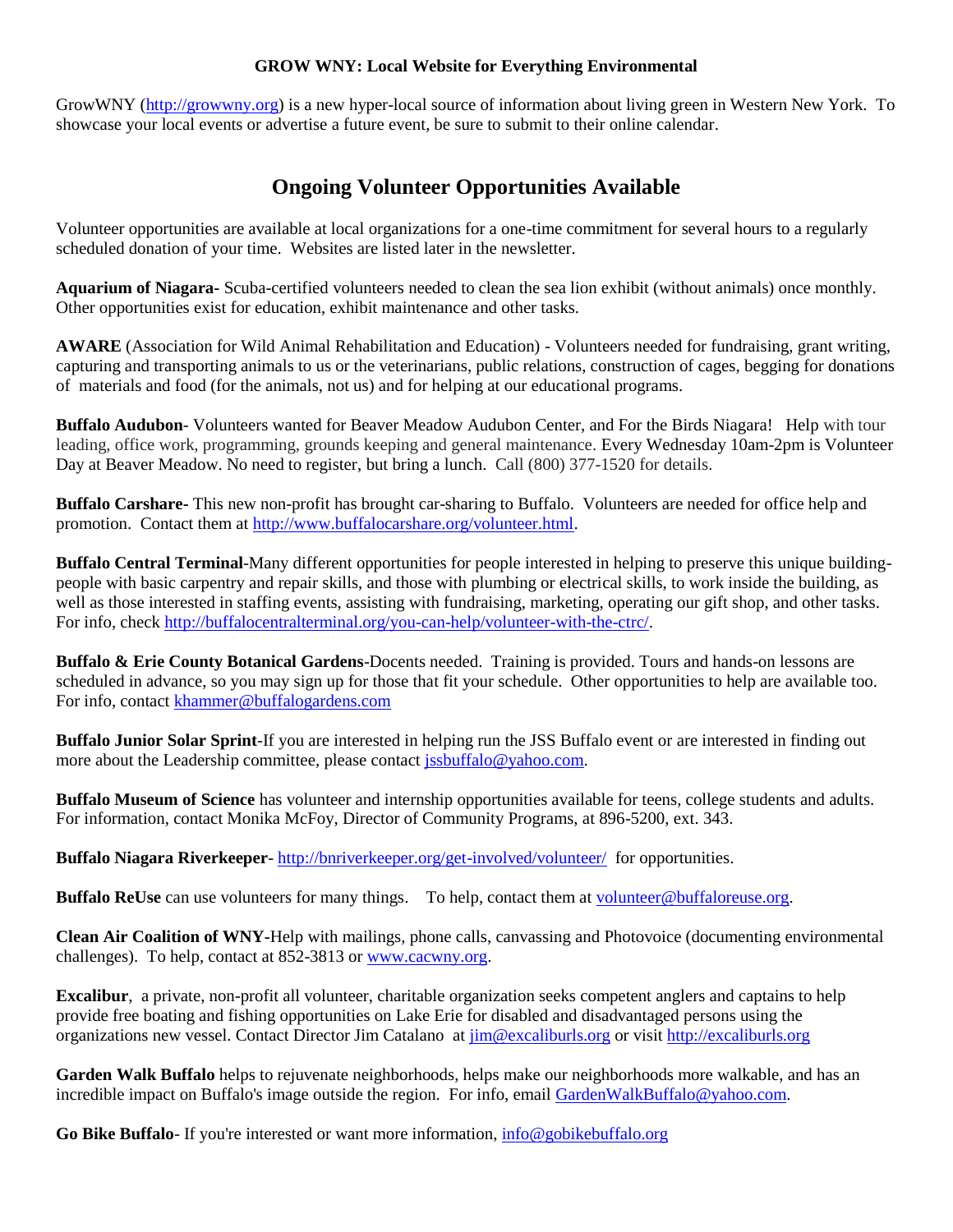#### **GROW WNY: Local Website for Everything Environmental**

GrowWNY [\(http://growwny.org\)](http://growwny.org/) is a new hyper-local source of information about living green in Western New York. To showcase your local events or advertise a future event, be sure to submit to their online calendar.

# **Ongoing Volunteer Opportunities Available**

Volunteer opportunities are available at local organizations for a one-time commitment for several hours to a regularly scheduled donation of your time. Websites are listed later in the newsletter.

**Aquarium of Niagara-** Scuba-certified volunteers needed to clean the sea lion exhibit (without animals) once monthly. Other opportunities exist for education, exhibit maintenance and other tasks.

**AWARE** (Association for Wild Animal Rehabilitation and Education) - Volunteers needed for fundraising, grant writing, capturing and transporting animals to us or the veterinarians, public relations, construction of cages, begging for donations of materials and food (for the animals, not us) and for helping at our educational programs.

**Buffalo Audubon**- Volunteers wanted for Beaver Meadow Audubon Center, and For the Birds Niagara! Help with tour leading, office work, programming, grounds keeping and general maintenance. Every Wednesday 10am-2pm is Volunteer Day at Beaver Meadow. No need to register, but bring a lunch. Call (800) 377-1520 for details.

**Buffalo Carshare-** This new non-profit has brought car-sharing to Buffalo. Volunteers are needed for office help and promotion. Contact them at [http://www.buffalocarshare.org/volunteer.html.](http://www.buffalocarshare.org/volunteer.html)

**Buffalo Central Terminal**-Many different opportunities for people interested in helping to preserve this unique buildingpeople with basic carpentry and repair skills, and those with plumbing or electrical skills, to work inside the building, as well as those interested in staffing events, assisting with fundraising, marketing, operating our gift shop, and other tasks. For info, chec[k http://buffalocentralterminal.org/you-can-help/volunteer-with-the-ctrc/.](http://buffalocentralterminal.org/you-can-help/volunteer-with-the-ctrc/)

**Buffalo & Erie County Botanical Gardens**-Docents needed. Training is provided. Tours and hands-on lessons are scheduled in advance, so you may sign up for those that fit your schedule. Other opportunities to help are available too. For info, contact [khammer@buffalogardens.com](mailto:khammer@buffalogardens.com)

**Buffalo Junior Solar Sprint**-If you are interested in helping run the JSS Buffalo event or are interested in finding out more about the Leadership committee, please contact [jssbuffalo@yahoo.com.](mailto:jssbuffalo@yahoo.com)

**Buffalo Museum of Science** has volunteer and internship opportunities available for teens, college students and adults. For information, contact Monika McFoy, Director of Community Programs, at 896-5200, ext. 343.

**Buffalo Niagara Riverkeeper**- <http://bnriverkeeper.org/get-involved/volunteer/>for opportunities.

**Buffalo ReUse** can use volunteers for many things. To help, contact them at [volunteer@buffaloreuse.org.](mailto:volunteer@buffaloreuse.org)

**Clean Air Coalition of WNY-**Help with mailings, phone calls, canvassing and Photovoice (documenting environmental challenges). To help, contact at 852-3813 or [www.cacwny.org.](http://www.cacwny.org/)

**Excalibur**, a private, non-profit all volunteer, charitable organization seeks competent anglers and captains to help provide free boating and fishing opportunities on Lake Erie for disabled and disadvantaged persons using the organizations new vessel. Contact Director Jim Catalano at [jim@excaliburls.org](mailto:jim@excaliburls.org) or visit [http://excaliburls.org](http://excaliburls.org/)

**Garden Walk Buffalo** helps to rejuvenate neighborhoods, helps make our neighborhoods more walkable, and has an incredible impact on Buffalo's image outside the region. For info, email [GardenWalkBuffalo@yahoo.com.](mailto:GardenWalkBuffalo@yahoo.com)

Go Bike Buffalo- If you're interested or want more information, [info@gobikebuffalo.org](mailto:info@gobikebuffalo.org)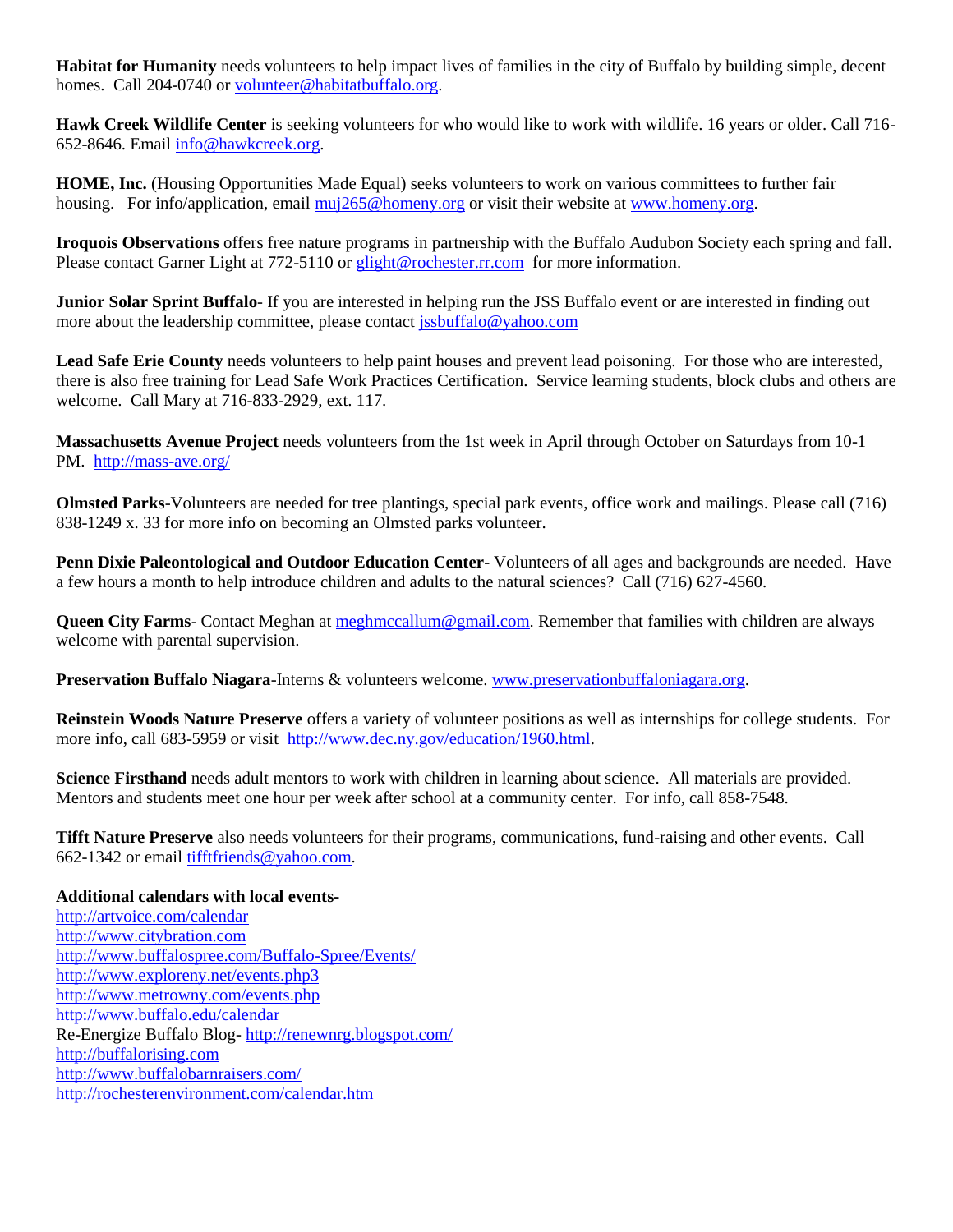**Habitat for Humanity** needs volunteers to help impact lives of families in the city of Buffalo by building simple, decent homes. Call 204-0740 or [volunteer@habitatbuffalo.org.](mailto:volunteer@habitatbuffalo.org)

**Hawk Creek Wildlife Center** is seeking volunteers for who would like to work with wildlife. 16 years or older. Call 716- 652-8646. Email [info@hawkcreek.org.](mailto:info@hawkcreek.org)

**HOME, Inc.** (Housing Opportunities Made Equal) seeks volunteers to work on various committees to further fair housing. For info/application, email [muj265@homeny.org](mailto:muj265@homeny.org) or visit their website at [www.homeny.org.](http://www.homeny.org/)

**Iroquois Observations** offers free nature programs in partnership with the Buffalo Audubon Society each spring and fall. Please contact Garner Light at 772-5110 o[r glight@rochester.rr.com](mailto:glight@rochester.rr.com) for more information.

**Junior Solar Sprint Buffalo**- If you are interested in helping run the JSS Buffalo event or are interested in finding out more about the leadership committee, please contact [jssbuffalo@yahoo.com](mailto:jssbuffalo@yahoo.com)

Lead Safe Erie County needs volunteers to help paint houses and prevent lead poisoning. For those who are interested, there is also free training for Lead Safe Work Practices Certification. Service learning students, block clubs and others are welcome. Call Mary at 716-833-2929, ext. 117.

**Massachusetts Avenue Project** needs volunteers from the 1st week in April through October on Saturdays from 10-1 PM. <http://mass-ave.org/>

**Olmsted Parks**-Volunteers are needed for tree plantings, special park events, office work and mailings. Please call (716) 838-1249 x. 33 for more info on becoming an Olmsted parks volunteer.

**Penn Dixie Paleontological and Outdoor Education Center**- Volunteers of all ages and backgrounds are needed. Have a few hours a month to help introduce children and adults to the natural sciences? Call (716) 627-4560.

**Queen City Farms**- Contact Meghan at [meghmccallum@gmail.com.](mailto:meghmccallum@gmail.com) Remember that families with children are always welcome with parental supervision.

**Preservation Buffalo Niagara**-Interns & volunteers welcome. [www.preservationbuffaloniagara.org.](http://www.preservationbuffaloniagara.org/)

**Reinstein Woods Nature Preserve** offers a variety of volunteer positions as well as internships for college students. For more info, call 683-5959 or visit [http://www.dec.ny.gov/education/1960.html.](http://www.dec.ny.gov/education/1960.html)

**Science Firsthand** needs adult mentors to work with children in learning about science. All materials are provided. Mentors and students meet one hour per week after school at a community center. For info, call 858-7548.

**Tifft Nature Preserve** also needs volunteers for their programs, communications, fund-raising and other events. Call 662-1342 or email [tifftfriends@yahoo.com.](mailto:tifftfriends@yahoo.com)

**Additional calendars with local events**<http://artvoice.com/calendar> [http://www.citybration.com](http://www.citybration.com/) <http://www.buffalospree.com/Buffalo-Spree/Events/> <http://www.exploreny.net/events.php3> <http://www.metrowny.com/events.php> <http://www.buffalo.edu/calendar> Re-Energize Buffalo Blog- <http://renewnrg.blogspot.com/> [http://buffalorising.com](http://buffalorising.com/) <http://www.buffalobarnraisers.com/> http://rochesterenvironment.com/calendar.htm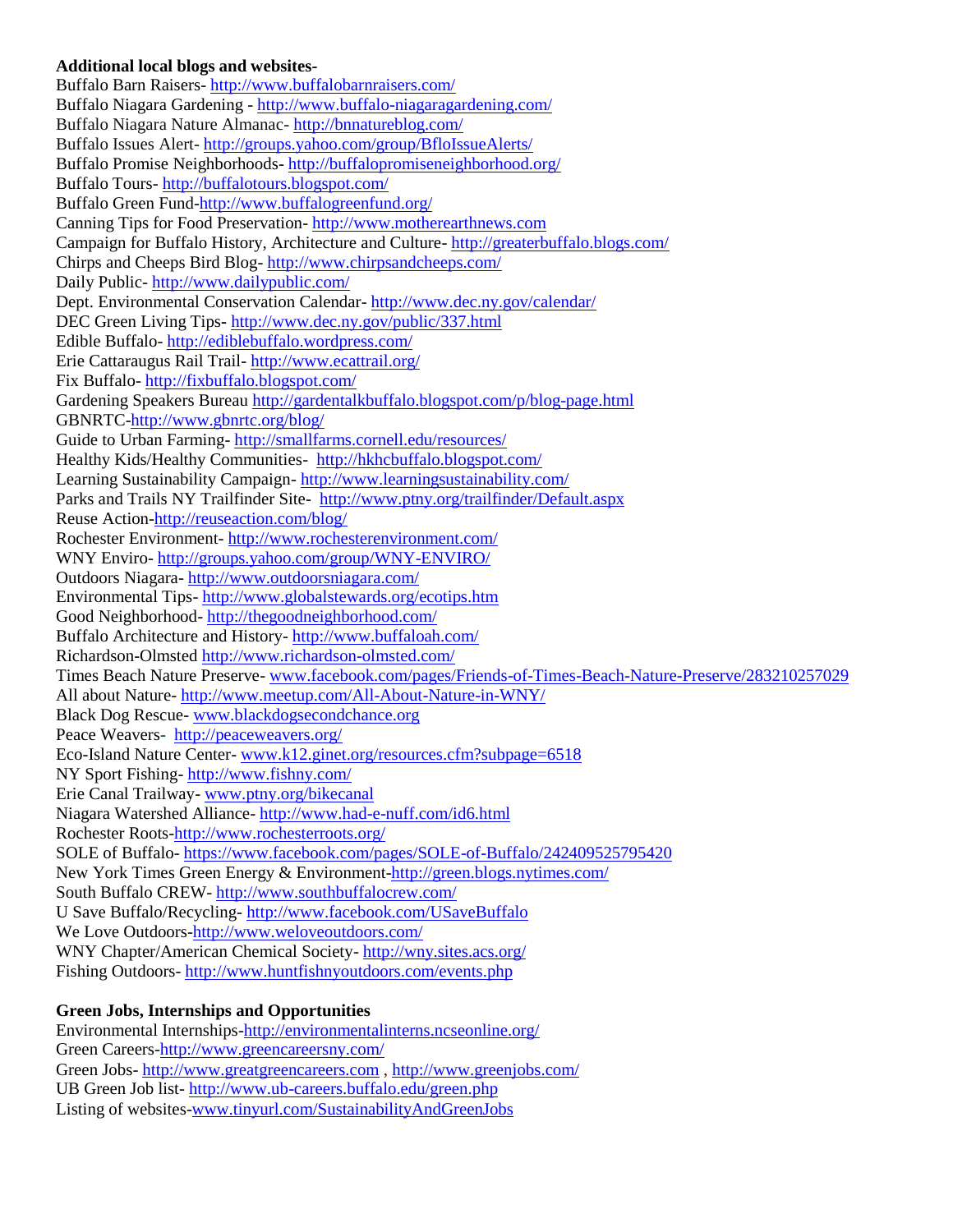#### **Additional local blogs and websites-**

Buffalo Barn Raisers- <http://www.buffalobarnraisers.com/> Buffalo Niagara Gardening - <http://www.buffalo-niagaragardening.com/> Buffalo Niagara Nature Almanac- <http://bnnatureblog.com/> Buffalo Issues Alert- <http://groups.yahoo.com/group/BfloIssueAlerts/> Buffalo Promise Neighborhoods- <http://buffalopromiseneighborhood.org/> Buffalo Tours- <http://buffalotours.blogspot.com/> Buffalo Green Fund[-http://www.buffalogreenfund.org/](http://www.buffalogreenfund.org/) Canning Tips for Food Preservation- [http://www.motherearthnews.com](http://www.motherearthnews.com/real-food/food-preservation/canning/canning-and-preserving-tips-zm0z15jjzmar.aspx?newsletter=1&utm_source=Sailthru&utm_medium=email&utm_term=RF%20eNews&utm_campaign=05.25.15%20MEN%20RFSR%20eNews) Campaign for Buffalo History, Architecture and Culture- <http://greaterbuffalo.blogs.com/> Chirps and Cheeps Bird Blog- <http://www.chirpsandcheeps.com/> Daily Public- <http://www.dailypublic.com/> Dept. Environmental Conservation Calendar- <http://www.dec.ny.gov/calendar/> DEC Green Living Tips**-** <http://www.dec.ny.gov/public/337.html> Edible Buffalo- <http://ediblebuffalo.wordpress.com/> Erie Cattaraugus Rail Trail- <http://www.ecattrail.org/> Fix Buffalo- <http://fixbuffalo.blogspot.com/> Gardening Speakers Bureau<http://gardentalkbuffalo.blogspot.com/p/blog-page.html> GBNRTC[-http://www.gbnrtc.org/blog/](http://www.gbnrtc.org/blog/) Guide to Urban Farming- <http://smallfarms.cornell.edu/resources/> Healthy Kids/Healthy Communities- <http://hkhcbuffalo.blogspot.com/> Learning Sustainability Campaign- <http://www.learningsustainability.com/> Parks and Trails NY Trailfinder Site- <http://www.ptny.org/trailfinder/Default.aspx> Reuse Action[-http://reuseaction.com/blog/](http://reuseaction.com/blog/) Rochester Environment- <http://www.rochesterenvironment.com/> WNY Enviro- <http://groups.yahoo.com/group/WNY-ENVIRO/> Outdoors Niagara- <http://www.outdoorsniagara.com/> Environmental Tips- <http://www.globalstewards.org/ecotips.htm> Good Neighborhood- <http://thegoodneighborhood.com/> Buffalo Architecture and History- <http://www.buffaloah.com/> Richardson-Olmsted<http://www.richardson-olmsted.com/> Times Beach Nature Preserve- [www.facebook.com/pages/Friends-of-Times-Beach-Nature-Preserve/283210257029](http://www.facebook.com/pages/Friends-of-Times-Beach-Nature-Preserve/283210257029) All about Nature- <http://www.meetup.com/All-About-Nature-in-WNY/> Black Dog Rescue- [www.blackdogsecondchance.org](http://www.blackdogsecondchance.org/)  Peace Weavers- [http://peaceweavers.org/](http://clicks.aweber.com/y/ct/?l=MZimB&m=1fjxbN23GvYS1z&b=hzCp53RqGFE4QEK1uKdMZg) Eco-Island Nature Center- [www.k12.ginet.org/resources.cfm?subpage=6518](http://www.k12.ginet.org/resources.cfm?subpage=6518) NY Sport Fishing- <http://www.fishny.com/> Erie Canal Trailway- [www.ptny.org/bikecanal](http://www.ptny.org/bikecanal) Niagara Watershed Alliance- <http://www.had-e-nuff.com/id6.html> Rochester Roots[-http://www.rochesterroots.org/](http://www.rochesterroots.org/) SOLE of Buffalo- <https://www.facebook.com/pages/SOLE-of-Buffalo/242409525795420> New York Times Green Energy & Environment[-http://green.blogs.nytimes.com/](http://green.blogs.nytimes.com/) South Buffalo CREW- <http://www.southbuffalocrew.com/> U Save Buffalo/Recycling- <http://www.facebook.com/USaveBuffalo> We Love Outdoors[-http://www.weloveoutdoors.com/](http://www.weloveoutdoors.com/) WNY Chapter/American Chemical Society- <http://wny.sites.acs.org/> Fishing Outdoors- <http://www.huntfishnyoutdoors.com/events.php>

# **Green Jobs, Internships and Opportunities**

Environmental Internships[-http://environmentalinterns.ncseonline.org/](http://environmentalinterns.ncseonline.org/) Green Careers[-http://www.greencareersny.com/](http://www.greencareersny.com/) Green Jobs- [http://www.greatgreencareers.com](http://www.greatgreencareers.com/) ,<http://www.greenjobs.com/> UB Green Job list- <http://www.ub-careers.buffalo.edu/green.php> Listing of websites[-www.tinyurl.com/SustainabilityAndGreenJobs](http://www.tinyurl.com/SustainabilityAndGreenJobs)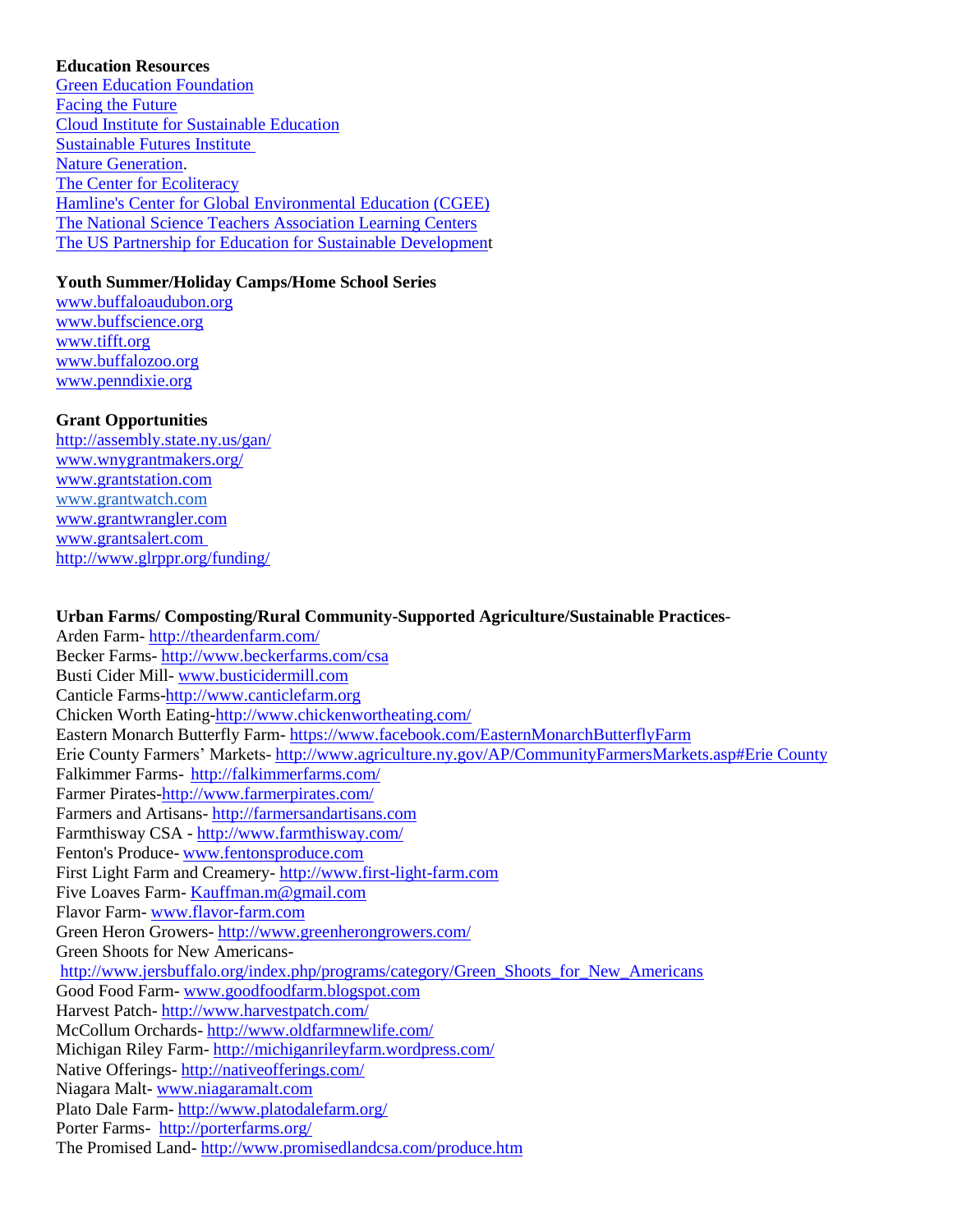#### **Education Resources**

[Green Education Foundation](http://r20.rs6.net/tn.jsp?f=0013RmLbmGlchArDJSZD8XM338WFfsI6ZauPCTJ3lOSbqBV_hiV1UikS35WmMaD84RuYkscTd_trguMk-ByKcdjUiwHLo8s9QGOYSnpqT-XX3alO9KCfRNwPtA-Rrou9KgbGtIGt9Ilgt2EMJSQAWJASK4xIS4tMtr0n724E09_lm3u8Mi7eCJKn8e_8xKSMGaJJJZ-NYLA2GVOLWYaouqwybjHagPAeULS5roykoLUCjzjj5FCOznSflcSHVjuU1fuliXsktBWgkwQCuW2FafPWFhR1M2QjVzcFNlmO7GQqi-FxvY3w9jaPTghfm4WLUa9b44CtvZjZUe-9AiMpyWMrMCGZcek7GJr9AgqCRRvXwZue5VAtW3EKWS1_y9h1TLVaxl5hFp5pde3XBhEav7C8mc67vnXhodo&c=jVONZGAwu8GVW1ac5yxF__hWQhg1Ez1XvEhZOGNBcw3guEr7KkGLFA==&ch=HZ1zpXopJ93c4mw04hlCwr1St0TLSO0kAiyIUCsEBwfVNZg829xV1w==) [Facing the Future](http://r20.rs6.net/tn.jsp?f=0013RmLbmGlchArDJSZD8XM338WFfsI6ZauPCTJ3lOSbqBV_hiV1UikS35WmMaD84Ru3l2DvE4lyO5buGf5imjoOebrCzq2J-DqyzEHzuJSJeQpl_Iudp9FZ45xoRIGFYDF96NQoe4MOeXo6WSA1zX_XtZSC8z-pUcBUeHnWRhzanhqzlfSbO7Likxvg_v7F0nIdGju4WvPQ41bggRr6_7eDNTVKh2OeEkDdH8Mtq6nCbNfr-WzmeSfWWxv0ahoW94wI2_JbzNiLbEpyv7QUu7_zAlVSuMxpZJtjFV-iB180qKE1OshSr-vihu-UcqE-9bQyecribZexAnGol7slgHWOJvBbJRWBtxS&c=jVONZGAwu8GVW1ac5yxF__hWQhg1Ez1XvEhZOGNBcw3guEr7KkGLFA==&ch=HZ1zpXopJ93c4mw04hlCwr1St0TLSO0kAiyIUCsEBwfVNZg829xV1w==) [Cloud Institute for Sustainable Education](http://r20.rs6.net/tn.jsp?f=0013RmLbmGlchArDJSZD8XM338WFfsI6ZauPCTJ3lOSbqBV_hiV1UikS35WmMaD84RuWh0FRFY4a38ddTjFpyiiQRx2aBq7lD6mAgG2OuhDsSc38wOO-8ibxzywBxyOJjf8RscXUkkzTQdOwm02-9nPRhMLt09CjzF4qa5tBJgc0JHcHaqfRL83NAfbf04-xg78-SdETmE-QE4I2F2zYPXewD2rfub4wvcoyJlRsw487b5BUerpB9KVGREr1nDPSrksEAmk8od4YlHNrGZStLUvIrTylYJ4tU_IBocOIqQlsUIIjhRki1NMBOSZ0zS3an_S1tUDsoRB5ygp8lnDjfv3Fg==&c=jVONZGAwu8GVW1ac5yxF__hWQhg1Ez1XvEhZOGNBcw3guEr7KkGLFA==&ch=HZ1zpXopJ93c4mw04hlCwr1St0TLSO0kAiyIUCsEBwfVNZg829xV1w==) [Sustainable Futures Institute](http://r20.rs6.net/tn.jsp?f=0013RmLbmGlchArDJSZD8XM338WFfsI6ZauPCTJ3lOSbqBV_hiV1UikS35WmMaD84Ruj-DU2XVbDhxANVeWAuY9DIHJWVvmpVtT04FpF7_SpwpvtwdJ2PMDG02hEIeMI40j_cwGzwLW1zHqBgu89wkPf9Ex_iDRFV_ffn06thpwM46dvhtVOaNPqHHmwKg1rkfL3EWAnk8DV0bcN6tzzT8l-lIzS0C_awqmgaq8ZNjXoU480LIgFZYfPeuFLQCR0-UeB-BGwVGVDfwP-oqlPqLr6aOaXJwb_a3T3uN9mrGFap6wgsaQvMgDxu9zGj9L_A0CZXIguEyxTnCLwi4N7Zid6w==&c=jVONZGAwu8GVW1ac5yxF__hWQhg1Ez1XvEhZOGNBcw3guEr7KkGLFA==&ch=HZ1zpXopJ93c4mw04hlCwr1St0TLSO0kAiyIUCsEBwfVNZg829xV1w==) [Nature Generation.](http://r20.rs6.net/tn.jsp?f=0013RmLbmGlchArDJSZD8XM338WFfsI6ZauPCTJ3lOSbqBV_hiV1UikS35WmMaD84Rusb6ZoWMKQD2TVFd6yiDIadVYTyjclzHxM_tgdg2dBqDqIQkcjO6w1Zg2Z4r2SzcG6W5p-QNR7zbuhsZoWUcFXtJs_hsSum5NZj1iRtxsrwmzzaQiQhqhBpHjFTl6nGzQTo76L0pS2QD46OaRii7TVvhAg-x3G1QfUTdSaqES-wZHo8nKak5SK-uFkEikgtUGB1aKjLJenbzxw2AVHKRDY_KPfrmNhpSvuuMS15bTHekq6262CbScFot_tZyJvBRncFbNeFc_SQ_x3VE_iv7SIA==&c=jVONZGAwu8GVW1ac5yxF__hWQhg1Ez1XvEhZOGNBcw3guEr7KkGLFA==&ch=HZ1zpXopJ93c4mw04hlCwr1St0TLSO0kAiyIUCsEBwfVNZg829xV1w==) [The Center for Ecoliteracy](http://r20.rs6.net/tn.jsp?f=0013RmLbmGlchArDJSZD8XM338WFfsI6ZauPCTJ3lOSbqBV_hiV1UikS35WmMaD84RuRirn8ZrJX4WdWTnkVqpqSu4Jfd7JsRLhBYZWYAr1cB1w5lhtBw4Cpt65zd7GCpnuZlRu5sCF4DkNmIe9cXM_S39cdIOXJe4GAmezCxAbYq4USsjmo60FzGkAryqRWljQTgQFEiwlRz66YRWiTF6-SbJGVU4Yz2110ffH_zNJozVK8G-I5gyadncbVCm-n0IFvoIrPGUIrBHgLU4sqlh0BX3x2sYeppuyfkCppnc6UxEhM_nmF6G8dDMO1B-2IfZPPr19YUZvy4DF5VDzdoQMqARWtOgNSguK&c=jVONZGAwu8GVW1ac5yxF__hWQhg1Ez1XvEhZOGNBcw3guEr7KkGLFA==&ch=HZ1zpXopJ93c4mw04hlCwr1St0TLSO0kAiyIUCsEBwfVNZg829xV1w==) Hamline's Center for [Global Environmental Education \(CGEE\)](http://r20.rs6.net/tn.jsp?f=0013RmLbmGlchArDJSZD8XM338WFfsI6ZauPCTJ3lOSbqBV_hiV1UikS35WmMaD84RuBIjXzmdUNs_9VYaZfQy8svfvno-TEkcFLl86aomM3WhR7e5LikHQr_oaaBj9Xl7dVMRexfYu5oKhX1d1Z7tlAVhoiS3qUfoF0n3hHLkSZLnF1qTsHXZqlimiGjg9RGOs2JJBc1McI9r4uGtekck_qs_LhJoMq2zhUe2Hxq58Xzh9WsWJBXCMECxWHqUnVxmVVHPxQBhJ3lr3KaLT2m0-_ahe6ShY_LDh1Z1hWXDOsfqJeZOqxo3jMRje1EnI5kR5zkKipwO9mDR58z54UjsG4tZhggPuU5OqoukArLV31NyRMx7oe_oqiCsPRqU28hKbrtfLibmwDKM=&c=jVONZGAwu8GVW1ac5yxF__hWQhg1Ez1XvEhZOGNBcw3guEr7KkGLFA==&ch=HZ1zpXopJ93c4mw04hlCwr1St0TLSO0kAiyIUCsEBwfVNZg829xV1w==) [The National Science Teachers Association Learning Centers](http://r20.rs6.net/tn.jsp?f=0013RmLbmGlchArDJSZD8XM338WFfsI6ZauPCTJ3lOSbqBV_hiV1UikS35WmMaD84RuDqiO4ru6uOpMjHI_NK7h8PPJtIgZbDz0cAsurTsl6yQJMfRVur20NCbNgHOcQ7uDEiB_-KNXJuYnDjDS2_d0KFk0i_wAOW91mdhwq3hA4sSKGdR22qCxtgC6kOYSKoBO4h7B0x4GikwLLR-AG18TCX4YA-2nWJ0-ak0CpreugV4GCvK1k1YD9CSrN1t3onOjtZe1jpzTtOVJ9rg7BVssWHfpja7qekOJudWGGHKW7FSP320Y8JUHCB9IO48scW7xTRddOjkrx2mIYN7org-U5HiJIoHvDZ3y&c=jVONZGAwu8GVW1ac5yxF__hWQhg1Ez1XvEhZOGNBcw3guEr7KkGLFA==&ch=HZ1zpXopJ93c4mw04hlCwr1St0TLSO0kAiyIUCsEBwfVNZg829xV1w==) [The US Partnership for Education for Sustainable Development](http://r20.rs6.net/tn.jsp?f=0013RmLbmGlchArDJSZD8XM338WFfsI6ZauPCTJ3lOSbqBV_hiV1UikS35WmMaD84RuW6t8HXUOnjAHjyfXjjvU9C_JW29uiofxZr3-sPnRcDOlUtzE8Hp_BkEAgs5pc7jaSHvnATdkYExEn5m7XfC6jcyqbPXPhOZlea1Aq1N0gVZNa2T33fmN_nK6KfRdf0iITBFCUbh-j5hiFZapO8eJi6cYXMqOn0s_nwOO2BObXJZyr3DqLN28-ztLSPY7R79J-7ymNv6FoagsEzCzrjtms3PbXWrit33kRPJ4nDo66v9LJAIVPafgVVGMcQ2US4QCKtrdJPaT-Qoh_kG22tHmy7lJxgME3aKr&c=jVONZGAwu8GVW1ac5yxF__hWQhg1Ez1XvEhZOGNBcw3guEr7KkGLFA==&ch=HZ1zpXopJ93c4mw04hlCwr1St0TLSO0kAiyIUCsEBwfVNZg829xV1w==)

# **Youth Summer/Holiday Camps/Home School Series**

[www.buffaloaudubon.org](http://www.buffaloaudubon.org/) [www.buffscience.org](http://www.buffscience.org/) www.tifft.org [www.buffalozoo.org](http://www.buffalozoo.org/) [www.penndixie.org](http://www.penndixie.org/)

# **Grant Opportunities**

<http://assembly.state.ny.us/gan/> [www.wnygrantmakers.org/](http://www.wnygrantmakers.org/) [www.grantstation.com](http://r20.rs6.net/tn.jsp?e=001Z0xk41Wbjdu0btgtDM0MkO_rSFS7eoy7i_iDbQltS8vxFoDJQpdX0RDfEZxTomRdPcIOohZEEWyUPaptPfDMye9vyjw1L7g4kKEYChBt3JqLJsa1ZbV6yw==) [www.grantwatch.com](http://r20.rs6.net/tn.jsp?e=001Z0xk41WbjdvKu8DwmiqXPsXhusHRsbo_PCodK5fRvxvEjs_EPL-4n2wdAqqTym-gdORo3MTsqBVp7UEtNqkMZjFfluoWGMDQAsCqgK8BMnIeHnaYUKgAHg==) [www.grantwrangler.com](http://r20.rs6.net/tn.jsp?e=001Z0xk41Wbjds6SrJnKrMocblpURMCcVkNspP37v7m048cviN0V1XJDkIq6nSZGXuu_XdoSK6qOdOSRCG5KH7VR19aI_Ylw7NO3cwLXPs8wx_9J9NA-NFTZA==) [www.grantsalert.com](http://r20.rs6.net/tn.jsp?e=001Z0xk41Wbjdt1EwJXY4tW479QBoTzQPEWFvealMmtDmLGfHOCkxd0AsMWJAIQQXvuJSa4n18CwnfcevhB_fhBM6fcOniu3fHelTJAJXJxoE2mOWqMGeTdjA==) <http://www.glrppr.org/funding/>

# **Urban Farms/ Composting/Rural Community-Supported Agriculture/Sustainable Practices**-

Arden Farm- <http://theardenfarm.com/> Becker Farms- <http://www.beckerfarms.com/csa> Busti Cider Mill- [www.busticidermill.com](file:///C:/Users/Brenda%20Young/AppData/Roaming/Microsoft/AppData/Local/Microsoft/Windows/Temporary%20Internet%20Files/Content.IE5/AppData/Local/Microsoft/Windows/Temporary%20Internet%20Files/Content.IE5/AppData/Local/Microsoft/Windows/Temporary%20Internet%20Files/Content.IE5/AppData/Local/Microsoft/Windows/Temporary%20Internet%20Files/Content.IE5/AppData/Local/Microsoft/Windows/Temporary%20Internet%20Files/Content.IE5/AppData/Local/AppData/Roaming/Microsoft/AppData/Local/AppData/Roaming/Microsoft/AppData/Local/Microsoft/Windows/Temporary%20Internet%20Files/Content.IE5/AppData/Local/AppData/Local/Microsoft/Windows/Temporary%20Internet%20Files/Content.IE5/AppData/Local/AppData/Local/Microsoft/Windows/Temporary%20Internet%20Files/Content.IE5/AppData/Local/AppData/Local/Microsoft/Windows/Temporary%20Internet%20Files/Low/Content.IE5/AppData/Local/Temp/www.busticidermill.com) Canticle Farms[-http://www.canticlefarm.org](http://www.canticlefarm.org/) Chicken Worth Eating[-http://www.chickenwortheating.com/](http://www.chickenwortheating.com/) Eastern Monarch Butterfly Farm- <https://www.facebook.com/EasternMonarchButterflyFarm> Erie County Farmers' Markets- <http://www.agriculture.ny.gov/AP/CommunityFarmersMarkets.asp#Erie County> Falkimmer Farms- <http://falkimmerfarms.com/> Farmer Pirates[-http://www.farmerpirates.com/](http://www.farmerpirates.com/) Farmers and Artisans- [http://farmersandartisans.com](http://farmersandartisans.com/) Farmthisway CSA - <http://www.farmthisway.com/> Fenton's Produce- [www.fentonsproduce.com](file:///C:/Users/Brenda%20Young/AppData/Roaming/Microsoft/AppData/Local/Microsoft/Windows/Temporary%20Internet%20Files/Content.IE5/AppData/Local/Microsoft/Windows/Temporary%20Internet%20Files/Content.IE5/AppData/Local/Microsoft/Windows/Temporary%20Internet%20Files/Content.IE5/AppData/Local/Microsoft/Windows/Temporary%20Internet%20Files/Content.IE5/AppData/Local/Microsoft/Windows/Temporary%20Internet%20Files/Content.IE5/AppData/Local/AppData/Roaming/Microsoft/AppData/Local/AppData/Roaming/Microsoft/AppData/Local/Microsoft/Windows/Temporary%20Internet%20Files/Content.IE5/AppData/Local/AppData/Local/Microsoft/Windows/Temporary%20Internet%20Files/Content.IE5/AppData/Local/AppData/Local/Microsoft/Windows/Temporary%20Internet%20Files/Content.IE5/AppData/Local/AppData/Local/Microsoft/Windows/Temporary%20Internet%20Files/Low/Content.IE5/AppData/Local/Temp/www.fentonsproduce.com) First Light Farm and Creamery- [http://www.first-light-farm.com](http://www.first-light-farm.com/) Five Loaves Farm- [Kauffman.m@gmail.com](mailto:Kauffman.m@gmail.com) Flavor Farm- [www.flavor-farm.com](http://www.flavor-farm.com/) Green Heron Growers- <http://www.greenherongrowers.com/> Green Shoots for New Americans[http://www.jersbuffalo.org/index.php/programs/category/Green\\_Shoots\\_for\\_New\\_Americans](http://www.jersbuffalo.org/index.php/programs/category/Green_Shoots_for_New_Americans) Good Food Farm- [www.goodfoodfarm.blogspot.com](file:///C:/Users/Brenda%20Young/AppData/Roaming/Microsoft/AppData/Local/Microsoft/Windows/Temporary%20Internet%20Files/Content.IE5/AppData/Local/Microsoft/Windows/Temporary%20Internet%20Files/Content.IE5/AppData/Local/Microsoft/Windows/Temporary%20Internet%20Files/Content.IE5/AppData/Local/Microsoft/Windows/Temporary%20Internet%20Files/Content.IE5/AppData/Local/Microsoft/Windows/Temporary%20Internet%20Files/Content.IE5/AppData/Local/AppData/Roaming/Microsoft/AppData/Local/AppData/Roaming/Microsoft/AppData/Local/Microsoft/Windows/Temporary%20Internet%20Files/Content.IE5/AppData/Local/AppData/Local/Microsoft/Windows/Temporary%20Internet%20Files/Content.IE5/AppData/Local/AppData/Local/Microsoft/Windows/Temporary%20Internet%20Files/Content.IE5/AppData/Local/AppData/Local/Microsoft/Windows/Temporary%20Internet%20Files/Low/Content.IE5/AppData/Local/Temp/www.goodfoodfarm.blogspot.com) Harvest Patch- <http://www.harvestpatch.com/> McCollum Orchards- <http://www.oldfarmnewlife.com/> Michigan Riley Farm- <http://michiganrileyfarm.wordpress.com/> Native Offerings- <http://nativeofferings.com/> Niagara Malt- [www.niagaramalt.com](http://www.niagaramalt.com/) Plato Dale Farm- <http://www.platodalefarm.org/> Porter Farms- http://porterfarms.org/ The Promised Land- <http://www.promisedlandcsa.com/produce.htm>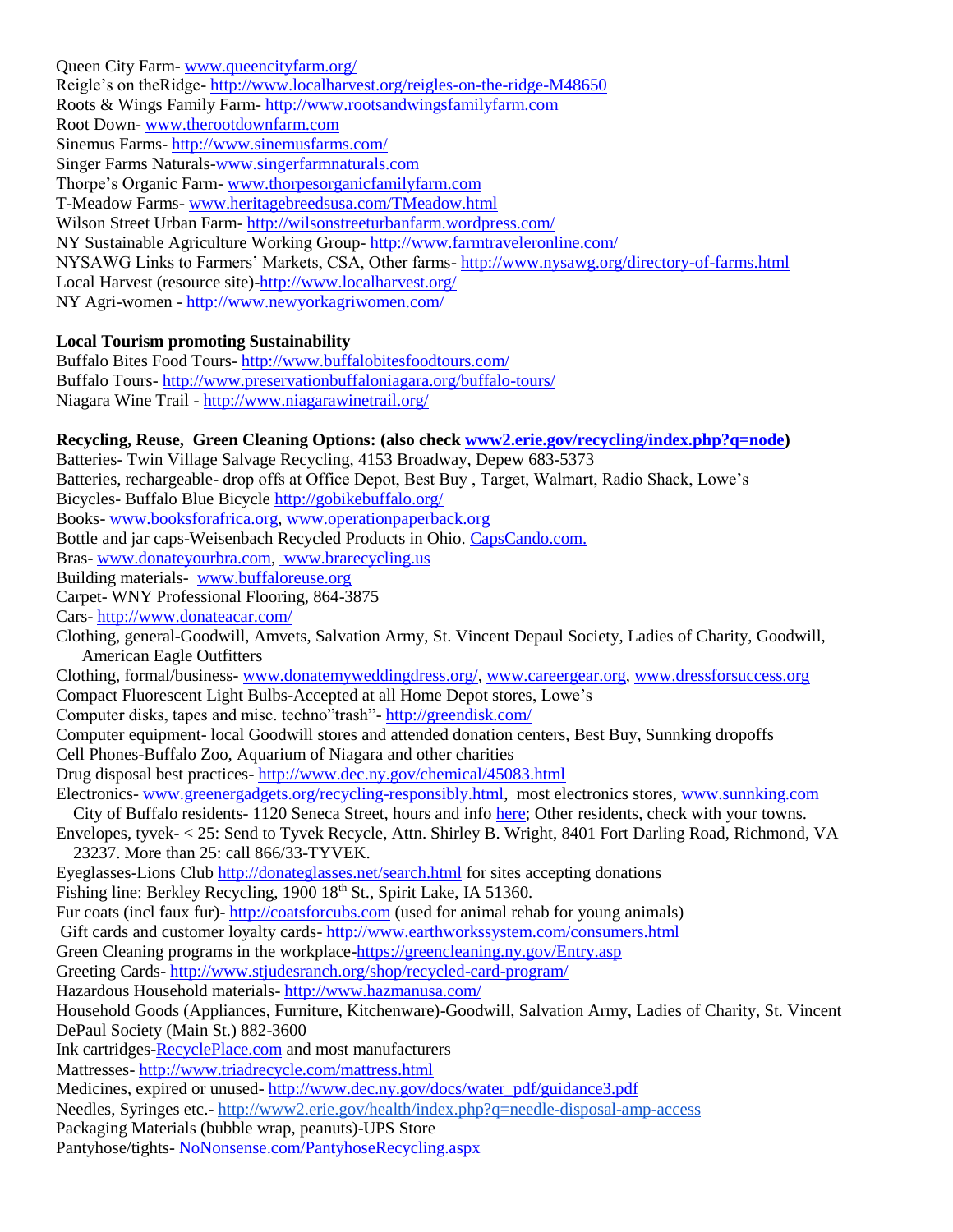Queen City Farm- [www.queencityfarm.org/](http://www.queencityfarm.org/) Reigle's on theRidge- <http://www.localharvest.org/reigles-on-the-ridge-M48650> Roots & Wings Family Farm- [http://www.rootsandwingsfamilyfarm.com](http://www.rootsandwingsfamilyfarm.com/rawff/Home.html) Root Down- [www.therootdownfarm.com](file:///C:/Users/Brenda%20Young/AppData/Roaming/Microsoft/AppData/Local/Microsoft/Windows/Temporary%20Internet%20Files/Content.IE5/AppData/Local/Microsoft/Windows/Temporary%20Internet%20Files/Content.IE5/AppData/Local/Microsoft/Windows/Temporary%20Internet%20Files/Content.IE5/AppData/Local/Microsoft/Windows/Temporary%20Internet%20Files/Content.IE5/AppData/Local/Microsoft/Windows/Temporary%20Internet%20Files/Content.IE5/AppData/Local/AppData/Roaming/Microsoft/AppData/Local/AppData/Roaming/Microsoft/AppData/Local/Microsoft/Windows/Temporary%20Internet%20Files/Content.IE5/AppData/Local/AppData/Local/Microsoft/Windows/Temporary%20Internet%20Files/Content.IE5/AppData/Local/AppData/Local/Microsoft/Windows/Temporary%20Internet%20Files/Content.IE5/AppData/Local/AppData/Local/Microsoft/Windows/Temporary%20Internet%20Files/Low/Content.IE5/AppData/Local/Temp/www.therootdownfarm.com) Sinemus Farms- <http://www.sinemusfarms.com/> Singer Farms Naturals[-www.singerfarmnaturals.com](http://www.singerfarmnaturals.com/) Thorpe's Organic Farm- [www.thorpesorganicfamilyfarm.com](http://www.thorpesorganicfamilyfarm.com/contact) T-Meadow Farms- [www.heritagebreedsusa.com/TMeadow.html](http://www.heritagebreedsusa.com/TMeadow.html) Wilson Street Urban Farm- http://wilsonstreeturbanfarm.wordpress.com/ NY Sustainable Agriculture Working Group- <http://www.farmtraveleronline.com/> NYSAWG Links to Farmers' Markets, CSA, Other farms- <http://www.nysawg.org/directory-of-farms.html> Local Harvest (resource site)[-http://www.localharvest.org/](http://www.localharvest.org/) NY Agri-women - <http://www.newyorkagriwomen.com/>

### **Local Tourism promoting Sustainability**

Buffalo Bites Food Tours- <http://www.buffalobitesfoodtours.com/> Buffalo Tours- <http://www.preservationbuffaloniagara.org/buffalo-tours/> Niagara Wine Trail - <http://www.niagarawinetrail.org/>

**Recycling, Reuse, Green Cleaning Options: (also check [www2.erie.gov/recycling/index.php?q=node\)](http://www2.erie.gov/recycling/index.php?q=node)**

Batteries- Twin Village Salvage Recycling, 4153 Broadway, Depew 683-5373 Batteries, rechargeable- drop offs at Office Depot, Best Buy , Target, Walmart, Radio Shack, Lowe's Bicycles- Buffalo Blue Bicycle<http://gobikebuffalo.org/> Books- [www.booksforafrica.org,](http://www.booksforafrica.org/) [www.operationpaperback.org](http://www.operationpaperback.org/) Bottle and jar caps-Weisenbach Recycled Products in Ohio. [CapsCando.com.](http://www.capscando.com/) Bras- [www.donateyourbra.com,](http://www.donateyourbra.com/) www.brarecycling.us Building materials- [www.buffaloreuse.org](http://www.buffaloreuse.org/) Carpet- WNY Professional Flooring, 864-3875 Cars- <http://www.donateacar.com/> Clothing, general-Goodwill, Amvets, Salvation Army, St. Vincent Depaul Society, Ladies of Charity, Goodwill, American Eagle Outfitters Clothing, formal/business- [www.donatemyweddingdress.org/,](http://www.donatemyweddingdress.org/) [www.careergear.org,](http://www.careergear.org/) [www.dressforsuccess.org](http://www.dressforsuccess.org/) Compact Fluorescent Light Bulbs-Accepted at all Home Depot stores, Lowe's Computer disks, tapes and misc. techno"trash"- <http://greendisk.com/> Computer equipment- local Goodwill stores and attended donation centers, Best Buy, Sunnking dropoffs Cell Phones-Buffalo Zoo, Aquarium of Niagara and other charities Drug disposal best practices- <http://www.dec.ny.gov/chemical/45083.html> Electronics- [www.greenergadgets.org/recycling-responsibly.html,](http://www.greenergadgets.org/recycling-responsibly.html) most electronics stores[, www.sunnking.com](http://www.sunnking.com/) City of Buffalo residents- 1120 Seneca Street, hours and inf[o here;](http://www.city-buffalo.com/files/1_2_1/city_departments/public_works_and_streets/pdfs/EngineeringGarage.pdf) Other residents, check with your towns. Envelopes, tyvek- < 25: Send to Tyvek Recycle, Attn. Shirley B. Wright, 8401 Fort Darling Road, Richmond, VA 23237. More than 25: call 866/33-TYVEK. Eyeglasses-Lions Club<http://donateglasses.net/search.html> for sites accepting donations Fishing line: Berkley Recycling, 1900 18th St., Spirit Lake, IA 51360. Fur coats (incl faux fur)- [http://coatsforcubs.com](http://coatsforcubs.com/) (used for animal rehab for young animals) Gift cards and customer loyalty cards- <http://www.earthworkssystem.com/consumers.html> Green Cleaning programs in the workplace[-https://greencleaning.ny.gov/Entry.asp](https://greencleaning.ny.gov/Entry.asp)  Greeting Cards- <http://www.stjudesranch.org/shop/recycled-card-program/> Hazardous Household materials- <http://www.hazmanusa.com/> Household Goods (Appliances, Furniture, Kitchenware)-Goodwill, Salvation Army, Ladies of Charity, St. Vincent DePaul Society (Main St.) 882-3600 Ink cartridges[-RecyclePlace.com](http://www.recycleplace.com/) and most manufacturers Mattresses- <http://www.triadrecycle.com/mattress.html> Medicines, expired or unused- [http://www.dec.ny.gov/docs/water\\_pdf/guidance3.pdf](http://www.dec.ny.gov/docs/water_pdf/guidance3.pdf) Needles, Syringes etc.- <http://www2.erie.gov/health/index.php?q=needle-disposal-amp-access> Packaging Materials (bubble wrap, peanuts)-UPS Store Pantyhose/tights- [NoNonsense.com/PantyhoseRecycling.aspx](http://www.nononsense.com/PantyhoseRecycling.aspx)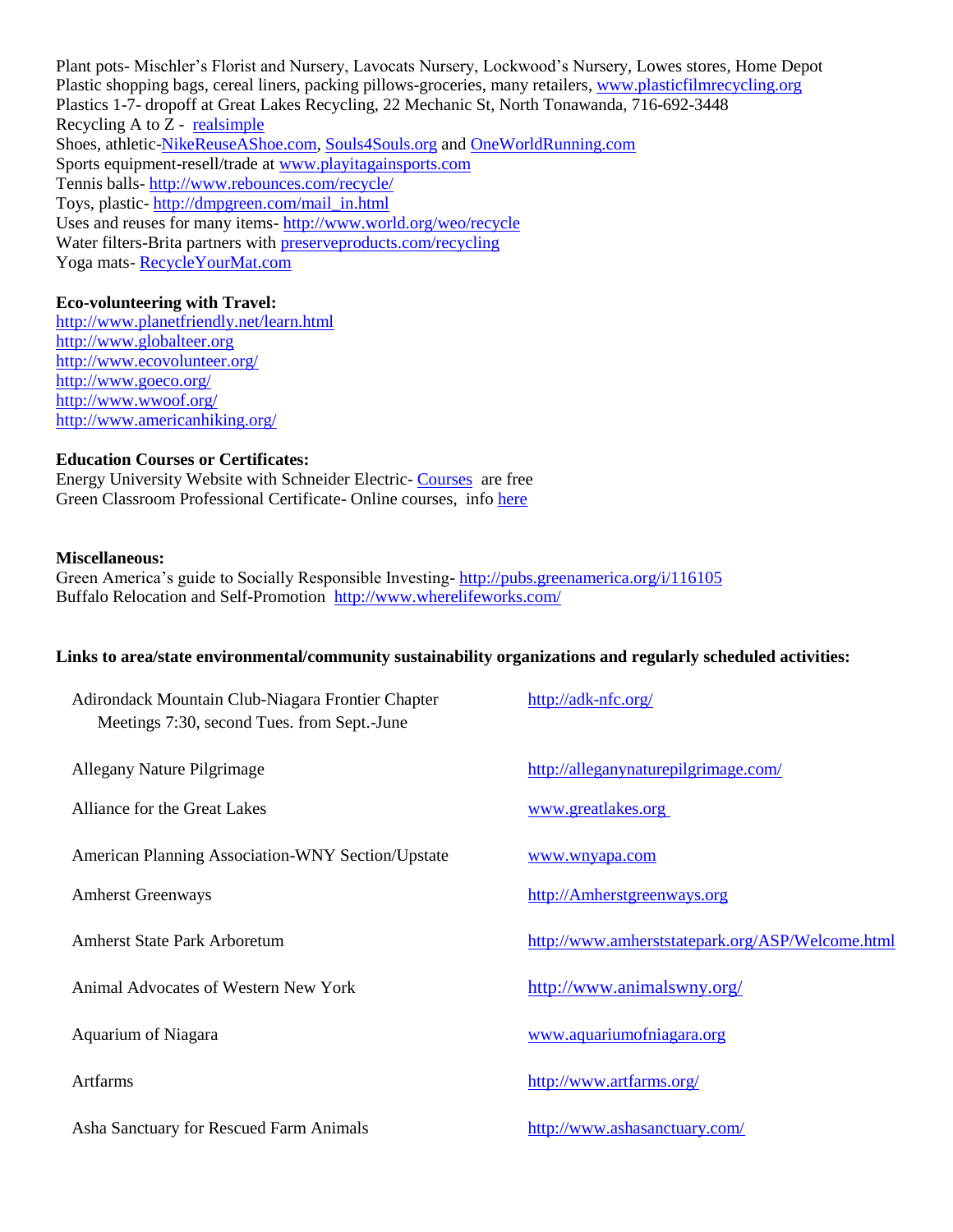Plant pots- Mischler's Florist and Nursery, Lavocats Nursery, Lockwood's Nursery, Lowes stores, Home Depot Plastic shopping bags, cereal liners, packing pillows-groceries, many retailers, [www.plasticfilmrecycling.org](http://www.plasticfilmrecycling.org/s01/s01dropoff.html) Plastics 1-7- dropoff at Great Lakes Recycling, 22 Mechanic St, North Tonawanda, 716-692-3448 Recycling A to  $Z$  - real simple Shoes, athletic[-NikeReuseAShoe.com,](http://www.nikereuseashoe.com/) [Souls4Souls.org](http://www.souls4souls.org/) and [OneWorldRunning.com](http://www.oneworldrunning.com/) Sports equipment-resell/trade at [www.playitagainsports.com](http://www.playitagainsports.com/) Tennis balls- <http://www.rebounces.com/recycle/> Toys, plastic- [http://dmpgreen.com/mail\\_in.html](http://dmpgreen.com/mail_in.html) Uses and reuses for many items- <http://www.world.org/weo/recycle> Water filters-Brita partners with [preserveproducts.com/recycling](http://www.preserveproducts.com/recycling)  Yoga mats- [RecycleYourMat.com](http://www.recycleyourmat.com/)

### **Eco-volunteering with Travel:**

<http://www.planetfriendly.net/learn.html> [http://www.globalteer.org](http://www.globalteer.org/) <http://www.ecovolunteer.org/> <http://www.goeco.org/> <http://www.wwoof.org/> <http://www.americanhiking.org/>

#### **Education Courses or Certificates:**

Energy University Website with Schneider Electric- [Courses](http://www2.schneider-electric.com/sites/corporate/en/products-services/training/energy-university/energy-university-course.page?tsk=&pc=&keycode=&promocode=&promo_key=) are free Green Classroom Professional Certificate- Online courses, info [here](http://centerforgreenschools.org/greenclassroom)

#### **Miscellaneous:**

Green America's guide to Socially Responsible Investing- <http://pubs.greenamerica.org/i/116105> Buffalo Relocation and Self-Promotion<http://www.wherelifeworks.com/>

#### **Links to area/state environmental/community sustainability organizations and regularly scheduled activities:**

| Adirondack Mountain Club-Niagara Frontier Chapter<br>Meetings 7:30, second Tues. from Sept.-June | http://adk-nfc.org/                              |
|--------------------------------------------------------------------------------------------------|--------------------------------------------------|
| Allegany Nature Pilgrimage                                                                       | http://alleganynaturepilgrimage.com/             |
| Alliance for the Great Lakes                                                                     | www.greatlakes.org                               |
| American Planning Association-WNY Section/Upstate                                                | www.wnyapa.com                                   |
| <b>Amherst Greenways</b>                                                                         | http://Amherstgreenways.org                      |
| <b>Amherst State Park Arboretum</b>                                                              | http://www.amherststatepark.org/ASP/Welcome.html |
| Animal Advocates of Western New York                                                             | http://www.animalswny.org/                       |
| Aquarium of Niagara                                                                              | www.aquariumofniagara.org                        |
| <b>Artfarms</b>                                                                                  | http://www.artfarms.org/                         |
| Asha Sanctuary for Rescued Farm Animals                                                          | http://www.ashasanctuary.com/                    |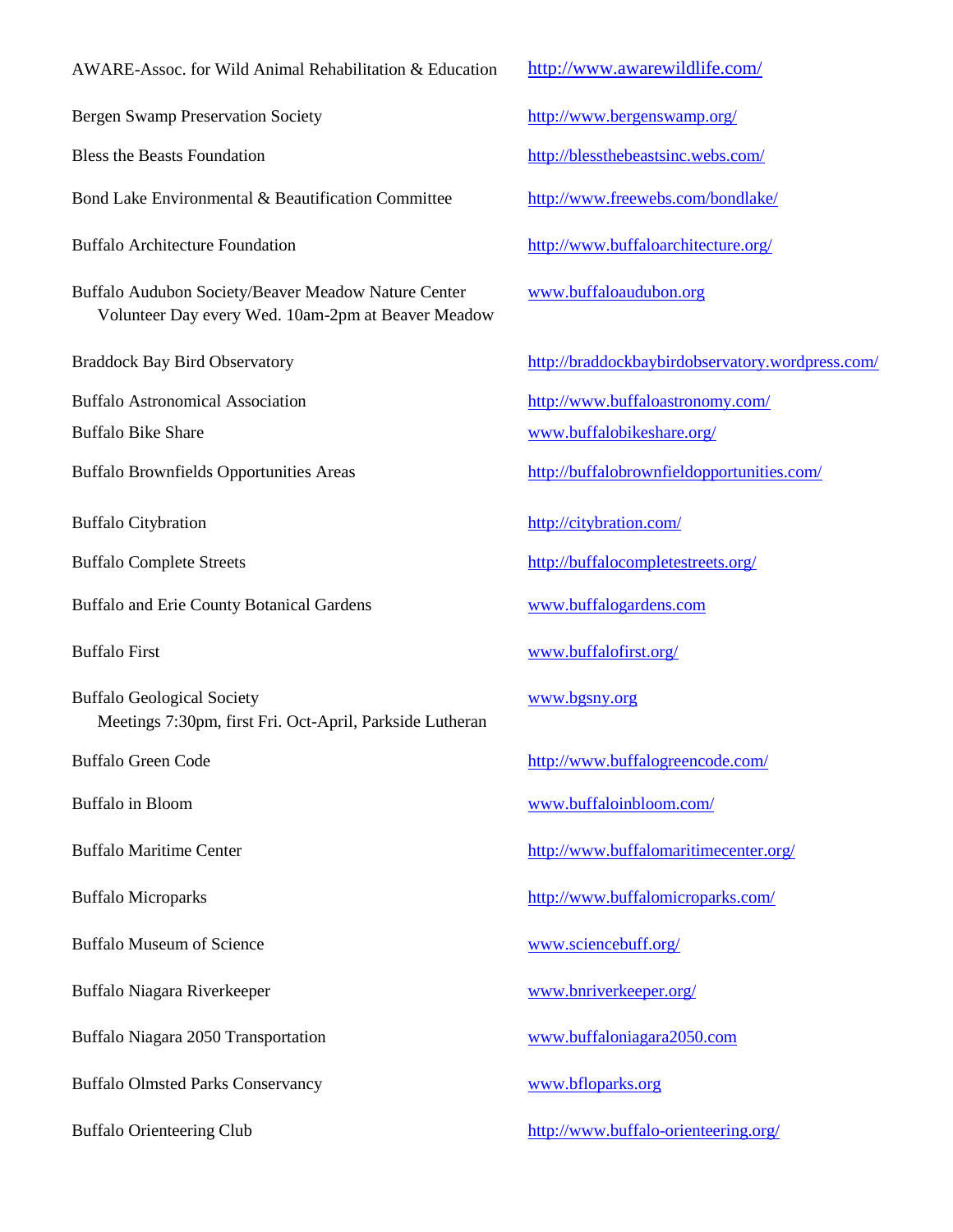#### AWARE-Assoc. for Wild Animal Rehabilitation & Education <http://www.awarewildlife.com/>

Bergen Swamp Preservation Society <http://www.bergenswamp.org/>

Bond Lake Environmental & Beautification Committee <http://www.freewebs.com/bondlake/>

Buffalo Audubon Society/Beaver Meadow Nature Center [www.buffaloaudubon.org](http://www.buffaloaudubon.com/) Volunteer Day every Wed. 10am-2pm at Beaver Meadow

Buffalo and Erie County Botanical Gardens [www.buffalogardens.com](http://www.buffalogardens.com/)

Buffalo Geological Society [www.bgsny.org](http://www.bgsny.org/) Meetings 7:30pm, first Fri. Oct-April, Parkside Lutheran

Buffalo Museum of Science [www.sciencebuff.org/](http://www.sciencebuff.org/)

Buffalo Niagara Riverkeeper [www.bnriverkeeper.org/](http://www.bnriverkeeper.org/)

Buffalo Niagara 2050 Transportation [www.buffaloniagara2050.com](http://r20.rs6.net/tn.jsp?llr=iubshugab&et=1107856846411&s=536&e=001Pw5GKHGWz0L1i_MZUL-YN2hYi3KKXrLsyoL79rbvdMcwEhf-IC2PTX2YNeO3nCEDFOdmBPKkTMm87DxGDs6AOwKxGPmFejcjjQqIi_CB33GXD1OEp4WJ7jYAlKCtLJKu)

Buffalo Olmsted Parks Conservancy [www.bfloparks.org](http://www.bfloparks.org/)

Bless the Beasts Foundation <http://blessthebeastsinc.webs.com/>

Buffalo Architecture Foundation <http://www.buffaloarchitecture.org/>

Braddock Bay Bird Observatory http://braddockbaybirdobservatory.wordpress.com/

Buffalo Astronomical Association <http://www.buffaloastronomy.com/>

Buffalo Bike Share [www.buffalobikeshare.org/](http://www.buffalobikeshare.org/)

Buffalo Brownfields Opportunities Areas <http://buffalobrownfieldopportunities.com/>

Buffalo Citybration <http://citybration.com/>

Buffalo Complete Streets <http://buffalocompletestreets.org/>

Buffalo First [www.buffalofirst.org/](http://www.buffalofirst.org/)

Buffalo Green Code <http://www.buffalogreencode.com/>

Buffalo in Bloom [www.buffaloinbloom.com/](http://www.buffaloinbloom.com/)

Buffalo Maritime Center <http://www.buffalomaritimecenter.org/>

Buffalo Microparks <http://www.buffalomicroparks.com/>

Buffalo Orienteering Club http://www.buffalo-orienteering.org/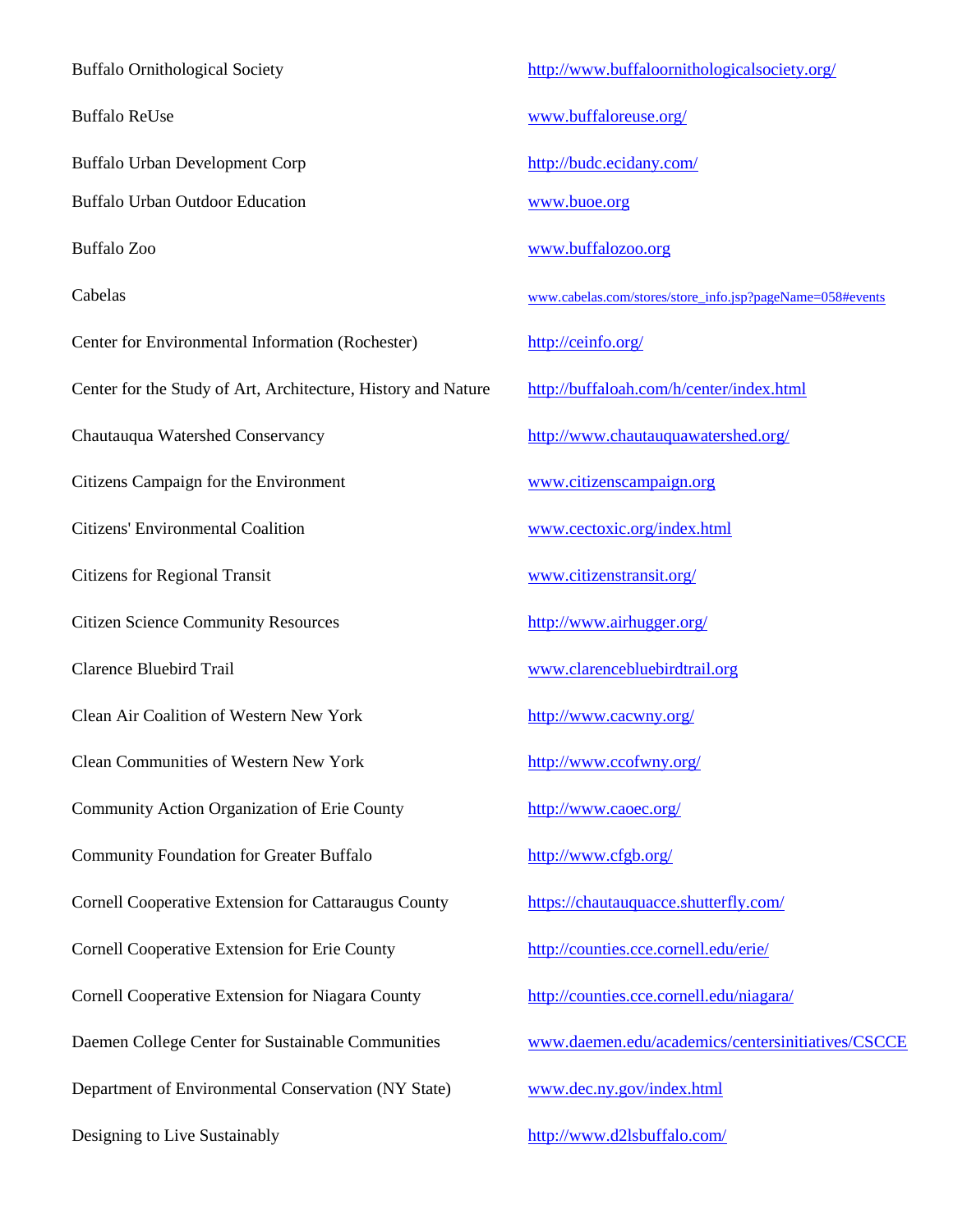Buffalo Ornithological Society http://www.buffaloornithologicalsociety.org/ Buffalo ReUse [www.buffaloreuse.org/](http://www.buffaloreuse.org/) Buffalo Urban Development Corp <http://budc.ecidany.com/> Buffalo Urban Outdoor Education [www.buoe.org](http://www.buoe.org/) Buffalo Zoo [www.buffalozoo.org](http://www.buffalozoo.org/) Cabelas [www.cabelas.com/stores/store\\_info.jsp?pageName=058#events](http://www.cabelas.com/stores/store_info.jsp?pageName=058#events) Center for Environmental Information (Rochester) <http://ceinfo.org/> Center for the Study of Art, Architecture, History and Nature <http://buffaloah.com/h/center/index.html> Chautauqua Watershed Conservancy <http://www.chautauquawatershed.org/> Citizens Campaign for the Environment [www.citizenscampaign.org](http://www.citizenscampaign.org/) Citizens' Environmental Coalition [www.cectoxic.org/index.html](http://www.cectoxic.org/index.html) Citizens for Regional Transit [www.citizenstransit.org/](http://www.citizenstransit.org/) Citizen Science Community Resources <http://www.airhugger.org/> Clarence Bluebird Trail [www.clarencebluebirdtrail.org](http://www.clarencebluebirdtrail.org/) Clean Air Coalition of Western New York <http://www.cacwny.org/> Clean Communities of Western New York <http://www.ccofwny.org/> Community Action Organization of Erie County <http://www.caoec.org/> Community Foundation for Greater Buffalo <http://www.cfgb.org/> Cornell Cooperative Extension for Cattaraugus County <https://chautauquacce.shutterfly.com/> Cornell Cooperative Extension for Erie County <http://counties.cce.cornell.edu/erie/> Cornell Cooperative Extension for Niagara County <http://counties.cce.cornell.edu/niagara/> Department of Environmental Conservation (NY State) [www.dec.ny.gov/index.html](http://www.dec.ny.gov/index.html)

Daemen College Center for Sustainable Communities www.daemen.edu/academics/centersinitiatives/CSCCE

Designing to Live Sustainably <http://www.d2lsbuffalo.com/>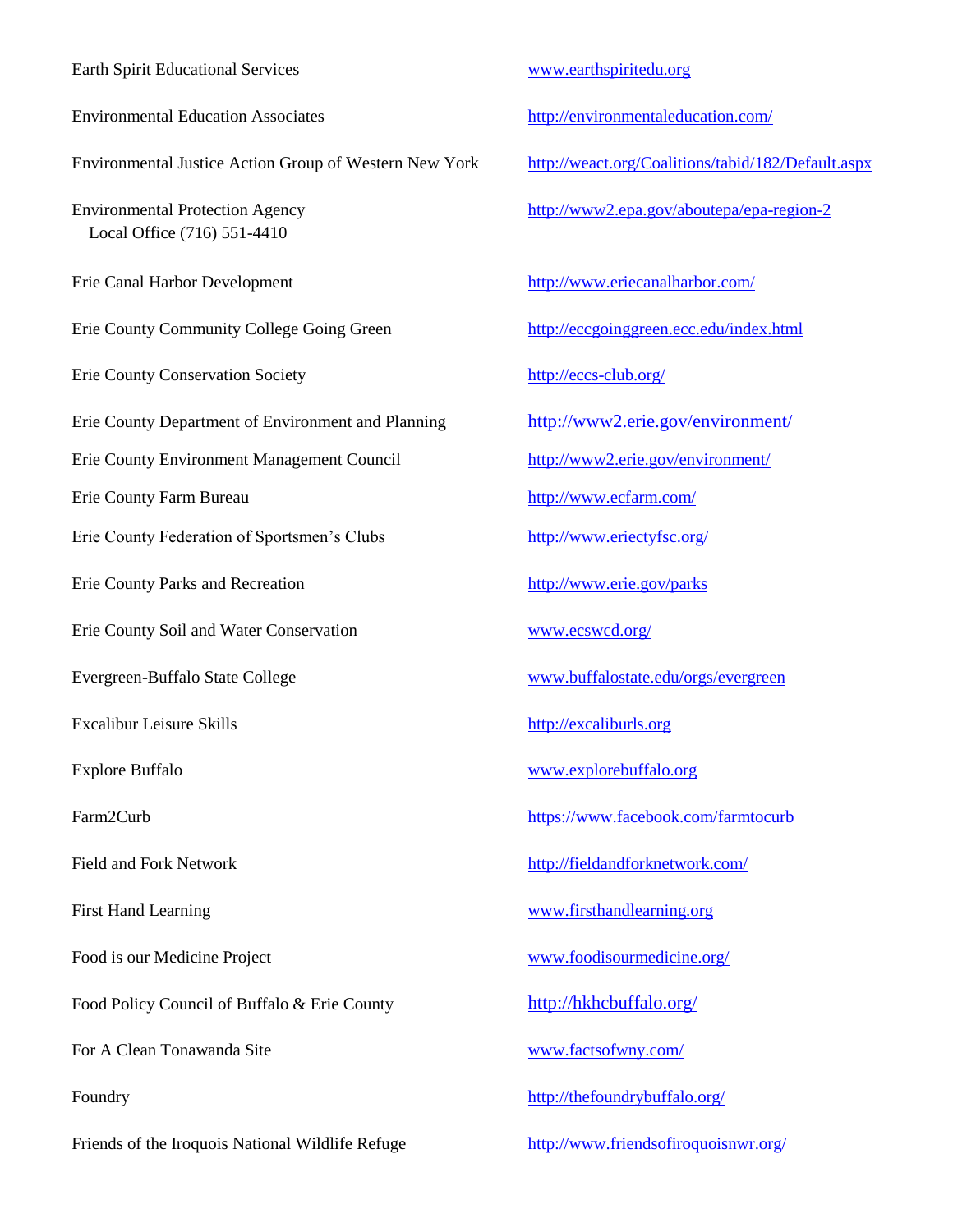| <b>Earth Spirit Educational Services</b>                              |
|-----------------------------------------------------------------------|
| <b>Environmental Education Associates</b>                             |
| Environmental Justice Action Group of Western New                     |
| <b>Environmental Protection Agency</b><br>Local Office (716) 551-4410 |
| Erie Canal Harbor Development                                         |
| Erie County Community College Going Green                             |
| <b>Erie County Conservation Society</b>                               |
| Erie County Department of Environment and Planning                    |
| Erie County Environment Management Council                            |
| Erie County Farm Bureau                                               |
| Erie County Federation of Sportsmen's Clubs                           |
| <b>Erie County Parks and Recreation</b>                               |
| Erie County Soil and Water Conservation                               |
| Evergreen-Buffalo State College                                       |
| <b>Excalibur Leisure Skills</b>                                       |
| Explore Buffalo                                                       |
| Farm2Curb                                                             |
| <b>Field and Fork Network</b>                                         |
| <b>First Hand Learning</b>                                            |
| Food is our Medicine Project                                          |
| Food Policy Council of Buffalo & Erie County                          |
| For A Clean Tonawanda Site                                            |
| Foundry                                                               |
| Friends of the Iroquois National Wildlife Refuge                      |

#### [www.earthspiritedu.org](http://www.earthspiritedu.org/)

<http://environmentaleducation.com/>

York http://weact.org/Coalitions/tabid/182/Default.aspx

<http://www2.epa.gov/aboutepa/epa-region-2>

http://www.eriecanalharbor.com/

<http://eccgoinggreen.ecc.edu/index.html>

http://eccs-club.org/

erie County 2.erie.gov/environment/

<http://www2.erie.gov/environment/>

<http://www.ecfarm.com/>

<http://www.eriectyfsc.org/>

<http://www.erie.gov/parks>

www.ecswcd.org/

[www.buffalostate.edu/orgs/evergreen](http://www.buffalostate.edu/orgs/evergreen)

[http://excaliburls.org](http://excaliburls.org/)

www.explorebuffalo.org

https://www.facebook.com/farmtocurb

http://fieldandforknetwork.com/

[www.firsthandlearning.org](http://www.firsthandlearning.org/)

[www.foodisourmedicine.org/](http://www.foodisourmedicine.org/)

<http://hkhcbuffalo.org/>

[www.factsofwny.com/](http://www.factsofwny.com/)

<http://thefoundrybuffalo.org/>

<http://www.friendsofiroquoisnwr.org/>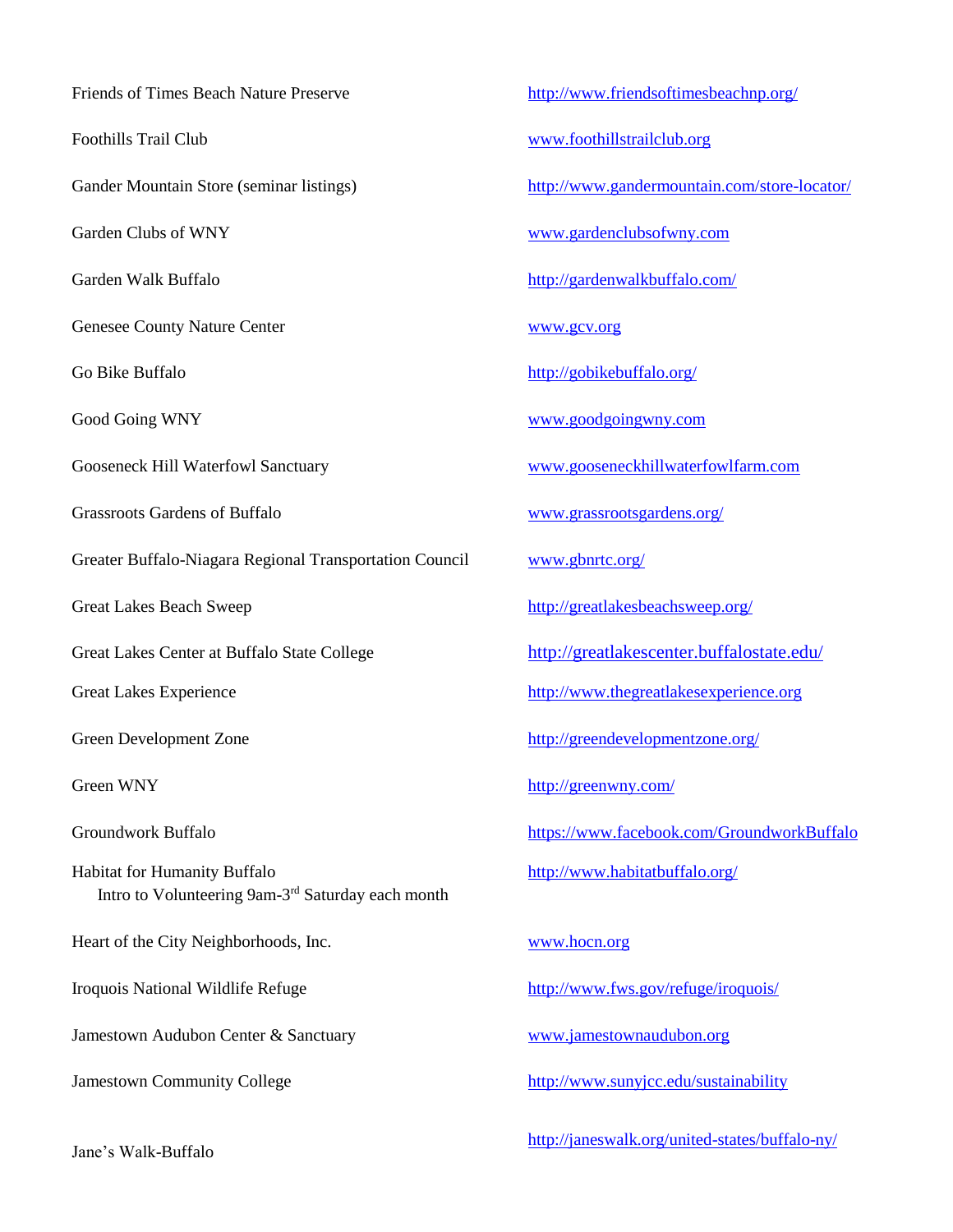Friends of Times Beach Nature Preserve <http://www.friendsoftimesbeachnp.org/> Foothills Trail Club [www.foothillstrailclub.org](http://www.foothillstrailclub.org/) Gander Mountain Store (seminar listings) http://www.gandermountain.com/store-locator/ Garden Clubs of WNY [www.gardenclubsofwny.com](http://www.gardenclubsofwny.com/) Garden Walk Buffalo **<http://gardenwalkbuffalo.com/>** http://gardenwalkbuffalo.com/ Genesee County Nature Center [www.gcv.org](http://www.gcv.org/) Go Bike Buffalo <http://gobikebuffalo.org/> Good Going WNY [www.goodgoingwny.com](http://www.goodgoingwny.com/) Gooseneck Hill Waterfowl Sanctuary [www.gooseneckhillwaterfowlfarm.com](http://www.gooseneckhillwaterfowlfarm.com/) Grassroots Gardens of Buffalo [www.grassrootsgardens.org/](http://www.grassrootsgardens.org/) Greater Buffalo-Niagara Regional Transportation Council [www.gbnrtc.org/](http://www.gbnrtc.org/) Great Lakes Beach Sweep <http://greatlakesbeachsweep.org/> Great Lakes Center at Buffalo State College <http://greatlakescenter.buffalostate.edu/> Great Lakes Experience [http://www.thegreatlakesexperience.org](http://www.thegreatlakesexperience.org/) Green Development Zone <http://greendevelopmentzone.org/> Green WNY <http://greenwny.com/> Groundwork Buffalo https://www.facebook.com/GroundworkBuffalo Habitat for Humanity Buffalo http://www.habitatbuffalo.org/ Intro to Volunteering 9am-3<sup>rd</sup> Saturday each month Heart of the City Neighborhoods, Inc. [www.hocn.org](http://www.hocn.org/) Iroquois National Wildlife Refuge <http://www.fws.gov/refuge/iroquois/> Jamestown Audubon Center & Sanctuary [www.jamestownaudubon.org](http://www.jamestownaudubon.org/) Jamestown Community College <http://www.sunyjcc.edu/sustainability>

<http://janeswalk.org/united-states/buffalo-ny/>

Jane's Walk-Buffalo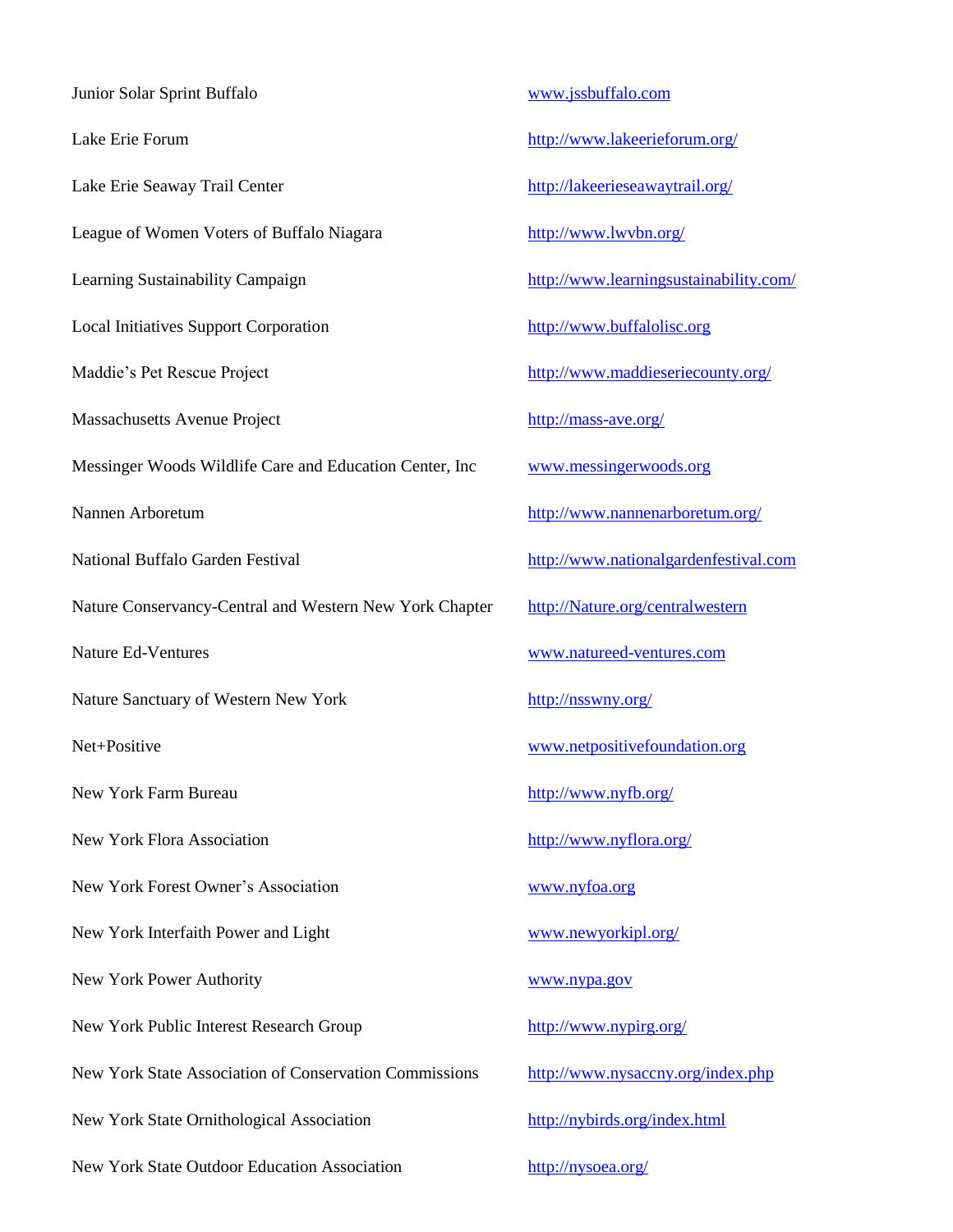Junior Solar Sprint Buffalo [www.jssbuffalo.com](http://www.jssbuffalo.com/) Lake Erie Forum <http://www.lakeerieforum.org/> Lake Erie Seaway Trail Center <http://lakeerieseawaytrail.org/> League of Women Voters of Buffalo Niagara http://www.lwvbn.org/ Learning Sustainability Campaign http://www.learningsustainability.com/ Local Initiatives Support Corporation [http://www.buffalolisc.org](http://www.buffalolisc.org/) Maddie's Pet Rescue Project <http://www.maddieseriecounty.org/> Massachusetts Avenue Project http://mass-ave.org/ Messinger Woods Wildlife Care and Education Center, Inc [www.messingerwoods.org](http://www.messingerwoods.org/) Nannen Arboretum <http://www.nannenarboretum.org/> National Buffalo Garden Festival [http://www.nationalgardenfestival.com](http://www.nationalgardenfestival.com/index.asp) Nature Conservancy-Central and Western New York Chapter [http://Nature.org/centralwestern](http://nature.org/centralwestern) Nature Ed-Ventures [www.natureed-ventures.com](http://www.natureed-ventures.com/) Nature Sanctuary of Western New York <http://nsswny.org/> Net+Positive [www.netpositivefoundation.org](http://www.netpositivefoundation.org/) New York Farm Bureau <http://www.nyfb.org/> New York Flora Association <http://www.nyflora.org/> New York Forest Owner's Association [www.nyfoa.org](http://www.nyfoa.org/) New York Interfaith Power and Light [www.newyorkipl.org/](http://www.newyorkipl.org/) New York Power Authority [www.nypa.gov](http://www.nypa.gov/) New York Public Interest Research Group <http://www.nypirg.org/> New York State Association of Conservation Commissions <http://www.nysaccny.org/index.php> New York State Ornithological Association <http://nybirds.org/index.html> New York State Outdoor Education Association <http://nysoea.org/>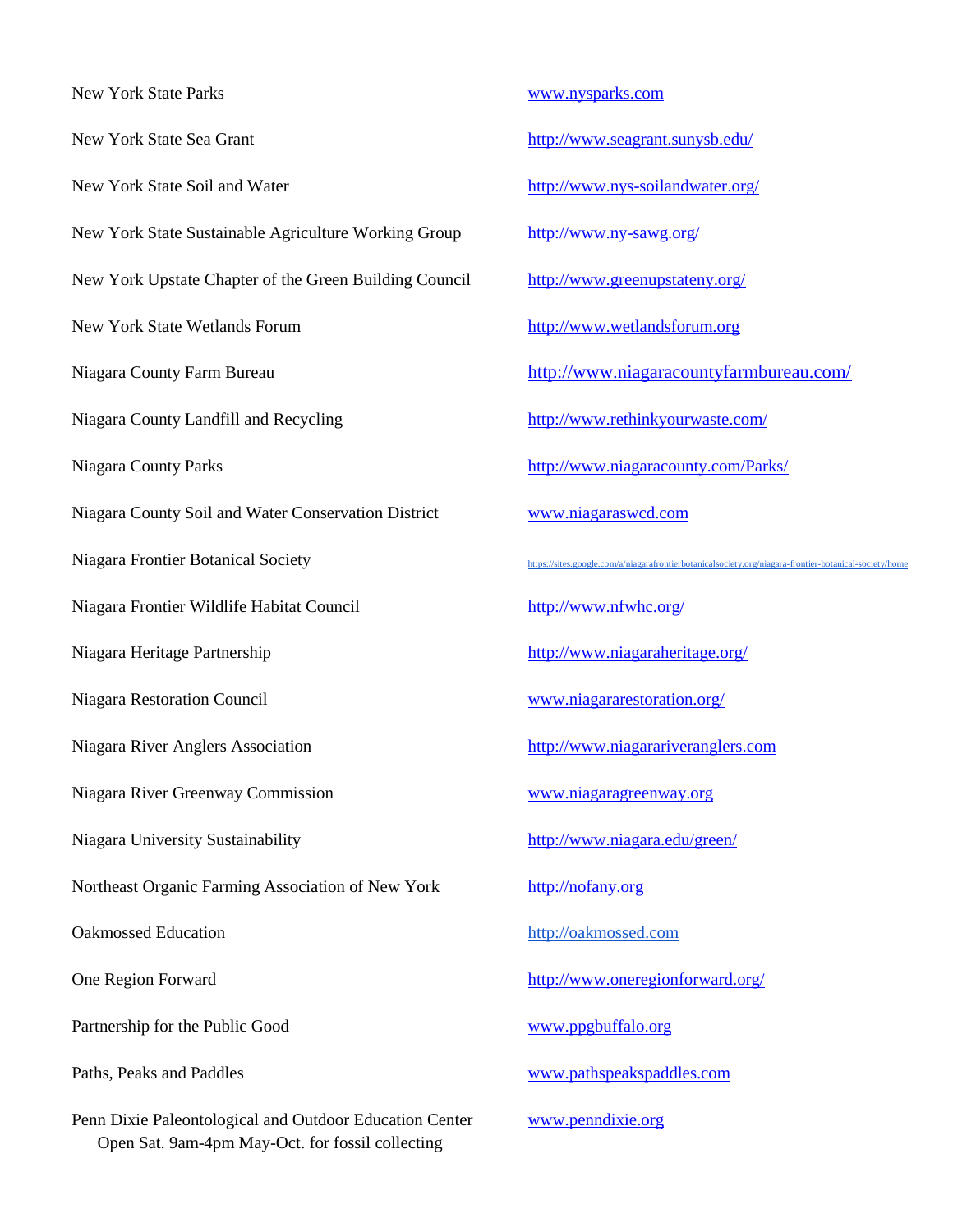New York State Parks [www.nysparks.com](http://www.nysparks.com/) New York State Sea Grant <http://www.seagrant.sunysb.edu/> New York State Soil and Water <http://www.nys-soilandwater.org/> New York State Sustainable Agriculture Working Group <http://www.ny-sawg.org/> New York Upstate Chapter of the Green Building Council http://www.greenupstateny.org/ New York State Wetlands Forum [http://www.wetlandsforum.org](http://www.wetlandsforum.org/) Niagara County Farm Bureau <http://www.niagaracountyfarmbureau.com/> Niagara County Landfill and Recycling <http://www.rethinkyourwaste.com/> Niagara County Parks <http://www.niagaracounty.com/Parks/> Niagara County Soil and Water Conservation District [www.niagaraswcd.com](http://www.niagaraswcd.com/) Niagara Frontier Botanical Society <https://sites.google.com/a/niagarafrontierbotanicalsociety.org/niagara-frontier-botanical-society/home> Niagara Frontier Wildlife Habitat Council http://www.nfwhc.org/ Niagara Heritage Partnership <http://www.niagaraheritage.org/> Niagara Restoration Council [www.niagararestoration.org/](http://www.niagararestoration.org/) Niagara River Anglers Association [http://www.niagarariveranglers.com](http://www.niagarariveranglers.com/) Niagara River Greenway Commission [www.niagaragreenway.org](http://www.niagaragreenway.org/) Niagara University Sustainability <http://www.niagara.edu/green/> Northeast Organic Farming Association of New York [http://nofany.org](http://nofany.org/) Oakmossed Education [http://oakmossed.com](http://webmailpro.localnethosting.com/hwebmail/services/go.php?url=http%3A%2F%2Foakmossed.com) One Region Forward <http://www.oneregionforward.org/> Partnership for the Public Good [www.ppgbuffalo.org](http://www.ppgbuffalo.org/) Paths, Peaks and Paddles [www.pathspeakspaddles.com](http://www.pathspeakspaddles.com/) Penn Dixie Paleontological and Outdoor Education Center www.penndixie.org Open Sat. 9am-4pm May-Oct. for fossil collecting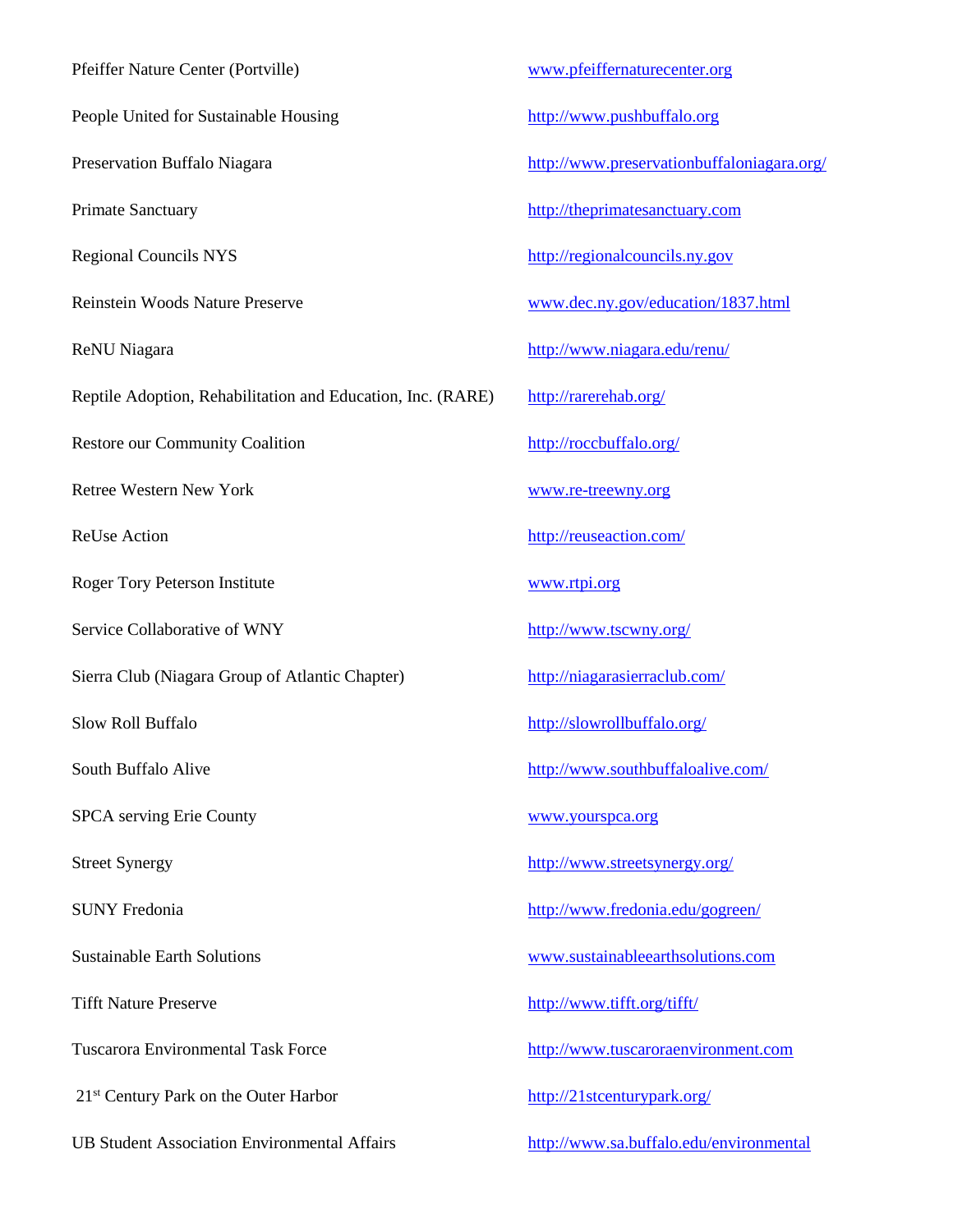| Pfeiffer Nature Center (Portville)                          | $\overline{I}$ |
|-------------------------------------------------------------|----------------|
| People United for Sustainable Housing                       | ļ              |
| Preservation Buffalo Niagara                                | $\overline{1}$ |
| <b>Primate Sanctuary</b>                                    | ļ              |
| <b>Regional Councils NYS</b>                                | $\overline{1}$ |
| Reinstein Woods Nature Preserve                             |                |
| ReNU Niagara                                                | $\overline{1}$ |
| Reptile Adoption, Rehabilitation and Education, Inc. (RARE) | Ī              |
| Restore our Community Coalition                             | $\overline{1}$ |
| <b>Retree Western New York</b>                              |                |
| <b>ReUse Action</b>                                         | $\overline{1}$ |
| Roger Tory Peterson Institute                               |                |
| Service Collaborative of WNY                                | $\overline{1}$ |
| Sierra Club (Niagara Group of Atlantic Chapter)             | ļ              |
| Slow Roll Buffalo                                           | ļ              |
| South Buffalo Alive                                         | <u>t</u>       |
| <b>SPCA</b> serving Erie County                             |                |
| <b>Street Synergy</b>                                       | <u>}</u>       |
| <b>SUNY Fredonia</b>                                        | <u>}</u>       |
| <b>Sustainable Earth Solutions</b>                          |                |
| <b>Tifft Nature Preserve</b>                                | <u>}</u>       |
| <b>Tuscarora Environmental Task Force</b>                   | <u>l</u>       |
| 21 <sup>st</sup> Century Park on the Outer Harbor           | <u>l</u>       |
| <b>UB Student Association Environmental Affairs</b>         |                |

[www.pfeiffernaturecenter.org](http://www.pfeiffernaturecenter.org/)

http://www.pushbuffalo.org

http://www.preservationbuffaloniagara.org/

[http://theprimatesanctuary.com](http://theprimatesanctuary.com/)

[http://regionalcouncils.ny.gov](http://regionalcouncils.ny.gov/)

[www.dec.ny.gov/education/1837.html](http://www.dec.ny.gov/education/1837.html)

<http://www.niagara.edu/renu/>

<http://rarerehab.org/>

<http://roccbuffalo.org/>

[www.re-treewny.org](http://www.re-treewny.org/main.html)

<http://reuseaction.com/>

<u>[www.rtpi.org](http://www.rtpi.org/)</u>

<http://www.tscwny.org/>

<http://niagarasierraclub.com/>

<http://slowrollbuffalo.org/>

<http://www.southbuffaloalive.com/>

[www.yourspca.org](http://www.yourspca.org/)

<http://www.streetsynergy.org/>

<http://www.fredonia.edu/gogreen/>

[www.sustainableearthsolutions.com](http://www.sustainableearthsolutions.com/)

<http://www.tifft.org/tifft/>

[http://www.tuscaroraenvironment.com](http://www.tuscaroraenvironment.com/)

<http://21stcenturypark.org/>

<http://www.sa.buffalo.edu/environmental>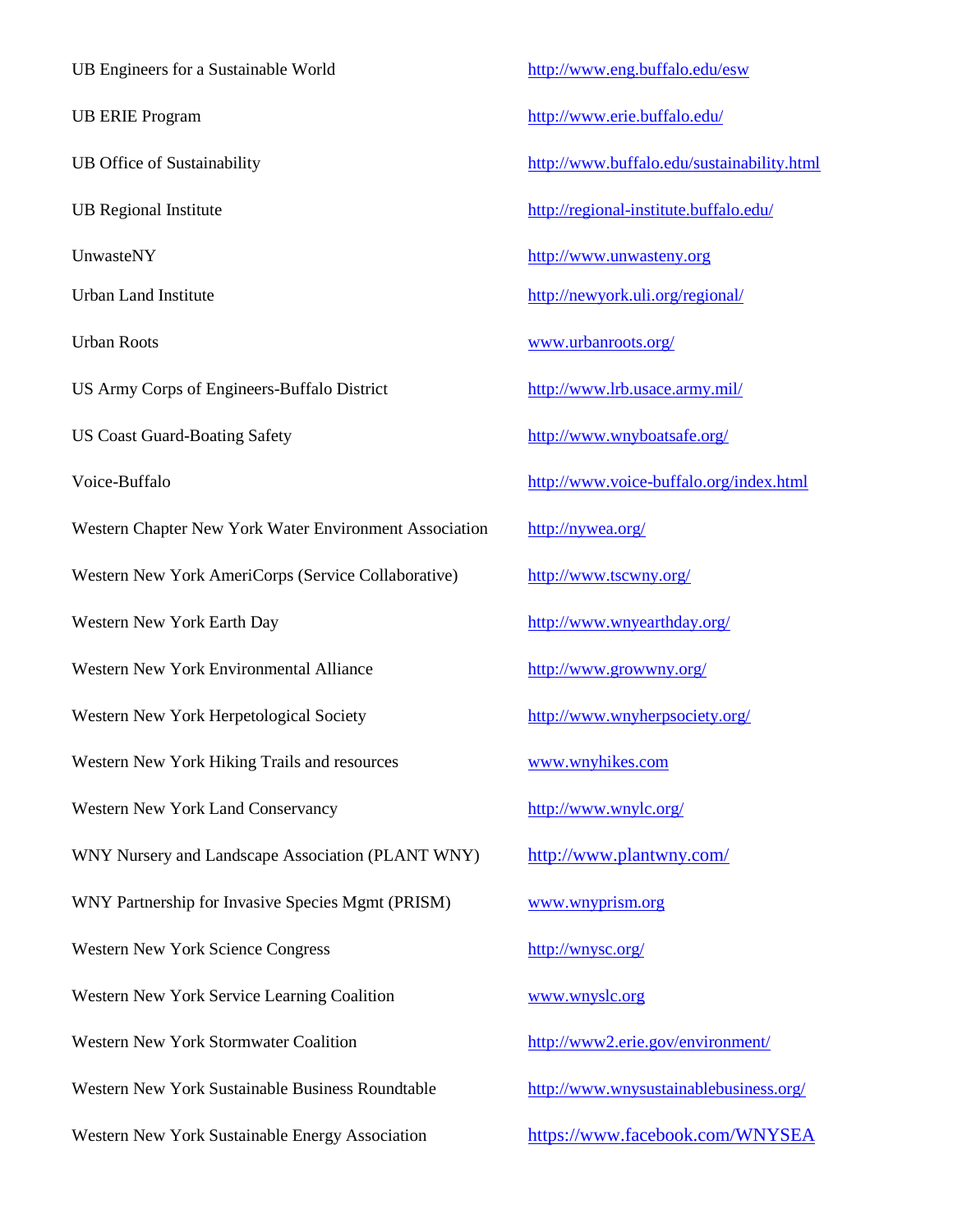UB Engineers for a Sustainable World <http://www.eng.buffalo.edu/esw> UB ERIE Program http://www.erie.buffalo.edu/ UB Office of Sustainability <http://www.buffalo.edu/sustainability.html> UB Regional Institute <http://regional-institute.buffalo.edu/> UnwasteNY [http://www.unwasteny.org](http://www.unwasteny.org/) Urban Land Institute <http://newyork.uli.org/regional/> Urban Roots [www.urbanroots.org/](http://www.urbanroots.org/) US Army Corps of Engineers-Buffalo District <http://www.lrb.usace.army.mil/> US Coast Guard-Boating Safety <http://www.wnyboatsafe.org/> Voice-Buffalo <http://www.voice-buffalo.org/index.html> Western Chapter New York Water Environment Association http://nywea.org/ Western New York AmeriCorps (Service Collaborative) <http://www.tscwny.org/> Western New York Earth Day <http://www.wnyearthday.org/> Western New York Environmental Alliance <http://www.growwny.org/> Western New York Herpetological Society http://www.wnyherpsociety.org/ Western New York Hiking Trails and resources www.wnyhikes.com Western New York Land Conservancy http://www.wnylc.org/ WNY Nursery and Landscape Association (PLANT WNY) <http://www.plantwny.com/> WNY Partnership for Invasive Species Mgmt (PRISM) [www.wnyprism.org](http://www.wnyprism.org/) Western New York Science Congress <http://wnysc.org/> Western New York Service Learning Coalition [www.wnyslc.org](http://www.wnyslc.org/) Western New York Stormwater Coalition <http://www2.erie.gov/environment/> Western New York Sustainable Business Roundtable <http://www.wnysustainablebusiness.org/> Western New York Sustainable Energy Association <https://www.facebook.com/WNYSEA>